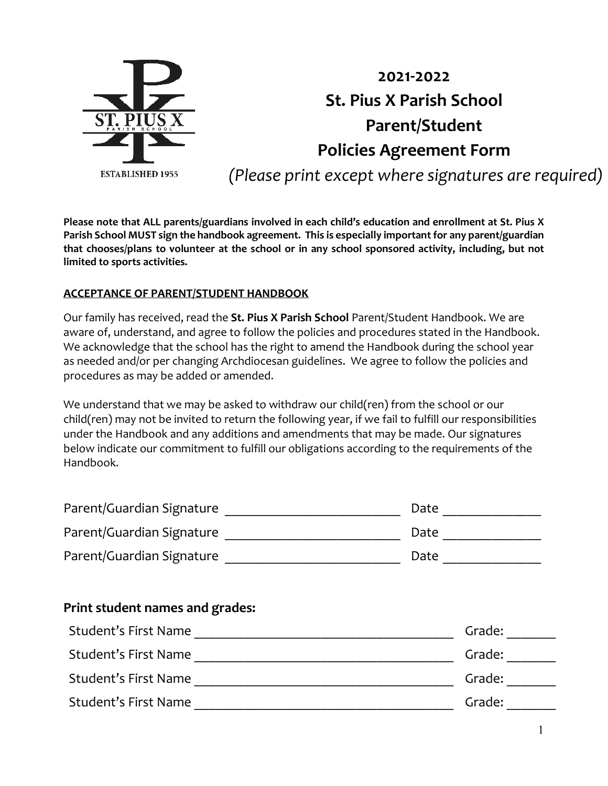

# **2021-2022 St. Pius X Parish School Parent/Student Policies Agreement Form** *(Please print except where signatures are required)*

**Please note that ALL parents/guardians involved in each child's education and enrollment at St. Pius X Parish School MUST sign the handbook agreement. This is especially important for any parent/guardian that chooses/plans to volunteer at the school or in any school sponsored activity, including, but not limited to sports activities.** 

# **ACCEPTANCE OF PARENT/STUDENT HANDBOOK**

Our family has received, read the **St. Pius X Parish School** Parent/Student Handbook. We are aware of, understand, and agree to follow the policies and procedures stated in the Handbook. We acknowledge that the school has the right to amend the Handbook during the school year as needed and/or per changing Archdiocesan guidelines. We agree to follow the policies and procedures as may be added or amended.

We understand that we may be asked to withdraw our child(ren) from the school or our child(ren) may not be invited to return the following year, if we fail to fulfill our responsibilities under the Handbook and any additions and amendments that may be made. Our signatures below indicate our commitment to fulfill our obligations according to the requirements of the Handbook.

| Parent/Guardian Signature | Date |
|---------------------------|------|
| Parent/Guardian Signature | Date |
| Parent/Guardian Signature | Date |

# **Print student names and grades:**

| Student's First Name | Grade: |
|----------------------|--------|
| Student's First Name | Grade: |
| Student's First Name | Grade: |
| Student's First Name | Grade: |
|                      |        |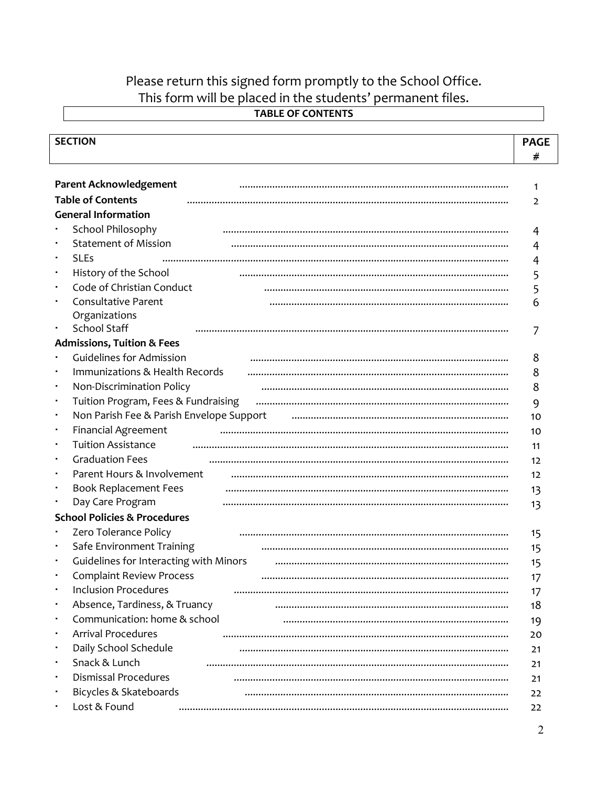# Please return this signed form promptly to the School Office. This form will be placed in the students' permanent files.

|                | <b>SECTION</b>                           | <b>PAGE</b>    |  |
|----------------|------------------------------------------|----------------|--|
|                |                                          | #              |  |
|                |                                          |                |  |
|                | <b>Parent Acknowledgement</b>            | $\mathbf{1}$   |  |
|                | <b>Table of Contents</b>                 | $\overline{2}$ |  |
|                | <b>General Information</b>               |                |  |
|                | School Philosophy                        | 4              |  |
|                | <b>Statement of Mission</b>              | 4              |  |
| $\blacksquare$ | <b>SLEs</b>                              | 4              |  |
| ٠              | History of the School                    | 5              |  |
| $\blacksquare$ | Code of Christian Conduct                | 5              |  |
|                | Consultative Parent                      | 6              |  |
|                | Organizations                            |                |  |
| ٠              | <b>School Staff</b>                      |                |  |
|                | <b>Admissions, Tuition &amp; Fees</b>    |                |  |
|                | <b>Guidelines for Admission</b>          | 8              |  |
| $\blacksquare$ | Immunizations & Health Records           | 8              |  |
| ٠              | Non-Discrimination Policy                | 8              |  |
| ٠              | Tuition Program, Fees & Fundraising      | 9              |  |
| ٠              | Non Parish Fee & Parish Envelope Support | 10             |  |
| ٠              | <b>Financial Agreement</b>               | 10             |  |
| ٠              | <b>Tuition Assistance</b>                | 11             |  |
| ٠              | <b>Graduation Fees</b>                   | 12             |  |
|                | Parent Hours & Involvement               | 12             |  |
|                | <b>Book Replacement Fees</b>             | 13             |  |
| ٠              | Day Care Program                         | 13             |  |
|                | <b>School Policies &amp; Procedures</b>  |                |  |
|                | Zero Tolerance Policy                    | 15             |  |
|                | Safe Environment Training                | 15             |  |
|                | Guidelines for Interacting with Minors   | 15             |  |
|                | <b>Complaint Review Process</b>          | 17             |  |
|                | <b>Inclusion Procedures</b>              | 17             |  |
| ٠              | Absence, Tardiness, & Truancy            | 18             |  |
| ٠              | Communication: home & school             |                |  |
| ٠              | <b>Arrival Procedures</b>                | 19             |  |
|                | Daily School Schedule                    | 20             |  |
| ٠              | Snack & Lunch                            | 21             |  |
|                |                                          | 21             |  |
|                | <b>Dismissal Procedures</b>              | 21             |  |
|                | Bicycles & Skateboards                   | 22             |  |
|                | Lost & Found                             | 22             |  |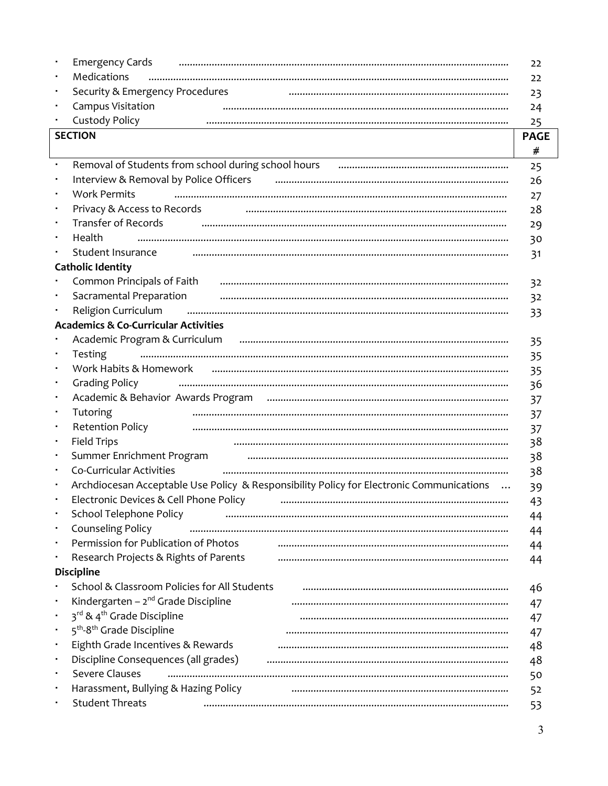|   | <b>Emergency Cards</b>                                                                                                                                                                                                                                                                                                                                                                                        | 22          |
|---|---------------------------------------------------------------------------------------------------------------------------------------------------------------------------------------------------------------------------------------------------------------------------------------------------------------------------------------------------------------------------------------------------------------|-------------|
|   | Medications                                                                                                                                                                                                                                                                                                                                                                                                   | 22          |
|   | Security & Emergency Procedures                                                                                                                                                                                                                                                                                                                                                                               | 23          |
|   | Campus Visitation                                                                                                                                                                                                                                                                                                                                                                                             | 24          |
|   | <b>Custody Policy</b>                                                                                                                                                                                                                                                                                                                                                                                         | 25          |
|   | <b>SECTION</b>                                                                                                                                                                                                                                                                                                                                                                                                | <b>PAGE</b> |
|   |                                                                                                                                                                                                                                                                                                                                                                                                               | #           |
|   | Removal of Students from school during school hours <b>manual contract of Students from school during school hours</b>                                                                                                                                                                                                                                                                                        | 25          |
|   | Interview & Removal by Police Officers                                                                                                                                                                                                                                                                                                                                                                        | 26          |
|   | <b>Work Permits</b>                                                                                                                                                                                                                                                                                                                                                                                           | 27          |
|   | Privacy & Access to Records                                                                                                                                                                                                                                                                                                                                                                                   | 28          |
|   | <b>Transfer of Records</b>                                                                                                                                                                                                                                                                                                                                                                                    | 29          |
| ٠ | Health                                                                                                                                                                                                                                                                                                                                                                                                        | 30          |
|   | Student Insurance                                                                                                                                                                                                                                                                                                                                                                                             | 31          |
|   | <b>Catholic Identity</b>                                                                                                                                                                                                                                                                                                                                                                                      |             |
|   | Common Principals of Faith Fasch Material Communications and Common Principals of Faith                                                                                                                                                                                                                                                                                                                       | 32          |
|   | Sacramental Preparation                                                                                                                                                                                                                                                                                                                                                                                       | 32          |
|   | $\begin{minipage}{0.5\textwidth} \begin{tabular}{ l l l } \hline \textbf{0.01} & \textbf{0.01} & \textbf{0.01} & \textbf{0.01} & \textbf{0.01} & \textbf{0.01} & \textbf{0.01} & \textbf{0.01} & \textbf{0.01} & \textbf{0.01} & \textbf{0.01} & \textbf{0.01} & \textbf{0.01} & \textbf{0.01} & \textbf{0.01} & \textbf{0.01} & \textbf{0.01} & \textbf{0.01} & \textbf{0.01}$<br><b>Religion Curriculum</b> | 33          |
|   | <b>Academics &amp; Co-Curricular Activities</b>                                                                                                                                                                                                                                                                                                                                                               |             |
|   | Academic Program & Curriculum (and the manufacture of the control of the candemic Program & Curriculum                                                                                                                                                                                                                                                                                                        | 35          |
|   | <b>Testing</b>                                                                                                                                                                                                                                                                                                                                                                                                | 35          |
|   | Work Habits & Homework                                                                                                                                                                                                                                                                                                                                                                                        | 35          |
|   | <b>Grading Policy</b>                                                                                                                                                                                                                                                                                                                                                                                         | 36          |
|   |                                                                                                                                                                                                                                                                                                                                                                                                               | 37          |
|   | Tutoring                                                                                                                                                                                                                                                                                                                                                                                                      | 37          |
|   | <b>Retention Policy</b>                                                                                                                                                                                                                                                                                                                                                                                       | 37          |
| ٠ | <b>Field Trips</b>                                                                                                                                                                                                                                                                                                                                                                                            | 38          |
|   | Summer Enrichment Program <b>continuum continuum continuum continuum continuum continuum continuum continuum continuum</b>                                                                                                                                                                                                                                                                                    | 38          |
|   | Co-Curricular Activities                                                                                                                                                                                                                                                                                                                                                                                      | 38          |
|   | Archdiocesan Acceptable Use Policy & Responsibility Policy for Electronic Communications                                                                                                                                                                                                                                                                                                                      | 39          |
|   | Electronic Devices & Cell Phone Policy                                                                                                                                                                                                                                                                                                                                                                        | 43          |
|   | School Telephone Policy                                                                                                                                                                                                                                                                                                                                                                                       | 44          |
|   | Counseling Policy                                                                                                                                                                                                                                                                                                                                                                                             | 44          |
|   | Permission for Publication of Photos                                                                                                                                                                                                                                                                                                                                                                          | 44          |
|   | Research Projects & Rights of Parents                                                                                                                                                                                                                                                                                                                                                                         | 44          |
|   | <b>Discipline</b>                                                                                                                                                                                                                                                                                                                                                                                             |             |
|   | School & Classroom Policies for All Students                                                                                                                                                                                                                                                                                                                                                                  | 46          |
|   | Kindergarten - $2^{nd}$ Grade Discipline                                                                                                                                                                                                                                                                                                                                                                      |             |
|   | 3rd & 4 <sup>th</sup> Grade Discipline                                                                                                                                                                                                                                                                                                                                                                        | 47          |
|   | 5 <sup>th</sup> -8 <sup>th</sup> Grade Discipline                                                                                                                                                                                                                                                                                                                                                             | 47          |
|   | Eighth Grade Incentives & Rewards                                                                                                                                                                                                                                                                                                                                                                             | 47<br>48    |
|   | Discipline Consequences (all grades)                                                                                                                                                                                                                                                                                                                                                                          |             |
|   | Severe Clauses                                                                                                                                                                                                                                                                                                                                                                                                | 48          |
|   | Harassment, Bullying & Hazing Policy                                                                                                                                                                                                                                                                                                                                                                          | 50          |
|   | <b>Student Threats</b>                                                                                                                                                                                                                                                                                                                                                                                        | 52          |
|   |                                                                                                                                                                                                                                                                                                                                                                                                               | 53          |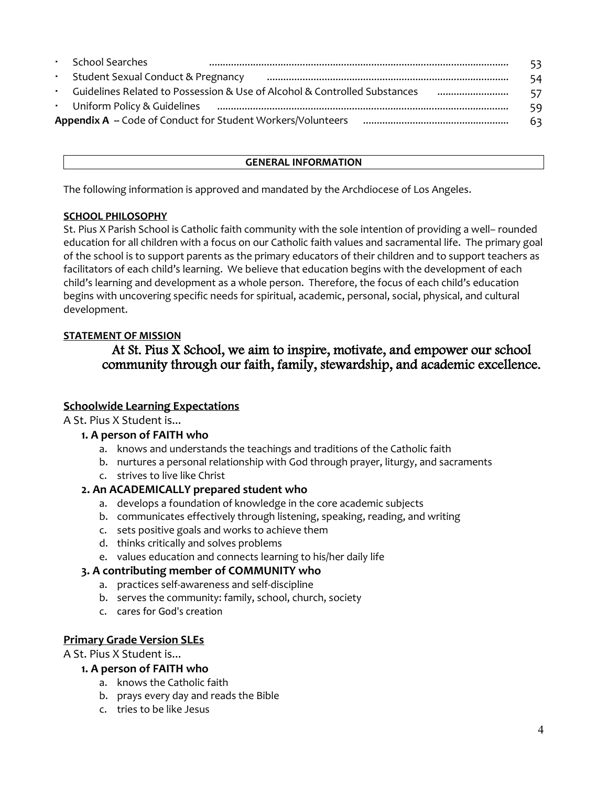| $\mathbf{r} = \mathbf{r}$ . | <b>School Searches</b>             |                                                                           | 53. |
|-----------------------------|------------------------------------|---------------------------------------------------------------------------|-----|
| $\sim$                      | Student Sexual Conduct & Pregnancy |                                                                           | 54  |
|                             |                                    | Guidelines Related to Possession & Use of Alcohol & Controlled Substances | 57  |
|                             | Uniform Policy & Guidelines        |                                                                           | 59  |
|                             |                                    | <b>Appendix A --</b> Code of Conduct for Student Workers/Volunteers       | 63  |

#### **GENERAL INFORMATION**

The following information is approved and mandated by the Archdiocese of Los Angeles.

### **SCHOOL PHILOSOPHY**

St. Pius X Parish School is Catholic faith community with the sole intention of providing a well– rounded education for all children with a focus on our Catholic faith values and sacramental life. The primary goal of the school is to support parents as the primary educators of their children and to support teachers as facilitators of each child's learning. We believe that education begins with the development of each child's learning and development as a whole person. Therefore, the focus of each child's education begins with uncovering specific needs for spiritual, academic, personal, social, physical, and cultural development.

# **STATEMENT OF MISSION**

# At St. Pius X School, we aim to inspire, motivate, and empower our school community through our faith, family, stewardship, and academic excellence.

# **Schoolwide Learning Expectations**

A St. Pius X Student is...

### **1. A person of FAITH who**

- a. knows and understands the teachings and traditions of the Catholic faith
- b. nurtures a personal relationship with God through prayer, liturgy, and sacraments
- c. strives to live like Christ

# **2. An ACADEMICALLY prepared student who**

- a. develops a foundation of knowledge in the core academic subjects
- b. communicates effectively through listening, speaking, reading, and writing
- c. sets positive goals and works to achieve them
- d. thinks critically and solves problems
- e. values education and connects learning to his/her daily life

# **3. A contributing member of COMMUNITY who**

- a. practices self-awareness and self-discipline
- b. serves the community: family, school, church, society
- c. cares for God's creation

### **Primary Grade Version SLEs**

A St. Pius X Student is...

- **1. A person of FAITH who**
	- a. knows the Catholic faith
	- b. prays every day and reads the Bible
	- c. tries to be like Jesus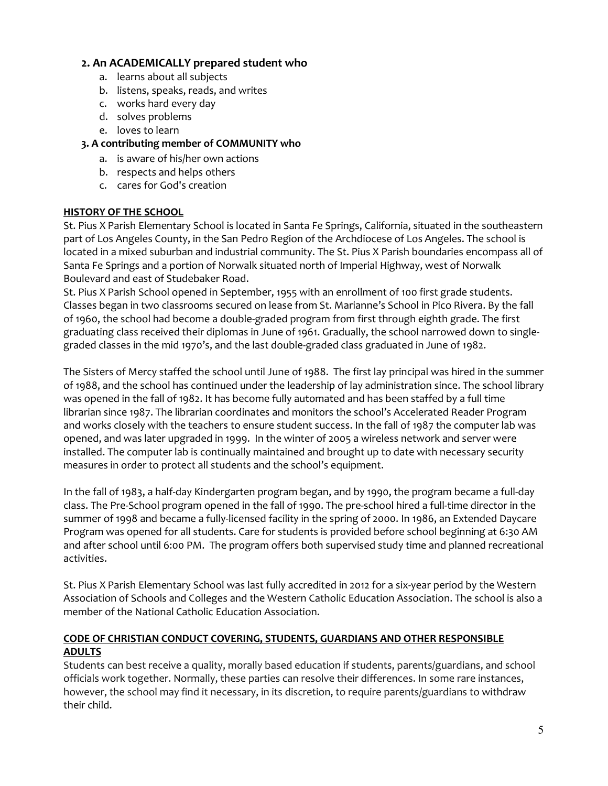## **2. An ACADEMICALLY prepared student who**

- a. learns about all subjects
- b. listens, speaks, reads, and writes
- c. works hard every day
- d. solves problems
- e. loves to learn

#### **3. A contributing member of COMMUNITY who**

- a. is aware of his/her own actions
- b. respects and helps others
- c. cares for God's creation

#### **HISTORY OF THE SCHOOL**

St. Pius X Parish Elementary School is located in Santa Fe Springs, California, situated in the southeastern part of Los Angeles County, in the San Pedro Region of the Archdiocese of Los Angeles. The school is located in a mixed suburban and industrial community. The St. Pius X Parish boundaries encompass all of Santa Fe Springs and a portion of Norwalk situated north of Imperial Highway, west of Norwalk Boulevard and east of Studebaker Road.

St. Pius X Parish School opened in September, 1955 with an enrollment of 100 first grade students. Classes began in two classrooms secured on lease from St. Marianne's School in Pico Rivera. By the fall of 1960, the school had become a double-graded program from first through eighth grade. The first graduating class received their diplomas in June of 1961. Gradually, the school narrowed down to singlegraded classes in the mid 1970's, and the last double-graded class graduated in June of 1982.

The Sisters of Mercy staffed the school until June of 1988. The first lay principal was hired in the summer of 1988, and the school has continued under the leadership of lay administration since. The school library was opened in the fall of 1982. It has become fully automated and has been staffed by a full time librarian since 1987. The librarian coordinates and monitors the school's Accelerated Reader Program and works closely with the teachers to ensure student success. In the fall of 1987 the computer lab was opened, and was later upgraded in 1999. In the winter of 2005 a wireless network and server were installed. The computer lab is continually maintained and brought up to date with necessary security measures in order to protect all students and the school's equipment.

In the fall of 1983, a half-day Kindergarten program began, and by 1990, the program became a full-day class. The Pre-School program opened in the fall of 1990. The pre-school hired a full-time director in the summer of 1998 and became a fully-licensed facility in the spring of 2000. In 1986, an Extended Daycare Program was opened for all students. Care for students is provided before school beginning at 6:30 AM and after school until 6:00 PM. The program offers both supervised study time and planned recreational activities.

St. Pius X Parish Elementary School was last fully accredited in 2012 for a six-year period by the Western Association of Schools and Colleges and the Western Catholic Education Association. The school is also a member of the National Catholic Education Association.

### **CODE OF CHRISTIAN CONDUCT COVERING, STUDENTS, GUARDIANS AND OTHER RESPONSIBLE ADULTS**

Students can best receive a quality, morally based education if students, parents/guardians, and school officials work together. Normally, these parties can resolve their differences. In some rare instances, however, the school may find it necessary, in its discretion, to require parents/guardians to [withdraw](http://handbook.la-archdiocese.org/chapter-13/section-13-4/topic-13-4-1)  [their child.](http://handbook.la-archdiocese.org/chapter-13/section-13-4/topic-13-4-1)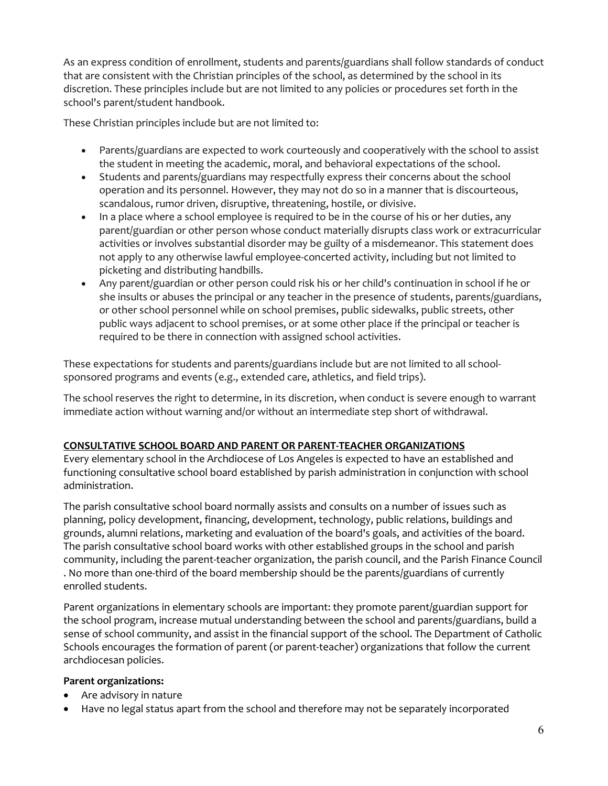As an express condition of enrollment, students and parents/guardians shall follow standards of conduct that are consistent with the Christian principles of the school, as determined by the school in its discretion. These principles include but are not limited to any policies or procedures set forth in the school's parent/student handbook.

These Christian principles include but are not limited to:

- Parents/guardians are expected to work courteously and cooperatively with the school to assist the student in meeting the academic, moral, and behavioral expectations of the school.
- Students and parents/guardians may respectfully express their concerns about the school operation and its personnel. However, they may not do so in a manner that is discourteous, scandalous, rumor driven, disruptive, threatening, hostile, or divisive.
- In a place where a school employee is required to be in the course of his or her duties, any parent/guardian or other person whose conduct materially disrupts class work or extracurricular activities or involves substantial disorder may be guilty of a misdemeanor. This statement does not apply to any otherwise lawful employee-concerted activity, including but not limited to picketing and distributing handbills.
- Any parent/guardian or other person could risk his or her child's continuation in school if he or she insults or abuses the principal or any teacher in the presence of students, parents/guardians, or other school personnel while on school premises, public sidewalks, public streets, other public ways adjacent to school premises, or at some other place if the principal or teacher is required to be there in connection with assigned school activities.

These expectations for students and parents/guardians include but are not limited to all schoolsponsored programs and events (e.g., extended care, athletics, and field trips).

The school reserves the right to determine, in its discretion, when conduct is severe enough to warrant immediate action without warning and/or without an intermediate step short of withdrawal.

### **CONSULTATIVE SCHOOL BOARD AND PARENT OR PARENT-TEACHER ORGANIZATIONS**

Every elementary school in the [Archdiocese of Los Angeles](http://handbook.la-archdiocese.org/chapter-1/section-1-1) is expected to have an established and functioning consultative school board established by parish administration in conjunction with school administration.

The [parish consultative school board](http://handbook.la-archdiocese.org/chapter-3/section-3-2/topic-3-2-3) normally assists and consults on a number of issues such as planning, policy development, financing, development, technology, public relations, buildings and grounds, alumni relations, marketing and evaluation of the board's goals, and activities of the board. The parish consultative school board works with other established groups in the school and parish community, including the [parent-teacher organization,](http://handbook.la-archdiocese.org/chapter-3/section-3-2/topic-3-2-4) the parish council, and the [Parish Finance Council](http://handbook.la-archdiocese.org/chapter-2/section-2-5/topic-2-5-2) . No more than one-third of the board membership should be the parents/guardians of currently enrolled students.

Parent organizations in elementary schools are important: they promote parent/guardian support for the school program, increase mutual understanding between the school and parents/guardians, build a sense of school community, and assist in the financial support of the school. The [Department of Catholic](http://www.lacatholicschools.org/)  [Schools](http://www.lacatholicschools.org/) encourages the formation of parent (or parent-teacher) organizations that follow the current archdiocesan policies.

### **Parent organizations:**

- Are advisory in nature
- Have no legal status apart from the school and therefore may not be separately incorporated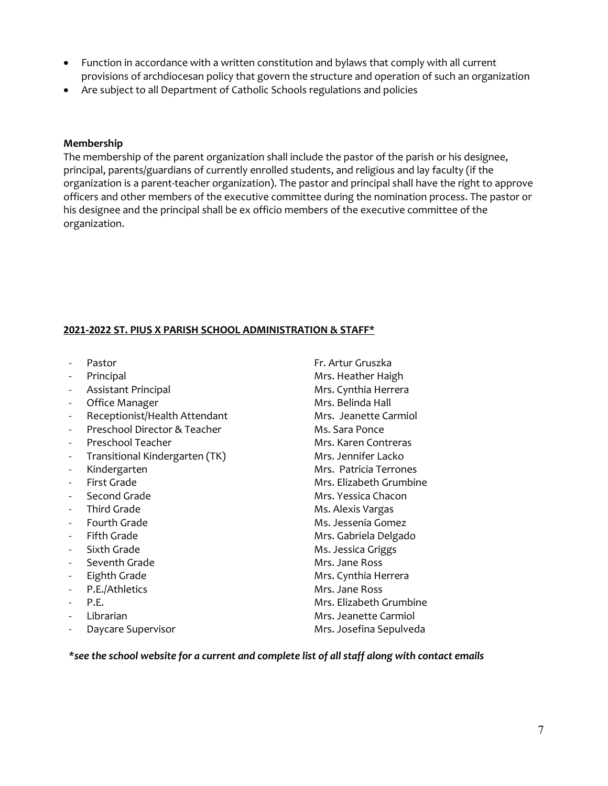- Function in accordance with a written constitution and bylaws that comply with all current provisions of archdiocesan policy that govern the structure and operation of such an organization
- Are subject to all [Department of Catholic Schools](http://www.lacatholicschools.org/) regulations and policies

#### **Membership**

The membership of the parent organization shall include the pastor of the parish or his designee, principal, parents/guardians of currently enrolled students, and religious and lay faculty (if the organization is a parent-teacher organization). The pastor and principal shall have the right to approve officers and other members of the executive committee during the nomination process. The pastor or his designee and the principal shall be ex officio members of the executive committee of the organization.

#### **2021-2022 ST. PIUS X PARISH SCHOOL ADMINISTRATION & STAFF\***

- 
- 
- Assistant Principal Mrs. Cynthia Herrera
- 
- Receptionist/Health Attendant Mrs. Jeanette Carmiol
- Preschool Director & Teacher Ms. Sara Ponce
- 
- Transitional Kindergarten (TK) Mrs. Jennifer Lacko
- 
- 
- 
- 
- 
- 
- 
- Seventh Grade Mrs. Jane Ross
- 
- P.E./Athletics
- P.E.
- 
- 

- Pastor Fr. Artur Gruszka Principal **Mrs. Heather Haigh** Office Manager **Mrs. Belinda Hall** Preschool Teacher Mrs. Karen Contreras Kindergarten Mrs. Patricia Terrones - First Grade Mrs. Elizabeth Grumbine Second Grade **Mrs. Yessica Chacon** Third Grade **Ms. Alexis Vargas** Fourth Grade **Ms. Jessenia Gomez** Fifth Grade **Mrs. Gabriela Delgado** Sixth Grade Ms. Jessica Griggs Eighth Grade **Mrs. Cynthia Herrera** Mrs. Jane Ross Mrs. Elizabeth Grumbine - Librarian Mrs. Jeanette Carmiol Daycare Supervisor **Mrs. Josefina Sepulveda** 

*\*see the school website for a current and complete list of all staff along with contact emails*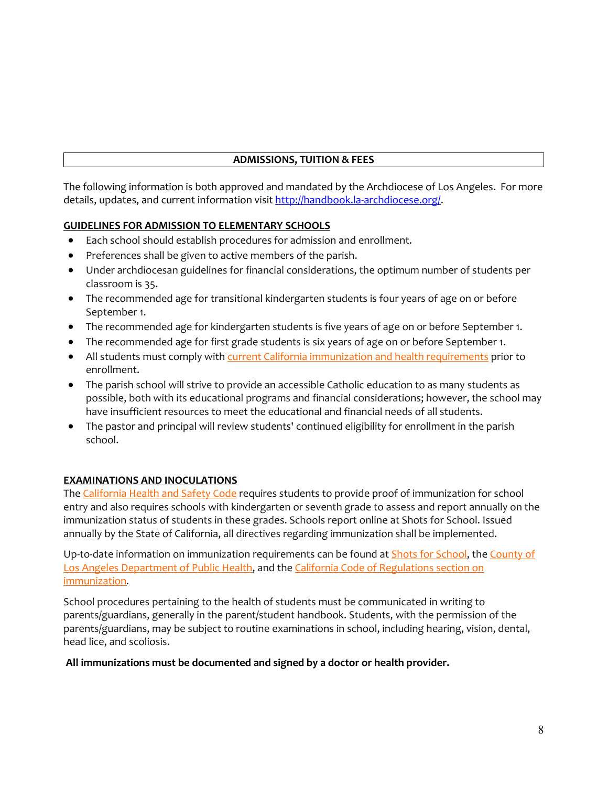### **ADMISSIONS, TUITION & FEES**

The following information is both approved and mandated by the Archdiocese of Los Angeles. For more details, updates, and current information visi[t http://handbook.la-archdiocese.org/.](http://handbook.la-archdiocese.org/)

### **GUIDELINES FOR ADMISSION TO ELEMENTARY SCHOOLS**

- Each school should establish procedures for admission and enrollment.
- Preferences shall be given to active members of the parish.
- Under archdiocesan guidelines for financial considerations, the optimum number of students per classroom is 35.
- The recommended age for transitional kindergarten students is four years of age on or before September 1.
- The recommended age for kindergarten students is five years of age on or before September 1.
- The recommended age for first grade students is six years of age on or before September 1.
- All students must comply with [current California immunization and health requirements](http://handbook.la-archdiocese.org/chapter-8/section-8-16) prior to enrollment.
- The parish school will strive to provide an accessible Catholic education to as many students as possible, both with its educational programs and financial considerations; however, the school may have insufficient resources to meet the educational and financial needs of all students.
- The pastor and principal will review students' continued eligibility for enrollment in the parish school.

# **EXAMINATIONS AND INOCULATIONS**

The [California Health and Safety Code](http://www.leginfo.ca.gov/cgi-bin/displaycode?section=hsc&group=120001-121000&file=120325-120380) requires students to provide proof of immunization for school entry and also requires schools with kindergarten or seventh grade to assess and report annually on the immunization status of students in these grades. Schools report online at Shots for School. Issued annually by the State of California, all directives regarding immunization shall be implemented.

Up-to-date information on immunization requirements can be found at **Shots for School**, the County of [Los Angeles Department of Public Health,](http://publichealth.lacounty.gov/) and the California Code of Regulations section on [immunization](http://eziz.org/assets/docs/IMM-1080.pdf)*.*

School procedures pertaining to the health of students must be communicated in writing to parents/guardians, generally in the parent/student handbook. Students, with the permission of the parents/guardians, may be subject to routine examinations in school, including hearing, vision, dental, head lice, and scoliosis.

### **All immunizations must be documented and signed by a doctor or health provider.**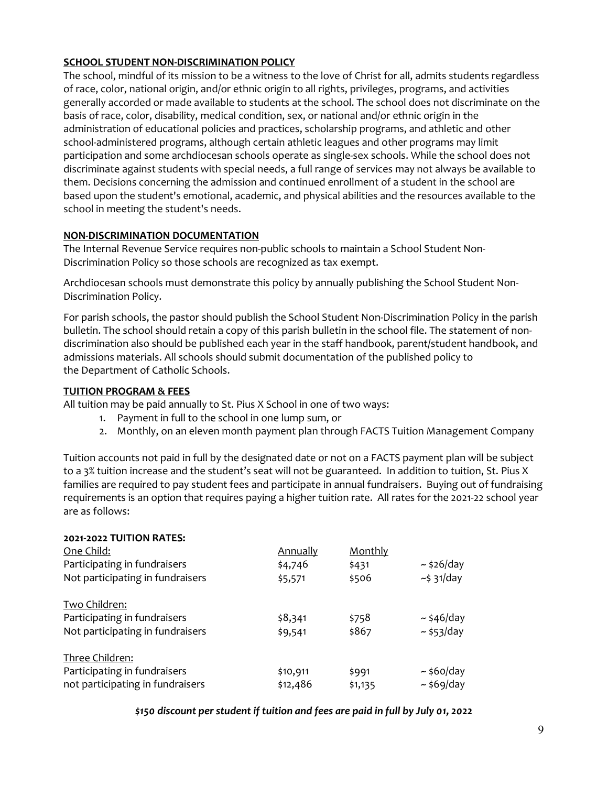## **SCHOOL STUDENT NON-DISCRIMINATION POLICY**

The school, mindful of its mission to be a witness to the love of Christ for all, admits students regardless of race, color, national origin, and/or ethnic origin to all rights, privileges, programs, and activities generally accorded or made available to students at the school. The school does not discriminate on the basis of race, color, disability, medical condition, sex, or national and/or ethnic origin in the administration of educational policies and practices, scholarship programs, and athletic and other school-administered programs, although certain athletic leagues and other programs may limit participation and some archdiocesan schools operate as single-sex schools. While the school does not discriminate against students with special needs, a full range of services may not always be available to them. Decisions concerning the admission and continued enrollment of a student in the school are based upon the student's emotional, academic, and physical abilities and the resources available to the school in meeting the student's needs.

### **NON-DISCRIMINATION DOCUMENTATION**

The Internal Revenue Service requires non-public schools to maintain a School Student Non-Discrimination Policy so those schools are recognized as tax exempt.

Archdiocesan schools must demonstrate this policy by annually publishing the School Student [Non-](http://handbook.la-archdiocese.org/chapter-13/section-13-1/topic-13-1-4)[Discrimination Policy.](http://handbook.la-archdiocese.org/chapter-13/section-13-1/topic-13-1-4)

For parish schools, the pastor should publish the School Student Non-Discrimination Policy in the parish bulletin. The school should retain a copy of this parish bulletin in the school file. The statement of nondiscrimination also should be published each year in the staff handbook, parent/student handbook, and admissions materials. All schools should submit documentation of the published policy to the [Department of Catholic Schools.](http://www.lacatholicschools.org/)

#### **TUITION PROGRAM & FEES**

All tuition may be paid annually to St. Pius X School in one of two ways:

- 1. Payment in full to the school in one lump sum, or
- 2. Monthly, on an eleven month payment plan through FACTS Tuition Management Company

Tuition accounts not paid in full by the designated date or not on a FACTS payment plan will be subject to a 3% tuition increase and the student's seat will not be guaranteed. In addition to tuition, St. Pius X families are required to pay student fees and participate in annual fundraisers. Buying out of fundraising requirements is an option that requires paying a higher tuition rate. All rates for the 2021-22 school year are as follows:

| 2021-2022 TUITION RATES:         |                 |         |                  |
|----------------------------------|-----------------|---------|------------------|
| One Child:                       | <b>Annually</b> | Monthly |                  |
| Participating in fundraisers     | \$4,746         | \$431   | $\sim$ \$26/day  |
| Not participating in fundraisers | \$5,571         | \$506   | $\sim$ \$ 31/day |
| <b>Two Children:</b>             |                 |         |                  |
| Participating in fundraisers     | \$8,341         | \$758   | $\sim$ \$46/day  |
| Not participating in fundraisers | \$9,541         | \$867   | $\sim$ \$53/day  |
| Three Children:                  |                 |         |                  |
| Participating in fundraisers     | \$10,911        | \$991   | $\sim$ \$60/day  |
| not participating in fundraisers | \$12,486        | \$1,135 | $\sim$ \$69/day  |

#### *\$150 discount per student if tuition and fees are paid in full by July 01, 2022*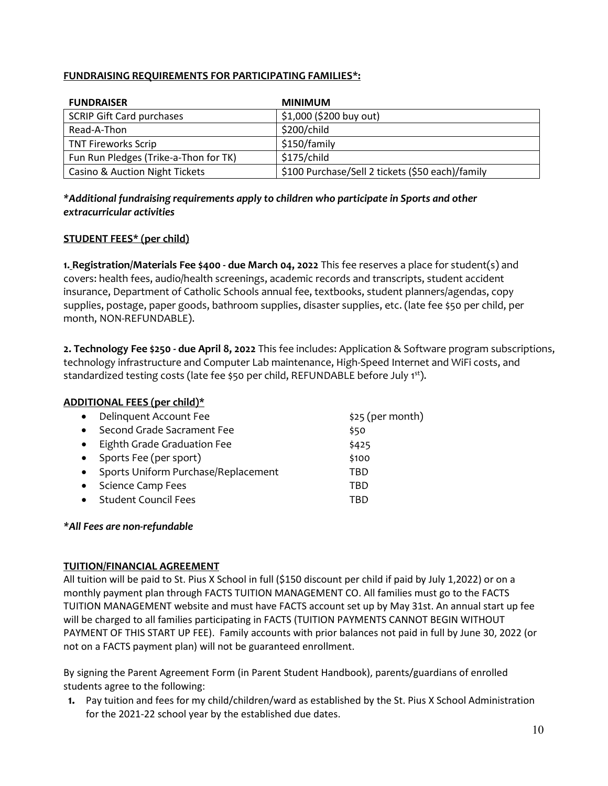#### **FUNDRAISING REQUIREMENTS FOR PARTICIPATING FAMILIES\*:**

| <b>FUNDRAISER</b>                     | <b>MINIMUM</b>                                   |
|---------------------------------------|--------------------------------------------------|
| <b>SCRIP Gift Card purchases</b>      | \$1,000 (\$200 buy out)                          |
| Read-A-Thon                           | \$200/child                                      |
| <b>TNT Fireworks Scrip</b>            | \$150/family                                     |
| Fun Run Pledges (Trike-a-Thon for TK) | \$175/child                                      |
| Casino & Auction Night Tickets        | \$100 Purchase/Sell 2 tickets (\$50 each)/family |

#### *\*Additional fundraising requirements apply to children who participate in Sports and other extracurricular activities*

### **STUDENT FEES\* (per child)**

**1. Registration/Materials Fee \$400 - due March 04, 2022** This fee reserves a place for student(s) and covers: health fees, audio/health screenings, academic records and transcripts, student accident insurance, Department of Catholic Schools annual fee, textbooks, student planners/agendas, copy supplies, postage, paper goods, bathroom supplies, disaster supplies, etc. (late fee \$50 per child, per month, NON-REFUNDABLE).

**2. Technology Fee \$250 - due April 8, 2022** This fee includes: Application & Software program subscriptions, technology infrastructure and Computer Lab maintenance, High-Speed Internet and WiFi costs, and standardized testing costs (late fee \$50 per child, REFUNDABLE before July 1<sup>st</sup>).

#### **ADDITIONAL FEES (per child)\***

| $\bullet$ | Delinquent Account Fee              | $$25$ (per month) |
|-----------|-------------------------------------|-------------------|
| $\bullet$ | Second Grade Sacrament Fee          | \$50              |
| $\bullet$ | Eighth Grade Graduation Fee         | \$425             |
| $\bullet$ | Sports Fee (per sport)              | \$100             |
| $\bullet$ | Sports Uniform Purchase/Replacement | TBD               |
| $\bullet$ | <b>Science Camp Fees</b>            | TBD               |
| $\bullet$ | <b>Student Council Fees</b>         | TBD               |
|           |                                     |                   |

#### *\*All Fees are non-refundable*

#### **TUITION/FINANCIAL AGREEMENT**

All tuition will be paid to St. Pius X School in full (\$150 discount per child if paid by July 1,2022) or on a monthly payment plan through FACTS TUITION MANAGEMENT CO. All families must go to the FACTS TUITION MANAGEMENT website and must have FACTS account set up by May 31st. An annual start up fee will be charged to all families participating in FACTS (TUITION PAYMENTS CANNOT BEGIN WITHOUT PAYMENT OF THIS START UP FEE). Family accounts with prior balances not paid in full by June 30, 2022 (or not on a FACTS payment plan) will not be guaranteed enrollment.

By signing the Parent Agreement Form (in Parent Student Handbook), parents/guardians of enrolled students agree to the following:

**1.** Pay tuition and fees for my child/children/ward as established by the St. Pius X School Administration for the 2021-22 school year by the established due dates.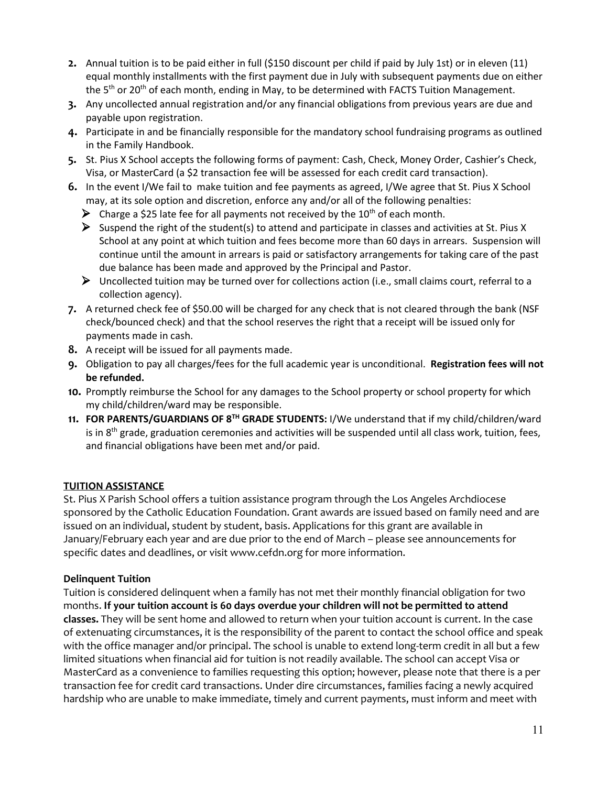- **2.** Annual tuition is to be paid either in full (\$150 discount per child if paid by July 1st) or in eleven (11) equal monthly installments with the first payment due in July with subsequent payments due on either the 5<sup>th</sup> or 20<sup>th</sup> of each month, ending in May, to be determined with FACTS Tuition Management.
- **3.** Any uncollected annual registration and/or any financial obligations from previous years are due and payable upon registration.
- **4.** Participate in and be financially responsible for the mandatory school fundraising programs as outlined in the Family Handbook.
- **5.** St. Pius X School accepts the following forms of payment: Cash, Check, Money Order, Cashier's Check, Visa, or MasterCard (a \$2 transaction fee will be assessed for each credit card transaction).
- **6.** In the event I/We fail to make tuition and fee payments as agreed, I/We agree that St. Pius X School may, at its sole option and discretion, enforce any and/or all of the following penalties:
	- $\triangleright$  Charge a \$25 late fee for all payments not received by the 10<sup>th</sup> of each month.
	- Suspend the right of the student(s) to attend and participate in classes and activities at St. Pius X School at any point at which tuition and fees become more than 60 days in arrears. Suspension will continue until the amount in arrears is paid or satisfactory arrangements for taking care of the past due balance has been made and approved by the Principal and Pastor.
	- $\triangleright$  Uncollected tuition may be turned over for collections action (i.e., small claims court, referral to a collection agency).
- **7.** A returned check fee of \$50.00 will be charged for any check that is not cleared through the bank (NSF check/bounced check) and that the school reserves the right that a receipt will be issued only for payments made in cash.
- **8.** A receipt will be issued for all payments made.
- **9.** Obligation to pay all charges/fees for the full academic year is unconditional. **Registration fees will not be refunded.**
- **10.** Promptly reimburse the School for any damages to the School property or school property for which my child/children/ward may be responsible.
- **11. FOR PARENTS/GUARDIANS OF 8TH GRADE STUDENTS:** I/We understand that if my child/children/ward is in  $8<sup>th</sup>$  grade, graduation ceremonies and activities will be suspended until all class work, tuition, fees, and financial obligations have been met and/or paid.

### **TUITION ASSISTANCE**

St. Pius X Parish School offers a tuition assistance program through the Los Angeles Archdiocese sponsored by the Catholic Education Foundation. Grant awards are issued based on family need and are issued on an individual, student by student, basis. Applications for this grant are available in January/February each year and are due prior to the end of March – please see announcements for specific dates and deadlines, or visit www.cefdn.org for more information.

### **Delinquent Tuition**

Tuition is considered delinquent when a family has not met their monthly financial obligation for two months. **If your tuition account is 60 days overdue your children will not be permitted to attend classes.** They will be sent home and allowed to return when your tuition account is current. In the case of extenuating circumstances, it is the responsibility of the parent to contact the school office and speak with the office manager and/or principal. The school is unable to extend long-term credit in all but a few limited situations when financial aid for tuition is not readily available. The school can accept Visa or MasterCard as a convenience to families requesting this option; however, please note that there is a per transaction fee for credit card transactions. Under dire circumstances, families facing a newly acquired hardship who are unable to make immediate, timely and current payments, must inform and meet with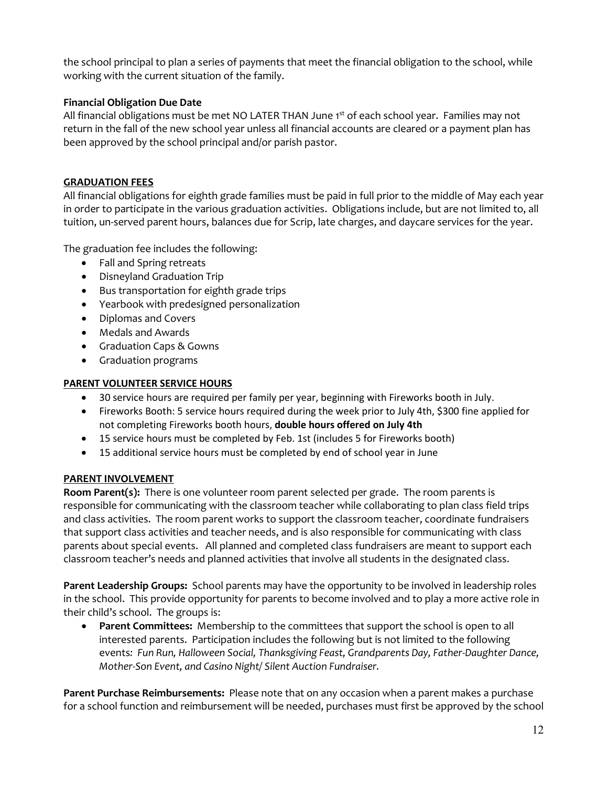the school principal to plan a series of payments that meet the financial obligation to the school, while working with the current situation of the family.

## **Financial Obligation Due Date**

All financial obligations must be met NO LATER THAN June 1<sup>st</sup> of each school year. Families may not return in the fall of the new school year unless all financial accounts are cleared or a payment plan has been approved by the school principal and/or parish pastor.

## **GRADUATION FEES**

All financial obligations for eighth grade families must be paid in full prior to the middle of May each year in order to participate in the various graduation activities. Obligations include, but are not limited to, all tuition, un-served parent hours, balances due for Scrip, late charges, and daycare services for the year.

The graduation fee includes the following:

- Fall and Spring retreats
- Disneyland Graduation Trip
- Bus transportation for eighth grade trips
- Yearbook with predesigned personalization
- Diplomas and Covers
- Medals and Awards
- Graduation Caps & Gowns
- Graduation programs

#### **PARENT VOLUNTEER SERVICE HOURS**

- 30 service hours are required per family per year, beginning with Fireworks booth in July.
- Fireworks Booth: 5 service hours required during the week prior to July 4th, \$300 fine applied for not completing Fireworks booth hours, **double hours offered on July 4th**
- 15 service hours must be completed by Feb. 1st (includes 5 for Fireworks booth)
- 15 additional service hours must be completed by end of school year in June

### **PARENT INVOLVEMENT**

**Room Parent(s):** There is one volunteer room parent selected per grade. The room parents is responsible for communicating with the classroom teacher while collaborating to plan class field trips and class activities. The room parent works to support the classroom teacher, coordinate fundraisers that support class activities and teacher needs, and is also responsible for communicating with class parents about special events. All planned and completed class fundraisers are meant to support each classroom teacher's needs and planned activities that involve all students in the designated class.

**Parent Leadership Groups:** School parents may have the opportunity to be involved in leadership roles in the school. This provide opportunity for parents to become involved and to play a more active role in their child's school. The groups is:

• **Parent Committees:** Membership to the committees that support the school is open to all interested parents. Participation includes the following but is not limited to the following events*: Fun Run, Halloween Social, Thanksgiving Feast, Grandparents Day, Father-Daughter Dance, Mother-Son Event, and Casino Night/ Silent Auction Fundraiser.*

**Parent Purchase Reimbursements:** Please note that on any occasion when a parent makes a purchase for a school function and reimbursement will be needed, purchases must first be approved by the school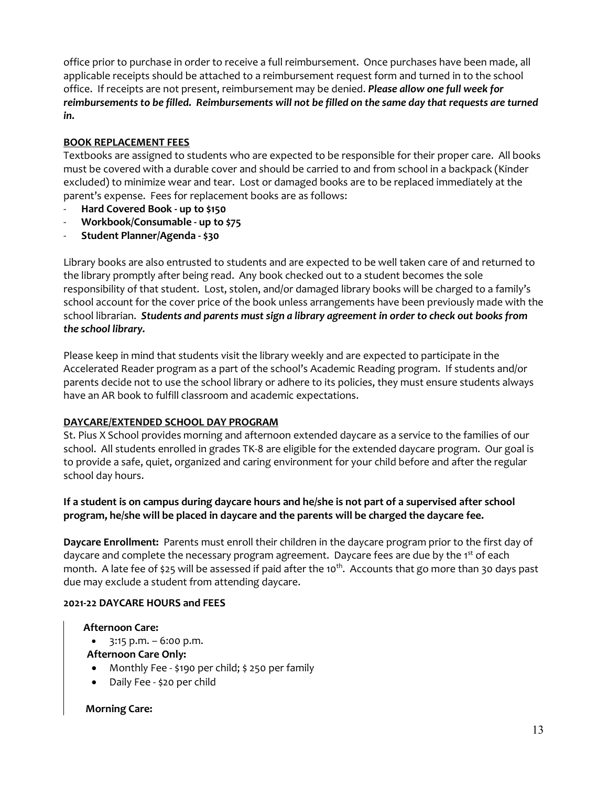office prior to purchase in order to receive a full reimbursement. Once purchases have been made, all applicable receipts should be attached to a reimbursement request form and turned in to the school office. If receipts are not present, reimbursement may be denied. *Please allow one full week for reimbursements to be filled. Reimbursements will not be filled on the same day that requests are turned in.* 

## **BOOK REPLACEMENT FEES**

Textbooks are assigned to students who are expected to be responsible for their proper care. All books must be covered with a durable cover and should be carried to and from school in a backpack (Kinder excluded) to minimize wear and tear. Lost or damaged books are to be replaced immediately at the parent's expense. Fees for replacement books are as follows:

- **Hard Covered Book - up to \$150**
- **Workbook/Consumable - up to \$75**
- **Student Planner/Agenda - \$30**

Library books are also entrusted to students and are expected to be well taken care of and returned to the library promptly after being read. Any book checked out to a student becomes the sole responsibility of that student. Lost, stolen, and/or damaged library books will be charged to a family's school account for the cover price of the book unless arrangements have been previously made with the school librarian. *Students and parents must sign a library agreement in order to check out books from the school library.* 

Please keep in mind that students visit the library weekly and are expected to participate in the Accelerated Reader program as a part of the school's Academic Reading program. If students and/or parents decide not to use the school library or adhere to its policies, they must ensure students always have an AR book to fulfill classroom and academic expectations.

### **DAYCARE/EXTENDED SCHOOL DAY PROGRAM**

St. Pius X School provides morning and afternoon extended daycare as a service to the families of our school. All students enrolled in grades TK-8 are eligible for the extended daycare program. Our goal is to provide a safe, quiet, organized and caring environment for your child before and after the regular school day hours.

## **If a student is on campus during daycare hours and he/she is not part of a supervised after school program, he/she will be placed in daycare and the parents will be charged the daycare fee.**

**Daycare Enrollment:** Parents must enroll their children in the daycare program prior to the first day of daycare and complete the necessary program agreement. Daycare fees are due by the 1<sup>st</sup> of each month. A late fee of \$25 will be assessed if paid after the 10<sup>th</sup>. Accounts that go more than 30 days past due may exclude a student from attending daycare.

### **2021-22 DAYCARE HOURS and FEES**

### **Afternoon Care:**

- $\bullet$  3:15 p.m. 6:00 p.m.
- **Afternoon Care Only:**
- Monthly Fee \$190 per child; \$ 250 per family
- Daily Fee \$20 per child

### **Morning Care:**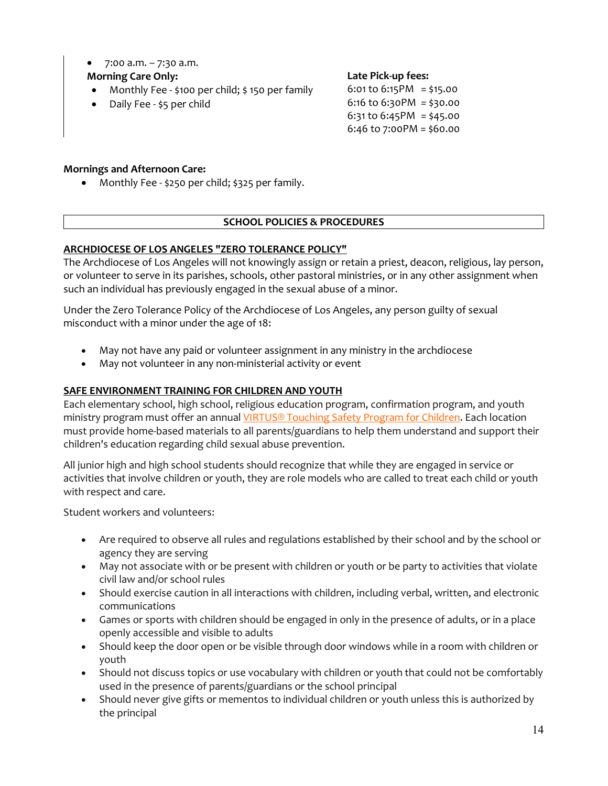• 7:00 a.m. – 7:30 a.m.

# **Morning Care Only:**

- Monthly Fee \$100 per child; \$ 150 per family
- Daily Fee \$5 per child

**Late Pick-up fees:**

6:01 to  $6:15PM = $15.00$ 6:16 to 6:30PM = \$30.00 6:31 to 6:45PM = \$45.00 6:46 to 7:00PM = \$60.00

# **Mornings and Afternoon Care:**

• Monthly Fee - \$250 per child; \$325 per family.

# **SCHOOL POLICIES & PROCEDURES**

# **ARCHDIOCESE OF LOS ANGELES "ZERO TOLERANCE POLICY"**

The [Archdiocese of Los Angeles](http://handbook.la-archdiocese.org/chapter-1/section-1-1) will not knowingly assign or retain a priest, deacon, religious, lay person, or volunteer to serve in its parishes, schools, other pastoral ministries, or in any other assignment when such an individual has previously engaged in the sexual abuse of a minor.

Under the [Zero Tolerance Policy](http://www.la-archdiocese.org/org/protecting/Pages/policies/megans.aspx) of the Archdiocese of Los Angeles, any person guilty of sexual misconduct with a minor under the age of 18:

- May not have any paid or volunteer assignment in any ministry in the archdiocese
- May not volunteer in any non-ministerial activity or event

## **SAFE ENVIRONMENT TRAINING FOR CHILDREN AND YOUTH**

Each elementary school, high school, religious education program, confirmation program, and youth ministry program must offer an annual [VIRTUS® Touching Safety Program for Children.](https://www.virtus.org/virtus/productsandservices.cfm) Each location must provide home-based materials to all parents/guardians to help them understand and support their children's education regarding child sexual abuse prevention.

All junior high and high school students should recognize that while they are engaged in service or activities that involve children or youth, they are role models who are called to treat each child or youth with respect and care.

Student workers and volunteers:

- Are required to observe all rules and regulations established by their school and by the school or agency they are serving
- May not associate with or be present with children or youth or be party to activities that violate civil law and/or school rules
- Should exercise caution in all interactions with children, including verbal, written, and electronic communications
- Games or sports with children should be engaged in only in the presence of adults, or in a place openly accessible and visible to adults
- Should keep the door open or be visible through door windows while in a room with children or youth
- Should not discuss topics or use vocabulary with children or youth that could not be comfortably used in the presence of parents/guardians or the school principal
- Should never give gifts or mementos to individual children or youth unless this is authorized by the principal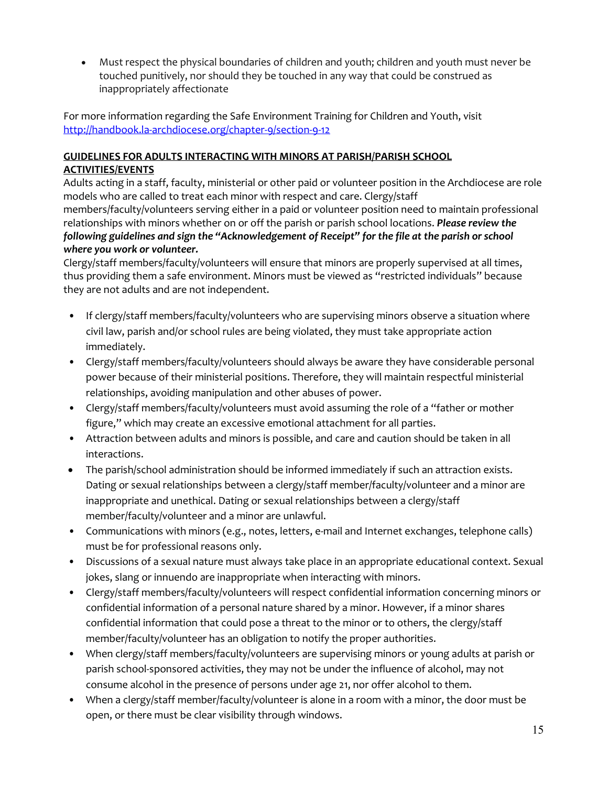• Must respect the physical boundaries of children and youth; children and youth must never be touched punitively, nor should they be touched in any way that could be construed as inappropriately affectionate

For more information regarding the Safe Environment Training for Children and Youth, visit <http://handbook.la-archdiocese.org/chapter-9/section-9-12>

# **GUIDELINES FOR ADULTS INTERACTING WITH MINORS AT PARISH/PARISH SCHOOL ACTIVITIES/EVENTS**

Adults acting in a staff, faculty, ministerial or other paid or volunteer position in the Archdiocese are role models who are called to treat each minor with respect and care. Clergy/staff members/faculty/volunteers serving either in a paid or volunteer position need to maintain professional relationships with minors whether on or off the parish or parish school locations. *Please review the following guidelines and sign the "Acknowledgement of Receipt" for the file at the parish or school where you work or volunteer.* 

Clergy/staff members/faculty/volunteers will ensure that minors are properly supervised at all times, thus providing them a safe environment. Minors must be viewed as "restricted individuals" because they are not adults and are not independent.

- If clergy/staff members/faculty/volunteers who are supervising minors observe a situation where civil law, parish and/or school rules are being violated, they must take appropriate action immediately.
- Clergy/staff members/faculty/volunteers should always be aware they have considerable personal power because of their ministerial positions. Therefore, they will maintain respectful ministerial relationships, avoiding manipulation and other abuses of power.
- Clergy/staff members/faculty/volunteers must avoid assuming the role of a "father or mother figure," which may create an excessive emotional attachment for all parties.
- Attraction between adults and minors is possible, and care and caution should be taken in all interactions.
- The parish/school administration should be informed immediately if such an attraction exists. Dating or sexual relationships between a clergy/staff member/faculty/volunteer and a minor are inappropriate and unethical. Dating or sexual relationships between a clergy/staff member/faculty/volunteer and a minor are unlawful.
- Communications with minors (e.g., notes, letters, e-mail and Internet exchanges, telephone calls) must be for professional reasons only.
- Discussions of a sexual nature must always take place in an appropriate educational context. Sexual jokes, slang or innuendo are inappropriate when interacting with minors.
- Clergy/staff members/faculty/volunteers will respect confidential information concerning minors or confidential information of a personal nature shared by a minor. However, if a minor shares confidential information that could pose a threat to the minor or to others, the clergy/staff member/faculty/volunteer has an obligation to notify the proper authorities.
- When clergy/staff members/faculty/volunteers are supervising minors or young adults at parish or parish school-sponsored activities, they may not be under the influence of alcohol, may not consume alcohol in the presence of persons under age 21, nor offer alcohol to them.
- When a clergy/staff member/faculty/volunteer is alone in a room with a minor, the door must be open, or there must be clear visibility through windows.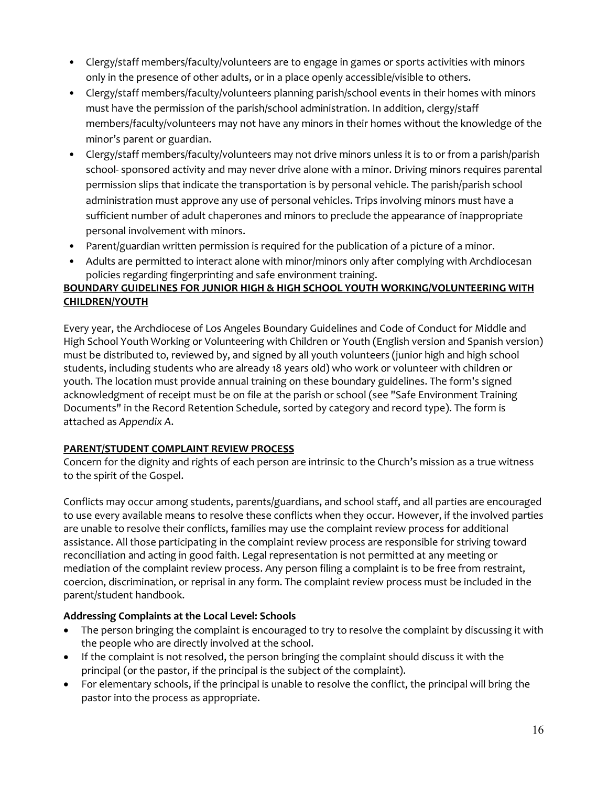- Clergy/staff members/faculty/volunteers are to engage in games or sports activities with minors only in the presence of other adults, or in a place openly accessible/visible to others.
- Clergy/staff members/faculty/volunteers planning parish/school events in their homes with minors must have the permission of the parish/school administration. In addition, clergy/staff members/faculty/volunteers may not have any minors in their homes without the knowledge of the minor's parent or guardian.
- Clergy/staff members/faculty/volunteers may not drive minors unless it is to or from a parish/parish school- sponsored activity and may never drive alone with a minor. Driving minors requires parental permission slips that indicate the transportation is by personal vehicle. The parish/parish school administration must approve any use of personal vehicles. Trips involving minors must have a sufficient number of adult chaperones and minors to preclude the appearance of inappropriate personal involvement with minors.
- Parent/guardian written permission is required for the publication of a picture of a minor.
- Adults are permitted to interact alone with minor/minors only after complying with Archdiocesan policies regarding fingerprinting and safe environment training.

## **BOUNDARY GUIDELINES FOR JUNIOR HIGH & HIGH SCHOOL YOUTH WORKING/VOLUNTEERING WITH CHILDREN/YOUTH**

Every year, the Archdiocese of Los Angeles Boundary Guidelines and Code of Conduct for Middle and High School Youth Working or Volunteering with Children or Youth [\(English version](http://handbook.la-archdiocese.org/Handbook%20Resources/boundary_guidelines_and_code_of_conduct_for_middle_and_high_school_youth_working_or_volunteering_with_children_or_youth.pdf) and [Spanish version\)](http://handbook.la-archdiocese.org/Pages/Office%20of%20the%20Legal%20Counsel.aspx) must be distributed to, reviewed by, and signed by all youth volunteers (junior high and high school students, including students who are already 18 years old) who work or volunteer with children or youth. The location must provide annual training on these boundary guidelines. The form's signed acknowledgment of receipt must be on file at the parish or school (see "Safe Environment Training Documents" in the Record Retention Schedule, sorted by [category](http://handbook.la-archdiocese.org/Handbook%20Resources/record_retention_schedule_sort_category.pdf) and [record](http://handbook.la-archdiocese.org/Handbook%20Resources/record_retention_schedule_sort_record_type.pdf) type). The form is attached as *Appendix A*.

### **PARENT/STUDENT COMPLAINT REVIEW PROCESS**

Concern for the dignity and rights of each person are intrinsic to the Church's mission as a true witness to the spirit of the Gospel.

Conflicts may occur among students, parents/guardians, and school staff, and all parties are encouraged to use every available means to resolve these conflicts when they occur. However, if the involved parties are unable to resolve their conflicts, families may use the complaint review process for additional assistance. All those participating in the complaint review process are responsible for striving toward reconciliation and acting in good faith. Legal representation is not permitted at any meeting or mediation of the complaint review process. Any person filing a complaint is to be free from restraint, coercion, discrimination, or reprisal in any form. The complaint review process must be included in the parent/student handbook.

# **Addressing Complaints at the Local Level: Schools**

- The person bringing the complaint is encouraged to try to resolve the complaint by discussing it with the people who are directly involved at the school.
- If the complaint is not resolved, the person bringing the complaint should discuss it with the principal (or the pastor, if the principal is the subject of the complaint).
- For elementary schools, if the principal is unable to resolve the conflict, the principal will bring the pastor into the process as appropriate.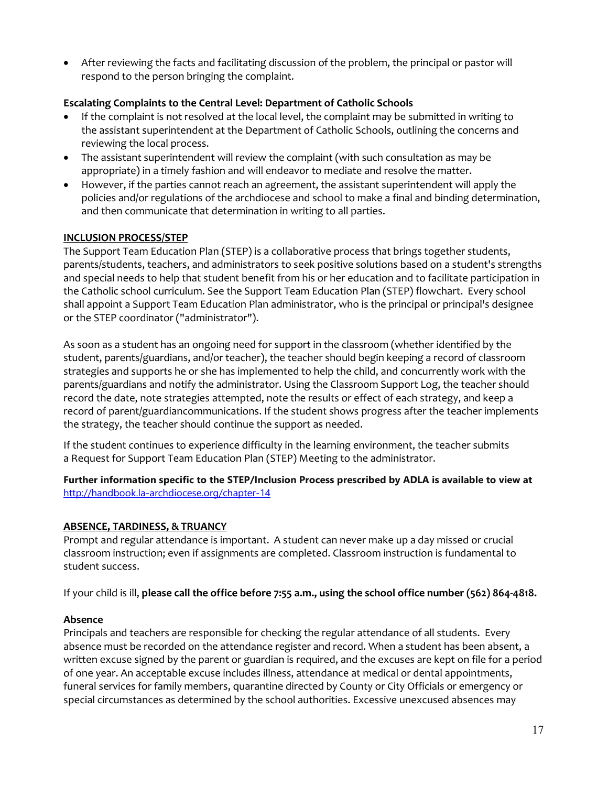• After reviewing the facts and facilitating discussion of the problem, the principal or pastor will respond to the person bringing the complaint.

#### **Escalating Complaints to the Central Level: Department of Catholic Schools**

- If the complaint is not resolved at the local level, the complaint may be submitted in writing to the [assistant superintendent at the Department of Catholic Schools,](http://www.lacatholicschools.org/about-us/our-team) outlining the concerns and reviewing the local process.
- The assistant superintendent will review the complaint (with such consultation as may be appropriate) in a timely fashion and will endeavor to mediate and resolve the matter.
- However, if the parties cannot reach an agreement, the assistant superintendent will apply the policies and/or regulations of the archdiocese and school to make a final and binding determination, and then communicate that determination in writing to all parties.

#### **INCLUSION PROCESS/STEP**

The Support Team Education Plan (STEP) is a collaborative process that brings together students, parents/students, teachers, and administrators to seek positive solutions based on a student's strengths and special needs to help that student benefit from his or her education and to facilitate participation in the Catholic school curriculum. See the [Support Team Education Plan \(STEP\) flowchart.](http://handbook.la-archdiocese.org/Handbook%20Resources/support_team_education_plan_STEP_flowchart.doc) Every school shall appoint a Support Team Education Plan administrator, who is the principal or principal's designee or the STEP coordinator ("administrator").

As soon as a student has an ongoing need for support in the classroom (whether identified by the student, parents/guardians, and/or teacher), the teacher should begin keeping a record of classroom strategies and supports he or she has implemented to help the child, and concurrently work with the parents/guardians and notify the administrator. Using the [Classroom Support Log,](http://handbook.la-archdiocese.org/Handbook%20Resources/STEP_form_1_classroom_support_log.doc) the teacher should record the date, note strategies attempted, note the results or effect of each strategy, and keep a record of parent/guardiancommunications. If the student shows progress after the teacher implements the strategy, the teacher should continue the support as needed.

If the student continues to experience difficulty in the learning environment, the teacher submits a [Request for Support Team Education Plan \(STEP\) Meeting](http://handbook.la-archdiocese.org/Handbook%20Resources/STEP_form_2_request_for_support_team_education_plan_STEP_meeting.doc) to the administrator.

**Further information specific to the STEP/Inclusion Process prescribed by ADLA is available to view at**  <http://handbook.la-archdiocese.org/chapter-14>

### **ABSENCE, TARDINESS, & TRUANCY**

Prompt and regular attendance is important. A student can never make up a day missed or crucial classroom instruction; even if assignments are completed. Classroom instruction is fundamental to student success.

If your child is ill, **please call the office before 7:55 a.m., using the school office number (562) 864-4818.**

#### **Absence**

Principals and teachers are responsible for checking the regular attendance of all students. Every absence must be recorded on the attendance register and record. When a student has been absent, a written excuse signed by the parent or guardian is required, and the excuses are kept on file for a period of one year. An acceptable excuse includes illness, attendance at medical or dental appointments, funeral services for family members, quarantine directed by County or City Officials or emergency or special circumstances as determined by the school authorities. Excessive unexcused absences may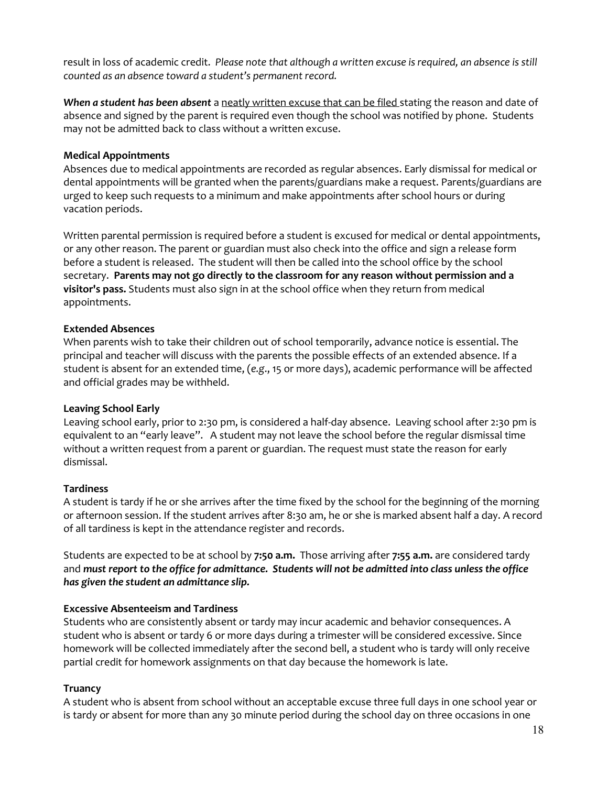result in loss of academic credit. *Please note that although a written excuse is required, an absence is still counted as an absence toward a student's permanent record.*

*When a student has been absent* a neatly written excuse that can be filed stating the reason and date of absence and signed by the parent is required even though the school was notified by phone. Students may not be admitted back to class without a written excuse.

### **Medical Appointments**

Absences due to medical appointments are recorded as regular absences. Early dismissal for medical or dental appointments will be granted when the parents/guardians make a request. Parents/guardians are urged to keep such requests to a minimum and make appointments after school hours or during vacation periods.

Written parental permission is required before a student is excused for medical or dental appointments, or any other reason. The parent or guardian must also check into the office and sign a release form before a student is released. The student will then be called into the school office by the school secretary. **Parents may not go directly to the classroom for any reason without permission and a visitor's pass.** Students must also sign in at the school office when they return from medical appointments.

#### **Extended Absences**

When parents wish to take their children out of school temporarily, advance notice is essential. The principal and teacher will discuss with the parents the possible effects of an extended absence. If a student is absent for an extended time, (*e.g*., 15 or more days), academic performance will be affected and official grades may be withheld.

### **Leaving School Early**

Leaving school early, prior to 2:30 pm, is considered a half-day absence. Leaving school after 2:30 pm is equivalent to an "early leave". A student may not leave the school before the regular dismissal time without a written request from a parent or guardian. The request must state the reason for early dismissal.

#### **Tardiness**

A student is tardy if he or she arrives after the time fixed by the school for the beginning of the morning or afternoon session. If the student arrives after 8:30 am, he or she is marked absent half a day. A record of all tardiness is kept in the attendance register and records.

Students are expected to be at school by **7:50 a.m.** Those arriving after **7:55 a.m.** are considered tardy and *must report to the office for admittance. Students will not be admitted into class unless the office has given the student an admittance slip.*

#### **Excessive Absenteeism and Tardiness**

Students who are consistently absent or tardy may incur academic and behavior consequences. A student who is absent or tardy 6 or more days during a trimester will be considered excessive. Since homework will be collected immediately after the second bell, a student who is tardy will only receive partial credit for homework assignments on that day because the homework is late.

#### **Truancy**

A student who is absent from school without an acceptable excuse three full days in one school year or is tardy or absent for more than any 30 minute period during the school day on three occasions in one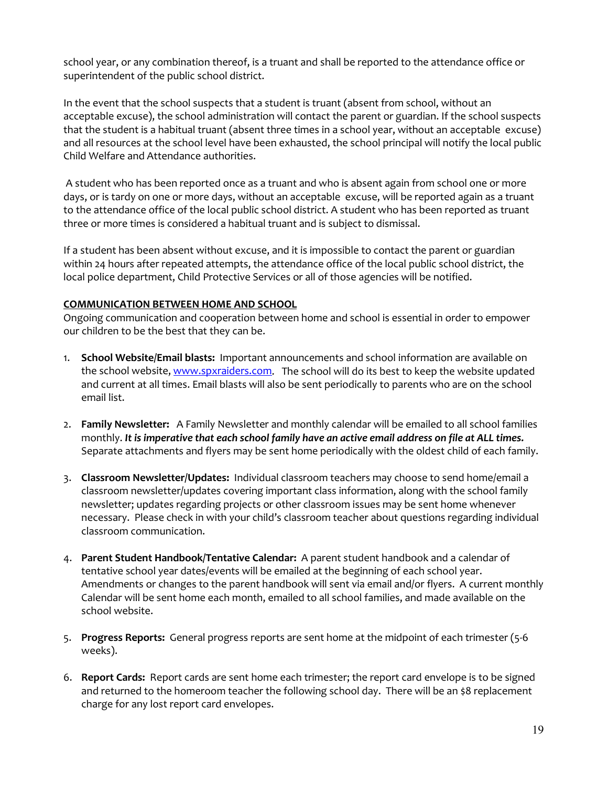school year, or any combination thereof, is a truant and shall be reported to the attendance office or superintendent of the public school district.

In the event that the school suspects that a student is truant (absent from school, without an acceptable excuse), the school administration will contact the parent or guardian. If the school suspects that the student is a habitual truant (absent three times in a school year, without an acceptable excuse) and all resources at the school level have been exhausted, the school principal will notify the local public Child Welfare and Attendance authorities.

A student who has been reported once as a truant and who is absent again from school one or more days, or is tardy on one or more days, without an acceptable excuse, will be reported again as a truant to the attendance office of the local public school district. A student who has been reported as truant three or more times is considered a habitual truant and is subject to dismissal.

If a student has been absent without excuse, and it is impossible to contact the parent or guardian within 24 hours after repeated attempts, the attendance office of the local public school district, the local police department, Child Protective Services or all of those agencies will be notified.

#### **COMMUNICATION BETWEEN HOME AND SCHOOL**

Ongoing communication and cooperation between home and school is essential in order to empower our children to be the best that they can be.

- 1. **School Website/Email blasts:** Important announcements and school information are available on the school website[, www.spxraiders.com.](http://www.spxraiders.com/) The school will do its best to keep the website updated and current at all times. Email blasts will also be sent periodically to parents who are on the school email list.
- 2. **Family Newsletter:** A Family Newsletter and monthly calendar will be emailed to all school families monthly. *It is imperative that each school family have an active email address on file at ALL times.*  Separate attachments and flyers may be sent home periodically with the oldest child of each family.
- 3. **Classroom Newsletter/Updates:** Individual classroom teachers may choose to send home/email a classroom newsletter/updates covering important class information, along with the school family newsletter; updates regarding projects or other classroom issues may be sent home whenever necessary. Please check in with your child's classroom teacher about questions regarding individual classroom communication.
- 4. **Parent Student Handbook/Tentative Calendar:** A parent student handbook and a calendar of tentative school year dates/events will be emailed at the beginning of each school year. Amendments or changes to the parent handbook will sent via email and/or flyers. A current monthly Calendar will be sent home each month, emailed to all school families, and made available on the school website.
- 5. **Progress Reports:** General progress reports are sent home at the midpoint of each trimester (5-6 weeks).
- 6. **Report Cards:** Report cards are sent home each trimester; the report card envelope is to be signed and returned to the homeroom teacher the following school day. There will be an \$8 replacement charge for any lost report card envelopes.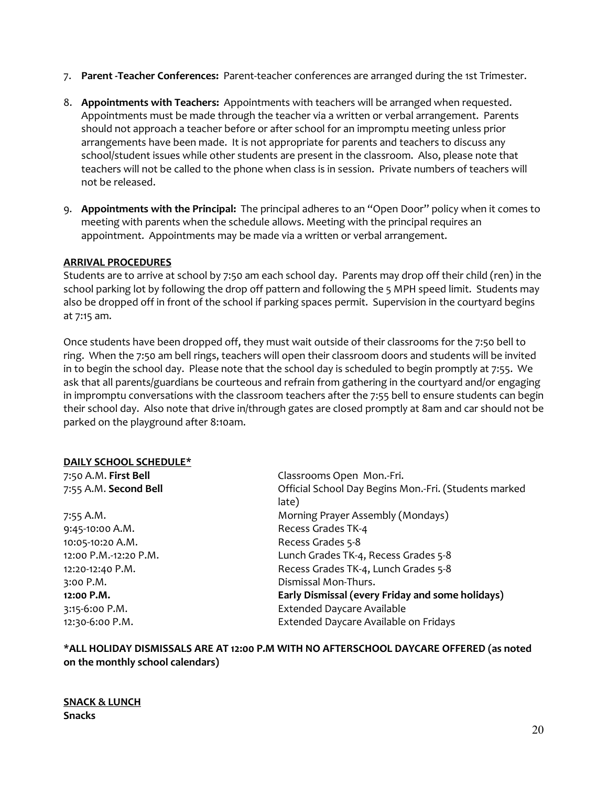- 7. **Parent -Teacher Conferences:** Parent-teacher conferences are arranged during the 1st Trimester.
- 8. **Appointments with Teachers:** Appointments with teachers will be arranged when requested. Appointments must be made through the teacher via a written or verbal arrangement. Parents should not approach a teacher before or after school for an impromptu meeting unless prior arrangements have been made. It is not appropriate for parents and teachers to discuss any school/student issues while other students are present in the classroom. Also, please note that teachers will not be called to the phone when class is in session. Private numbers of teachers will not be released.
- 9. **Appointments with the Principal:** The principal adheres to an "Open Door" policy when it comes to meeting with parents when the schedule allows. Meeting with the principal requires an appointment. Appointments may be made via a written or verbal arrangement.

#### **ARRIVAL PROCEDURES**

Students are to arrive at school by 7:50 am each school day. Parents may drop off their child (ren) in the school parking lot by following the drop off pattern and following the 5 MPH speed limit. Students may also be dropped off in front of the school if parking spaces permit. Supervision in the courtyard begins at 7:15 am.

Once students have been dropped off, they must wait outside of their classrooms for the 7:50 bell to ring. When the 7:50 am bell rings, teachers will open their classroom doors and students will be invited in to begin the school day. Please note that the school day is scheduled to begin promptly at 7:55. We ask that all parents/guardians be courteous and refrain from gathering in the courtyard and/or engaging in impromptu conversations with the classroom teachers after the 7:55 bell to ensure students can begin their school day. Also note that drive in/through gates are closed promptly at 8am and car should not be parked on the playground after 8:10am.

#### **DAILY SCHOOL SCHEDULE\***

9:45-10:00 A.M. Recess Grades TK-4 10:05-10:20 A.M. Recess Grades 5-8

7:50 A.M. **First Bell** Classrooms Open Mon.-Fri. 7:55 A.M. **Second Bell** Official School Day Begins Mon.-Fri. (Students marked late) 7:55 A.M. Morning Prayer Assembly (Mondays) 12:00 P.M.-12:20 P.M. Lunch Grades TK-4, Recess Grades 5-8 12:20-12:40 P.M. Recess Grades TK-4, Lunch Grades 5-8 3:00 P.M. Dismissal Mon-Thurs. **12:00 P.M. Early Dismissal (every Friday and some holidays)** 3:15-6:00 P.M. Extended Daycare Available 12:30-6:00 P.M. Extended Daycare Available on Fridays

**\*ALL HOLIDAY DISMISSALS ARE AT 12:00 P.M WITH NO AFTERSCHOOL DAYCARE OFFERED (as noted on the monthly school calendars)**

#### **SNACK & LUNCH Snacks**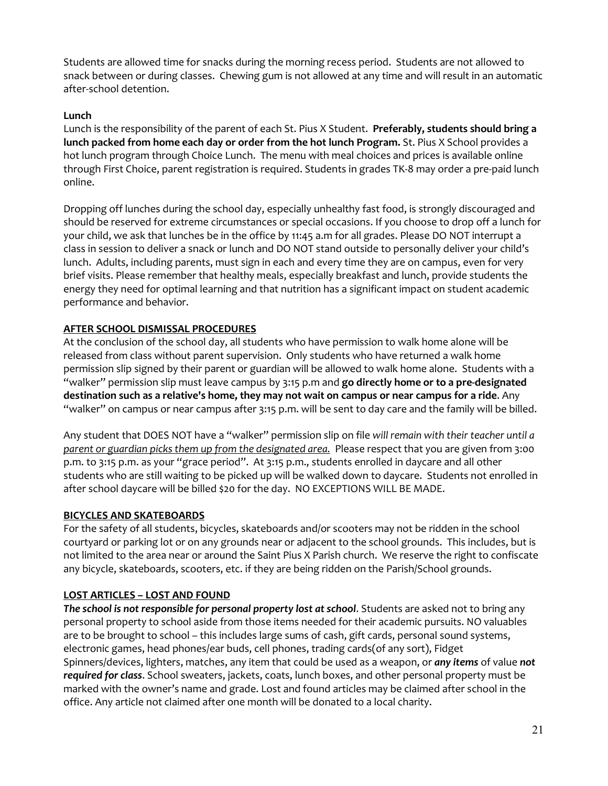Students are allowed time for snacks during the morning recess period. Students are not allowed to snack between or during classes. Chewing gum is not allowed at any time and will result in an automatic after-school detention.

### **Lunch**

Lunch is the responsibility of the parent of each St. Pius X Student. **Preferably, students should bring a lunch packed from home each day or order from the hot lunch Program.** St. Pius X School provides a hot lunch program through Choice Lunch. The menu with meal choices and prices is available online through First Choice, parent registration is required. Students in grades TK-8 may order a pre-paid lunch online.

Dropping off lunches during the school day, especially unhealthy fast food, is strongly discouraged and should be reserved for extreme circumstances or special occasions. If you choose to drop off a lunch for your child, we ask that lunches be in the office by 11:45 a.m for all grades. Please DO NOT interrupt a class in session to deliver a snack or lunch and DO NOT stand outside to personally deliver your child's lunch. Adults, including parents, must sign in each and every time they are on campus, even for very brief visits. Please remember that healthy meals, especially breakfast and lunch, provide students the energy they need for optimal learning and that nutrition has a significant impact on student academic performance and behavior.

## **AFTER SCHOOL DISMISSAL PROCEDURES**

At the conclusion of the school day, all students who have permission to walk home alone will be released from class without parent supervision. Only students who have returned a walk home permission slip signed by their parent or guardian will be allowed to walk home alone. Students with a "walker" permission slip must leave campus by 3:15 p.m and **go directly home or to a pre-designated destination such as a relative's home, they may not wait on campus or near campus for a ride**. Any "walker" on campus or near campus after 3:15 p.m. will be sent to day care and the family will be billed.

Any student that DOES NOT have a "walker" permission slip on file *will remain with their teacher until a parent or guardian picks them up from the designated area.* Please respect that you are given from 3:00 p.m. to 3:15 p.m. as your "grace period". At 3:15 p.m., students enrolled in daycare and all other students who are still waiting to be picked up will be walked down to daycare. Students not enrolled in after school daycare will be billed \$20 for the day. NO EXCEPTIONS WILL BE MADE.

### **BICYCLES AND SKATEBOARDS**

For the safety of all students, bicycles, skateboards and/or scooters may not be ridden in the school courtyard or parking lot or on any grounds near or adjacent to the school grounds. This includes, but is not limited to the area near or around the Saint Pius X Parish church. We reserve the right to confiscate any bicycle, skateboards, scooters, etc. if they are being ridden on the Parish/School grounds.

### **LOST ARTICLES – LOST AND FOUND**

*The school is not responsible for personal property lost at school*. Students are asked not to bring any personal property to school aside from those items needed for their academic pursuits. NO valuables are to be brought to school – this includes large sums of cash, gift cards, personal sound systems, electronic games, head phones/ear buds, cell phones, trading cards(of any sort), Fidget Spinners/devices, lighters, matches, any item that could be used as a weapon, or *any items* of value *not required for class*. School sweaters, jackets, coats, lunch boxes, and other personal property must be marked with the owner's name and grade. Lost and found articles may be claimed after school in the office. Any article not claimed after one month will be donated to a local charity.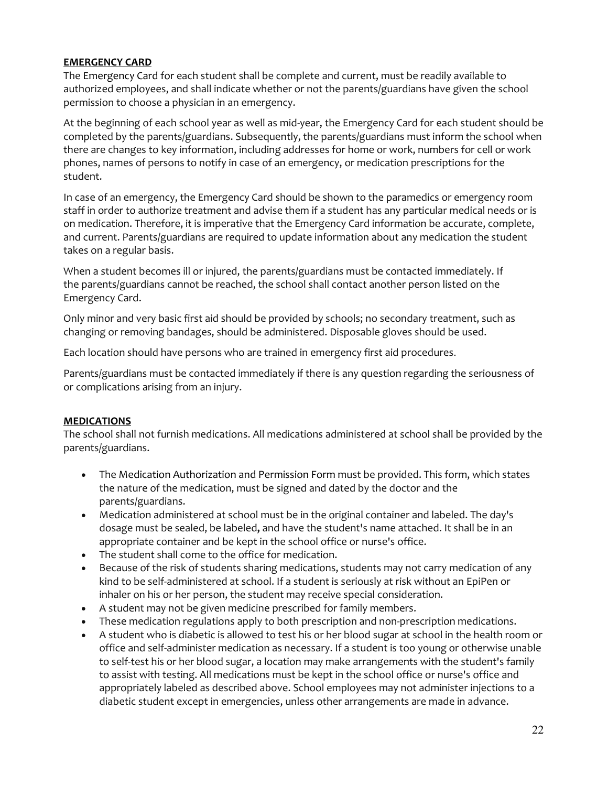## **EMERGENCY CARD**

The Emergency Card for each student shall be complete and current, must be readily available to authorized employees, and shall indicate whether or not the parents/guardians have given the school permission to choose a physician in an emergency.

At the beginning of each school year as well as mid-year, the Emergency Card for each student should be completed by the parents/guardians. Subsequently, the parents/guardians must inform the school when there are changes to key information, including addresses for home or work, numbers for cell or work phones, names of persons to notify in case of an emergency, or medication prescriptions for the student.

In case of an emergency, the Emergency Card should be shown to the paramedics or emergency room staff in order to authorize treatment and advise them if a student has any particular medical needs or is on medication. Therefore, it is imperative that the Emergency Card information be accurate, complete, and current. Parents/guardians are required to update information about any medication the student takes on a regular basis.

When a student becomes ill or injured, the parents/guardians must be contacted immediately. If the parents/guardians cannot be reached, the school shall contact another person listed on the Emergency Card.

Only minor and very basic first aid should be provided by schools; no secondary treatment, such as changing or removing bandages, should be administered. Disposable gloves should be used.

Each location should have persons who are trained in emergency first aid procedures.

Parents/guardians must be contacted immediately if there is any question regarding the seriousness of or complications arising from an injury.

### **MEDICATIONS**

The school shall not furnish medications. All medications administered at school shall be provided by the parents/guardians.

- The Medication Authorization and Permission Form must be provided. This form, which states the nature of the medication, must be signed and dated by the doctor and the parents/guardians.
- Medication administered at school must be in the original container and labeled. The day's dosage must be sealed, be labeled**,** and have the student's name attached. It shall be in an appropriate container and be kept in the school office or nurse's office.
- The student shall come to the office for medication.
- Because of the risk of students sharing medications, students may not carry medication of any kind to be self-administered at school. If a student is seriously at risk without an EpiPen or inhaler on his or her person, the student may receive special consideration.
- A student may not be given medicine prescribed for family members.
- These medication regulations apply to both prescription and non-prescription medications.
- A student who is diabetic is allowed to test his or her blood sugar at school in the health room or office and self-administer medication as necessary. If a student is too young or otherwise unable to self-test his or her blood sugar, a location may make arrangements with the student's family to assist with testing. All medications must be kept in the school office or nurse's office and appropriately labeled as described above. School employees may not administer injections to a diabetic student except in emergencies, unless other arrangements are made in advance.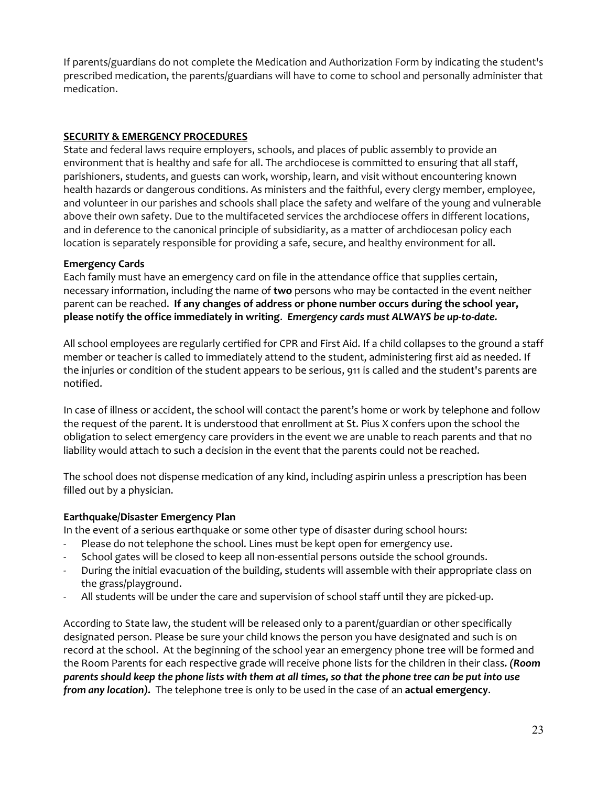If parents/guardians do not complete the Medication and Authorization Form by indicating the student's prescribed medication, the parents/guardians will have to come to school and personally administer that medication.

## **SECURITY & EMERGENCY PROCEDURES**

State and federal laws require employers, schools, and places of public assembly to provide an environment that is healthy and safe for all. The archdiocese is committed to ensuring that all staff, parishioners, students, and guests can work, worship, learn, and visit without encountering known health hazards or dangerous conditions. As ministers and the faithful, every clergy member, employee, and volunteer in our parishes and schools shall place the safety and welfare of the young and vulnerable above their own safety. Due to the multifaceted services the archdiocese offers in different locations, and in deference to the canonical principle of subsidiarity, as a matter of archdiocesan policy each location is separately responsible for providing a safe, secure, and healthy environment for all.

### **Emergency Cards**

Each family must have an emergency card on file in the attendance office that supplies certain, necessary information, including the name of **two** persons who may be contacted in the event neither parent can be reached. **If any changes of address or phone number occurs during the school year, please notify the office immediately in writing**. *Emergency cards must ALWAYS be up-to-date.*

All school employees are regularly certified for CPR and First Aid. If a child collapses to the ground a staff member or teacher is called to immediately attend to the student, administering first aid as needed. If the injuries or condition of the student appears to be serious, 911 is called and the student's parents are notified.

In case of illness or accident, the school will contact the parent's home or work by telephone and follow the request of the parent. It is understood that enrollment at St. Pius X confers upon the school the obligation to select emergency care providers in the event we are unable to reach parents and that no liability would attach to such a decision in the event that the parents could not be reached.

The school does not dispense medication of any kind, including aspirin unless a prescription has been filled out by a physician.

### **Earthquake/Disaster Emergency Plan**

In the event of a serious earthquake or some other type of disaster during school hours:

- Please do not telephone the school. Lines must be kept open for emergency use.
- School gates will be closed to keep all non-essential persons outside the school grounds.
- During the initial evacuation of the building, students will assemble with their appropriate class on the grass/playground.
- All students will be under the care and supervision of school staff until they are picked-up.

According to State law, the student will be released only to a parent/guardian or other specifically designated person. Please be sure your child knows the person you have designated and such is on record at the school. At the beginning of the school year an emergency phone tree will be formed and the Room Parents for each respective grade will receive phone lists for the children in their class*. (Room parents should keep the phone lists with them at all times, so that the phone tree can be put into use from any location).* The telephone tree is only to be used in the case of an **actual emergency**.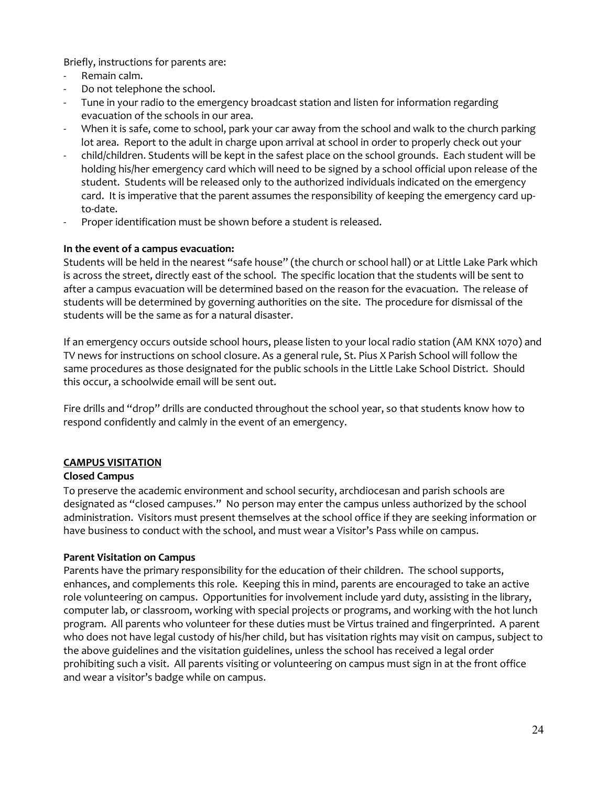Briefly, instructions for parents are:

- Remain calm.
- Do not telephone the school.
- Tune in your radio to the emergency broadcast station and listen for information regarding evacuation of the schools in our area.
- When it is safe, come to school, park your car away from the school and walk to the church parking lot area. Report to the adult in charge upon arrival at school in order to properly check out your
- child/children. Students will be kept in the safest place on the school grounds. Each student will be holding his/her emergency card which will need to be signed by a school official upon release of the student. Students will be released only to the authorized individuals indicated on the emergency card. It is imperative that the parent assumes the responsibility of keeping the emergency card upto-date.
- Proper identification must be shown before a student is released.

#### **In the event of a campus evacuation:**

Students will be held in the nearest "safe house" (the church or school hall) or at Little Lake Park which is across the street, directly east of the school. The specific location that the students will be sent to after a campus evacuation will be determined based on the reason for the evacuation. The release of students will be determined by governing authorities on the site. The procedure for dismissal of the students will be the same as for a natural disaster.

If an emergency occurs outside school hours, please listen to your local radio station (AM KNX 1070) and TV news for instructions on school closure. As a general rule, St. Pius X Parish School will follow the same procedures as those designated for the public schools in the Little Lake School District. Should this occur, a schoolwide email will be sent out.

Fire drills and "drop" drills are conducted throughout the school year, so that students know how to respond confidently and calmly in the event of an emergency.

### **CAMPUS VISITATION**

#### **Closed Campus**

To preserve the academic environment and school security, archdiocesan and parish schools are designated as "closed campuses." No person may enter the campus unless authorized by the school administration. Visitors must present themselves at the school office if they are seeking information or have business to conduct with the school, and must wear a Visitor's Pass while on campus.

### **Parent Visitation on Campus**

Parents have the primary responsibility for the education of their children. The school supports, enhances, and complements this role. Keeping this in mind, parents are encouraged to take an active role volunteering on campus. Opportunities for involvement include yard duty, assisting in the library, computer lab, or classroom, working with special projects or programs, and working with the hot lunch program. All parents who volunteer for these duties must be Virtus trained and fingerprinted. A parent who does not have legal custody of his/her child, but has visitation rights may visit on campus, subject to the above guidelines and the visitation guidelines, unless the school has received a legal order prohibiting such a visit. All parents visiting or volunteering on campus must sign in at the front office and wear a visitor's badge while on campus.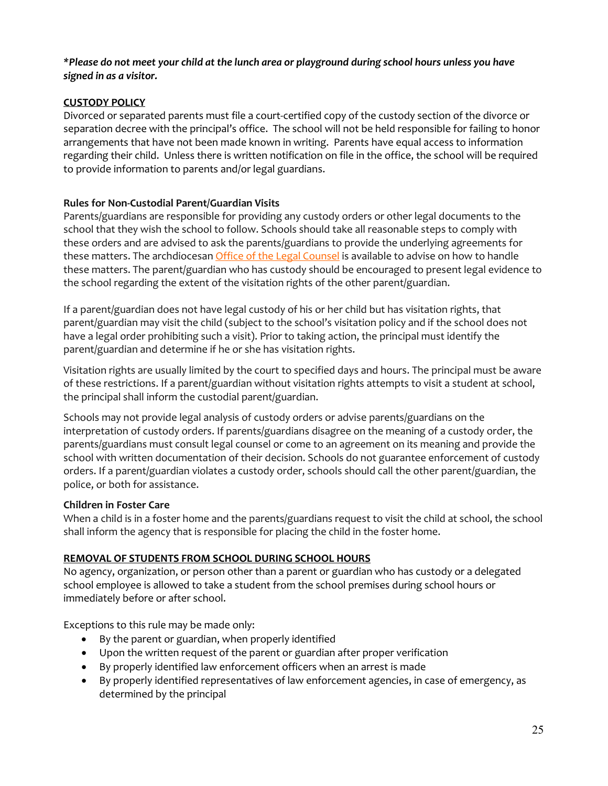#### *\*Please do not meet your child at the lunch area or playground during school hours unless you have signed in as a visitor.*

# **CUSTODY POLICY**

Divorced or separated parents must file a court-certified copy of the custody section of the divorce or separation decree with the principal's office. The school will not be held responsible for failing to honor arrangements that have not been made known in writing. Parents have equal access to information regarding their child. Unless there is written notification on file in the office, the school will be required to provide information to parents and/or legal guardians.

## **Rules for Non-Custodial Parent/Guardian Visits**

Parents/guardians are responsible for providing any custody orders or other legal documents to the school that they wish the school to follow. Schools should take all reasonable steps to comply with these orders and are advised to ask the parents/guardians to provide the underlying agreements for these matters. The archdiocesan *[Office of the Legal Counsel](http://www.la-archdiocese.org/org/legal/Pages/default.aspx)* is available to advise on how to handle these matters. The parent/guardian who has custody should be encouraged to present legal evidence to the school regarding the extent of the visitation rights of the other parent/guardian.

If a parent/guardian does not have legal custody of his or her child but has visitation rights, that parent/guardian may visit the child (subject to the school's visitation policy and if the school does not have a legal order prohibiting such a visit). Prior to taking action, the principal must identify the parent/guardian and determine if he or she has visitation rights.

Visitation rights are usually limited by the court to specified days and hours. The principal must be aware of these restrictions. If a parent/guardian without visitation rights attempts to visit a student at school, the principal shall inform the custodial parent/guardian.

Schools may not provide legal analysis of custody orders or advise parents/guardians on the interpretation of custody orders. If parents/guardians disagree on the meaning of a custody order, the parents/guardians must consult legal counsel or come to an agreement on its meaning and provide the school with written documentation of their decision. Schools do not guarantee enforcement of custody orders. If a parent/guardian violates a custody order, schools should call the other parent/guardian, the police, or both for assistance.

### **Children in Foster Care**

When a child is in a foster home and the parents/guardians request to visit the child at school, the school shall inform the agency that is responsible for placing the child in the foster home.

# **REMOVAL OF STUDENTS FROM SCHOOL DURING SCHOOL HOURS**

No agency, organization, or person other than a parent or guardian who has custody or a delegated school employee is allowed to take a student from the school premises during school hours or immediately before or after school.

Exceptions to this rule may be made only:

- By the parent or guardian, when properly identified
- Upon the written request of the parent or guardian after proper verification
- By properly identified law enforcement officers when an arrest is made
- By properly identified representatives of law enforcement agencies, in case of emergency, as determined by the principal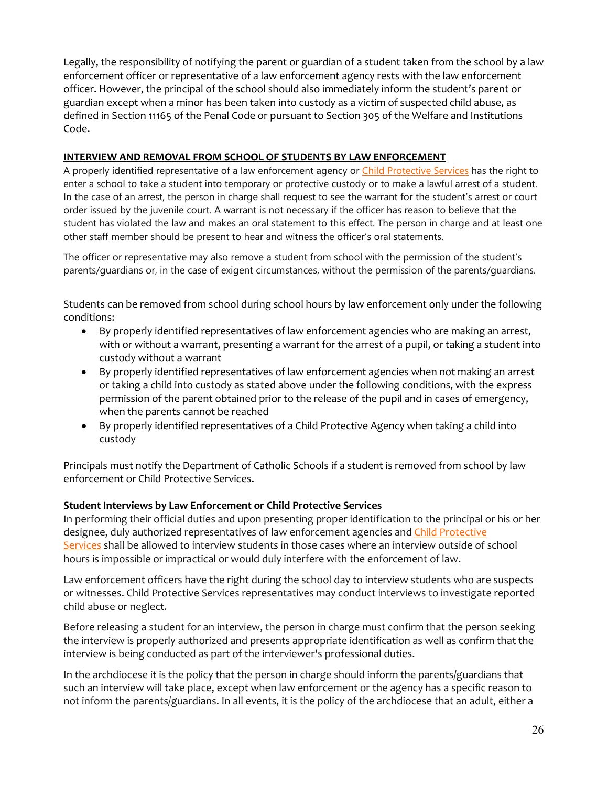Legally, the responsibility of notifying the parent or guardian of a student taken from the school by a law enforcement officer or representative of a law enforcement agency rests with the law enforcement officer. However, the principal of the school should also immediately inform the student's parent or guardian except when a minor has been taken into custody as a victim of suspected child abuse, as defined in Section 11165 of the Penal Code or pursuant to Section 305 of the Welfare and Institutions Code.

## **INTERVIEW AND REMOVAL FROM SCHOOL OF STUDENTS BY LAW ENFORCEMENT**

A properly identified representative of a law enforcement agency or [Child Protective Services](http://www.dss.cahwnet.gov/cdssweb/pg93.htm) has the right to enter a school to take a student into temporary or protective custody or to make a lawful arrest of a student. In the case of an arrest, the person in charge shall request to see the warrant for the student's arrest or court order issued by the juvenile court. A warrant is not necessary if the officer has reason to believe that the student has violated the law and makes an oral statement to this effect. The person in charge and at least one other staff member should be present to hear and witness the officer's oral statements.

The officer or representative may also remove a student from school with the permission of the student's parents/guardians or, in the case of exigent circumstances, without the permission of the parents/guardians.

Students can be removed from school during school hours by law enforcement only under the following conditions:

- By properly identified representatives of law enforcement agencies who are making an arrest, with or without a warrant, presenting a warrant for the arrest of a pupil, or taking a student into custody without a warrant
- By properly identified representatives of law enforcement agencies when not making an arrest or taking a child into custody as stated above under the following conditions, with the express permission of the parent obtained prior to the release of the pupil and in cases of emergency, when the parents cannot be reached
- By properly identified representatives of a Child Protective Agency when taking a child into custody

Principals must notify the Department of Catholic Schools if a student is removed from school by law enforcement or Child Protective Services.

# **Student Interviews by Law Enforcement or Child Protective Services**

In performing their official duties and upon presenting proper identification to the principal or his or her designee, duly authorized representatives of law enforcement agencies and [Child Protective](http://www.dss.cahwnet.gov/cdssweb/pg93.htm)  [Services](http://www.dss.cahwnet.gov/cdssweb/pg93.htm) shall be allowed to interview students in those cases where an interview outside of school hours is impossible or impractical or would duly interfere with the enforcement of law.

Law enforcement officers have the right during the school day to interview students who are suspects or witnesses. Child Protective Services representatives may conduct interviews to investigate reported child abuse or neglect.

Before releasing a student for an interview, the person in charge must confirm that the person seeking the interview is properly authorized and presents appropriate identification as well as confirm that the interview is being conducted as part of the interviewer's professional duties.

In the archdiocese it is the policy that the person in charge should inform the parents/guardians that such an interview will take place, except when law enforcement or the agency has a specific reason to not inform the parents/guardians. In all events, it is the policy of the archdiocese that an adult, either a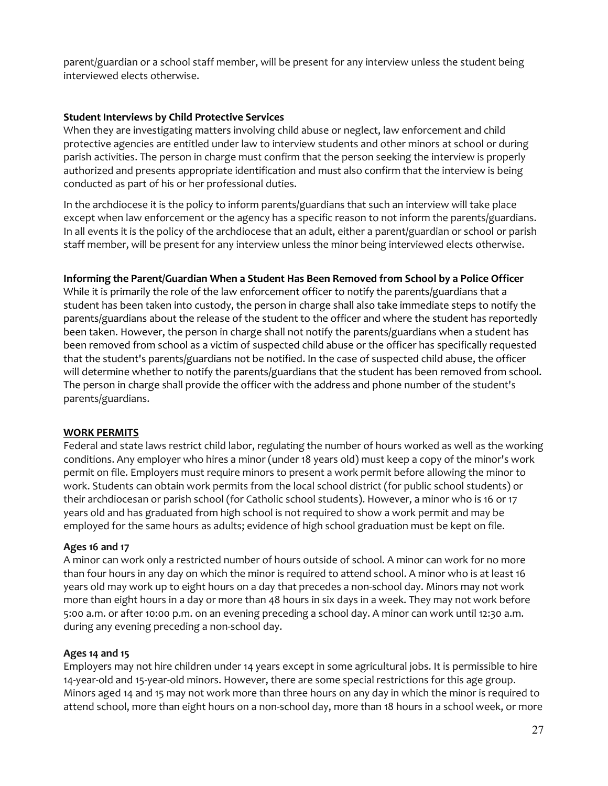parent/guardian or a school staff member, will be present for any interview unless the student being interviewed elects otherwise.

### **Student Interviews by Child Protective Services**

When they are investigating matters involving child abuse or neglect, law enforcement and child protective agencies are entitled under law to interview students and other minors at school or during parish activities. The person in charge must confirm that the person seeking the interview is properly authorized and presents appropriate identification and must also confirm that the interview is being conducted as part of his or her professional duties.

In the archdiocese it is the policy to inform parents/guardians that such an interview will take place except when law enforcement or the agency has a specific reason to not inform the parents/guardians. In all events it is the policy of the archdiocese that an adult, either a parent/guardian or school or parish staff member, will be present for any interview unless the minor being interviewed elects otherwise.

#### **Informing the Parent/Guardian When a Student Has Been Removed from School by a Police Officer**

While it is primarily the role of the law enforcement officer to notify the parents/guardians that a student has been taken into custody, the person in charge shall also take immediate steps t[o notify the](http://handbook.la-archdiocese.org/_layouts/15/WopiFrame.aspx?sourcedoc=/Handbook%20Resources/removal_of_a_student.docx&action=default)  [parents/guardians](http://handbook.la-archdiocese.org/_layouts/15/WopiFrame.aspx?sourcedoc=/Handbook%20Resources/removal_of_a_student.docx&action=default) about the release of the student to the officer and where the student has reportedly been taken. However, the person in charge shall not notify the parents/guardians when a student has been removed from school as a victim of suspected child abuse or the officer has specifically requested that the student's parents/guardians not be notified. In the case of suspected child abuse, the officer will determine whether to [notify the parents/guardians](http://handbook.la-archdiocese.org/_layouts/15/WopiFrame.aspx?sourcedoc=/Handbook%20Resources/removal_of_a_student.docx&action=default) that the student has been removed from school. The person in charge shall provide the officer with the address and phone number of the student's parents/guardians.

### **WORK PERMITS**

Federal and state laws restrict child labor, regulating the number of hours worked as well as the working conditions. Any employer who hires a minor (under 18 years old) must keep a copy of the minor's work permit on file. Employers must require minors to present a work permit before allowing the minor to work. Students can obtain work permits from the local school district (for public school students) or their archdiocesan or parish school (for Catholic school students). However, a minor who is 16 or 17 years old and has graduated from high school is not required to show a work permit and may be employed for the same hours as adults; evidence of high school graduation must be kept on file.

### **Ages 16 and 17**

A minor can work only a restricted number of hours outside of school. A minor can work for no more than four hours in any day on which the minor is required to attend school. A minor who is at least 16 years old may work up to eight hours on a day that precedes a non-school day. Minors may not work more than eight hours in a day or more than 48 hours in six days in a week. They may not work before 5:00 a.m. or after 10:00 p.m. on an evening preceding a school day. A minor can work until 12:30 a.m. during any evening preceding a non-school day.

### **Ages 14 and 15**

Employers may not hire children under 14 years except in some agricultural jobs. It is permissible to hire 14-year-old and 15-year-old minors. However, there are some special restrictions for this age group. Minors aged 14 and 15 may not work more than three hours on any day in which the minor is required to attend school, more than eight hours on a non-school day, more than 18 hours in a school week, or more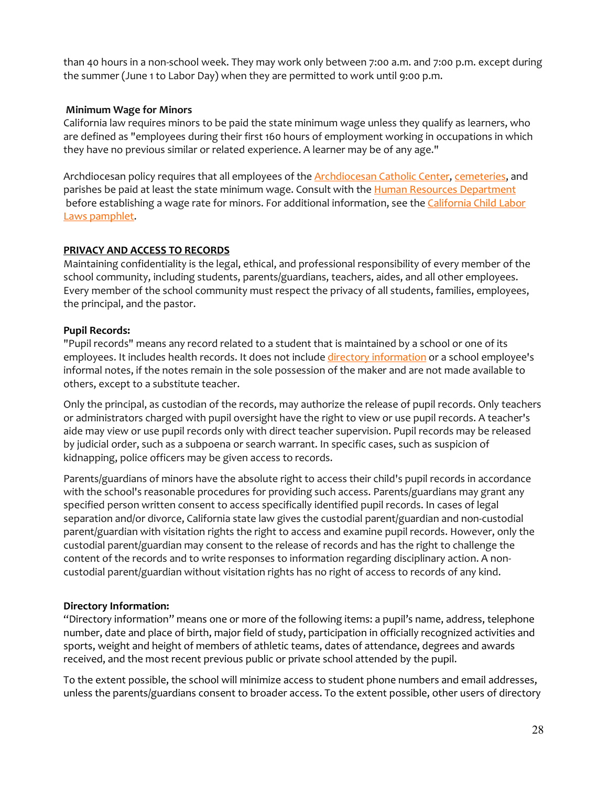than 40 hours in a non-school week. They may work only between 7:00 a.m. and 7:00 p.m. except during the summer (June 1 to Labor Day) when they are permitted to work until 9:00 p.m.

### **Minimum Wage for Minors**

California law requires minors to be paid the state minimum wage unless they qualify as learners, who are defined as "employees during their first 160 hours of employment working in occupations in which they have no previous similar or related experience. A learner may be of any age."

Archdiocesan policy requires that all employees of the **[Archdiocesan Catholic Center,](http://handbook.la-archdiocese.org/chapter-1/section-1-2/topic-1-2-3) cemeteries**, and parishes be paid at least the state minimum wage. Consult with the [Human Resources Department](http://www.la-archdiocese.org/org/hr/Pages/default.aspx) before establishing a wage rate for minors. For additional information, see the California Child Labor [Laws pamphlet.](http://www.dir.ca.gov/dlse/ChildLaborLawPamphlet.pdf)

#### **PRIVACY AND ACCESS TO RECORDS**

Maintaining confidentiality is the legal, ethical, and professional responsibility of every member of the school community, including students, parents/guardians, teachers, aides, and all other employees. Every member of the school community must respect the privacy of all students, families, employees, the principal, and the pastor.

#### **Pupil Records:**

"Pupil records" means any record related to a student that is maintained by a school or one of its employees. It includes health records. It does not include [directory information](http://handbook.la-archdiocese.org/chapter-13/section-13-3/topic-13-3-2) or a school employee's informal notes, if the notes remain in the sole possession of the maker and are not made available to others, except to a substitute teacher.

Only the principal, as custodian of the records, may authorize the release of pupil records. Only teachers or administrators charged with pupil oversight have the right to view or use pupil records. A teacher's aide may view or use pupil records only with direct teacher supervision. Pupil records may be released by judicial order, such as a subpoena or search warrant. In specific cases, such as suspicion of kidnapping, police officers may be given access to records.

Parents/guardians of minors have the absolute right to access their child's pupil records in accordance with the school's reasonable procedures for providing such access. Parents/guardians may grant any specified person written consent to access specifically identified pupil records. In cases of legal separation and/or divorce, California state law gives the custodial parent/guardian and non-custodial parent/guardian with visitation rights the right to access and examine pupil records. However, only the custodial parent/guardian may consent to the release of records and has the right to challenge the content of the records and to write responses to information regarding disciplinary action. A noncustodial parent/guardian without visitation rights has no right of access to records of any kind.

### **Directory Information:**

"Directory information" means one or more of the following items: a pupil's name, address, telephone number, date and place of birth, major field of study, participation in officially recognized activities and sports, weight and height of members of athletic teams, dates of attendance, degrees and awards received, and the most recent previous public or private school attended by the pupil.

To the extent possible, the school will minimize access to student phone numbers and email addresses, unless the parents/guardians consent to broader access. To the extent possible, other users of directory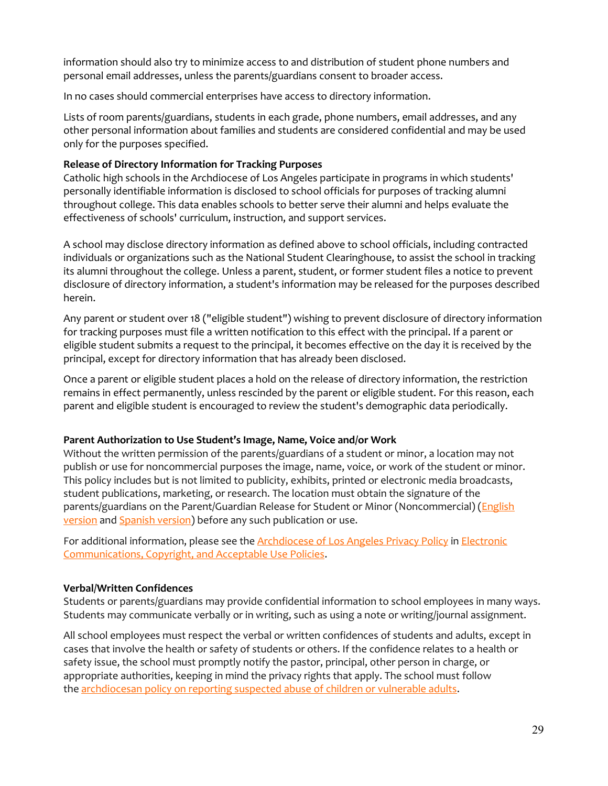information should also try to minimize access to and distribution of student phone numbers and personal email addresses, unless the parents/guardians consent to broader access.

In no cases should commercial enterprises have access to directory information.

Lists of room parents/guardians, students in each grade, phone numbers, email addresses, and any other personal information about families and students are considered confidential and may be used only for the purposes specified.

## **Release of Directory Information for Tracking Purposes**

Catholic high schools in the Archdiocese of Los Angeles participate in programs in which students' personally identifiable information is disclosed to school officials for purposes of tracking alumni throughout college. This data enables schools to better serve their alumni and helps evaluate the effectiveness of schools' curriculum, instruction, and support services.

A school may disclose directory information as defined above to school officials, including contracted individuals or organizations such as the [National Student Clearinghouse,](http://www.studentclearinghouse.org/) to assist the school in tracking its alumni throughout the college. Unless a parent, student, or former student files a notice to prevent disclosure of directory information, a student's information may be released for the purposes described herein.

Any parent or student over 18 ("eligible student") wishing to prevent disclosure of directory information for tracking purposes must file a written notification to this effect with the principal. If a parent or eligible student submits a request to the principal, it becomes effective on the day it is received by the principal, except for directory information that has already been disclosed.

Once a parent or eligible student places a hold on the release of directory information, the restriction remains in effect permanently, unless rescinded by the parent or eligible student. For this reason, each parent and eligible student is encouraged to review the student's demographic data periodically.

### **Parent Authorization to Use Student's Image, Name, Voice and/or Work**

Without the written permission of the parents/guardians of a student or minor, a location may not publish or use for noncommercial purposes the image, name, voice, or work of the student or minor. This policy includes but is not limited to publicity, exhibits, printed or electronic media broadcasts, student publications, marketing, or research. The location must obtain the signature of the parents/guardians on the Parent/Guardian Release for Student or Minor (Noncommercial) (English [version](http://handbook.la-archdiocese.org/Handbook%20Resources/parent_guardian_release_en.pdf) and [Spanish version\)](http://handbook.la-archdiocese.org/Handbook%20Resources/parent_guardian_release_es.pdf) before any such publication or use.

For additional information, please see the **[Archdiocese of Los Angeles Privacy Policy](http://handbook.la-archdiocese.org/chapter-10/section-10-5) in Electronic** [Communications, Copyright, and Acceptable Use Policies.](http://handbook.la-archdiocese.org/chapter-10)

# **Verbal/Written Confidences**

Students or parents/guardians may provide confidential information to school employees in many ways. Students may communicate verbally or in writing, such as using a note or writing/journal assignment.

All school employees must respect the verbal or written confidences of students and adults, except in cases that involve the health or safety of students or others. If the confidence relates to a health or safety issue, the school must promptly notify the pastor, principal, other person in charge, or appropriate authorities, keeping in mind the privacy rights that apply. The school must follow the [archdiocesan policy on reporting suspected abuse of children or vulnerable adults.](http://handbook.la-archdiocese.org/chapter-9/section-9-8/topic-9-8-2)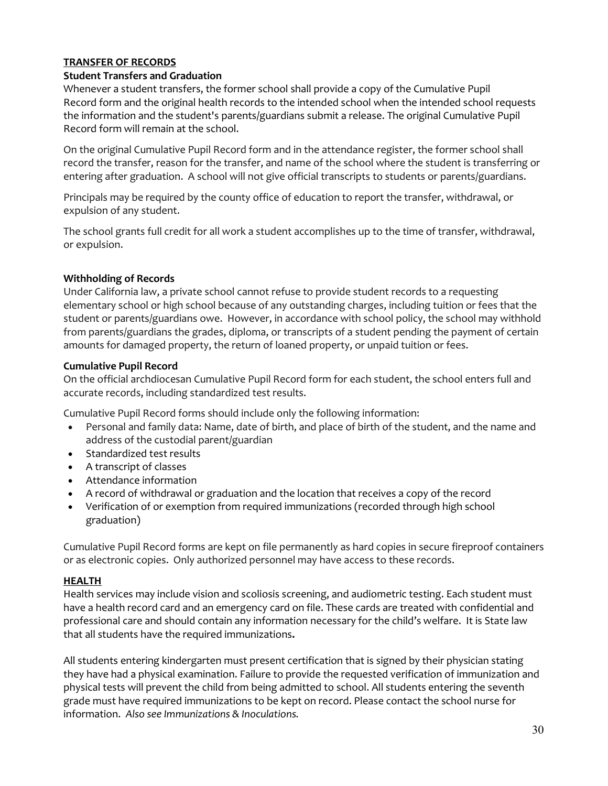# **TRANSFER OF RECORDS**

### **Student Transfers and Graduation**

Whenever a student transfers, the former school shall provide a copy of the Cumulative Pupil Record form and the original health records to the [intended school](http://handbook.la-archdiocese.org/chapter-8/section-8-17) when the intended school requests the information and the student's parents/guardians submit a release. The original Cumulative Pupil Record form will remain at the school.

On the original Cumulative Pupil Record form and in the attendance register, the former school shall record the transfer, reason for the transfer, and name of the school where the student is transferring or entering after graduation. A school will not give official transcripts to students or parents/guardians.

Principals may be required by the county office of education to report the transfer, withdrawal, or expulsion of any student.

The school grants full credit for all work a student accomplishes up to the time of transfer, withdrawal, or expulsion.

### **Withholding of Records**

Under California law, a private school cannot refuse to provide student records to a requesting elementary school or high school because of any outstanding charges, including tuition or fees that the student or parents/guardians owe. However, in accordance with school policy, the school may withhold from parents/guardians the grades, diploma, or transcripts of a student pending the payment of certain amounts for damaged property, the return of loaned property, or unpaid tuition or fees.

#### **Cumulative Pupil Record**

On the official archdiocesan Cumulative Pupil Record form for each student, the school enters full and accurate records, including standardized test results.

Cumulative Pupil Record forms should include only the following information:

- Personal and family data: Name, date of birth, and place of birth of the student, and the name and address of the custodial parent/guardian
- [Standardized test results](http://handbook.la-archdiocese.org/chapter-13/section-13-3/topic-13-3-6)
- A transcript of classes
- [Attendance information](http://handbook.la-archdiocese.org/chapter-13/section-13-2)
- [A record of withdrawal or graduation and the location that receives a copy of the record](http://handbook.la-archdiocese.org/chapter-13/section-13-4/topic-13-4-1)
- [Verification of or exemption from required immunizations](http://handbook.la-archdiocese.org/chapter-8/section-8-16) (recorded through high school graduation)

Cumulative Pupil Record forms are kept on file permanently as hard copies in secure fireproof containers or as electronic copies. Only authorized personnel may have access to these records.

### **HEALTH**

Health services may include vision and scoliosis screening, and audiometric testing. Each student must have a health record card and an emergency card on file. These cards are treated with confidential and professional care and should contain any information necessary for the child's welfare. It is State law that all students have the required immunizations**.**

All students entering kindergarten must present certification that is signed by their physician stating they have had a physical examination. Failure to provide the requested verification of immunization and physical tests will prevent the child from being admitted to school. All students entering the seventh grade must have required immunizations to be kept on record. Please contact the school nurse for information. *Also see Immunizations & Inoculations.*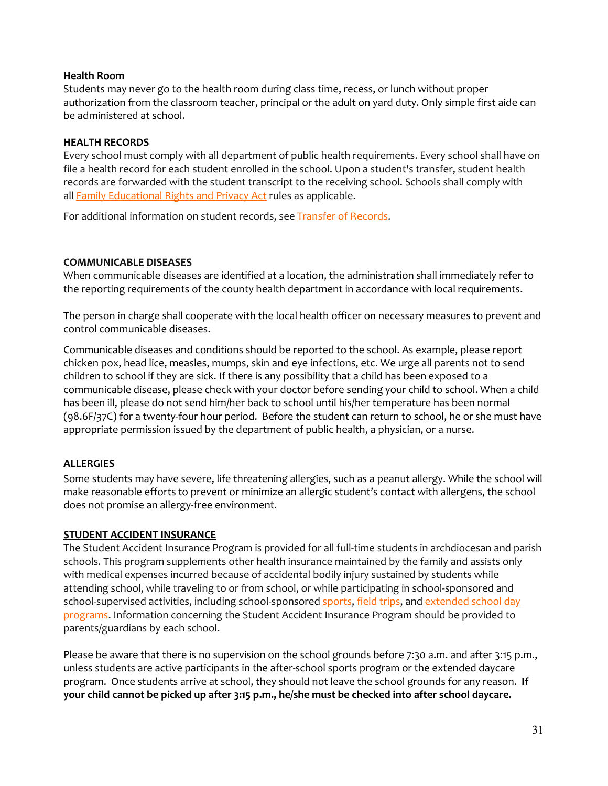#### **Health Room**

Students may never go to the health room during class time, recess, or lunch without proper authorization from the classroom teacher, principal or the adult on yard duty. Only simple first aide can be administered at school.

#### **HEALTH RECORDS**

Every school must comply with all department of public health requirements. Every school shall have on file a health record for each student enrolled in the school. Upon a student's transfer, student health records are forwarded with the student transcript to the receiving school. Schools shall comply with all **[Family Educational Rights and Privacy Act](http://www2.ed.gov/policy/gen/guid/fpco/ferpa/index.html) rules as applicable.** 

For additional information on student records, see **Transfer of Records**.

#### **COMMUNICABLE DISEASES**

When communicable diseases are identified at a location, the [administration](http://handbook.la-archdiocese.org/chapter-8/section-8-4/topic-8-4-1) shall immediately refer to the reporting requirements of the county health department in accordance with local requirements.

The [person in charge](http://handbook.la-archdiocese.org/chapter-8/section-8-4/topic-8-4-1) shall cooperate with the local health officer on necessary measures to prevent and control communicable diseases.

Communicable diseases and conditions should be reported to the school. As example, please report chicken pox, head lice, measles, mumps, skin and eye infections, etc. We urge all parents not to send children to school if they are sick. If there is any possibility that a child has been exposed to a communicable disease, please check with your doctor before sending your child to school. When a child has been ill, please do not send him/her back to school until his/her temperature has been normal (98.6F/37C) for a twenty-four hour period. Before the student can return to school, he or she must have appropriate permission issued by the department of public health, a physician, or a nurse.

### **ALLERGIES**

Some students may have severe, life threatening allergies, such as a peanut allergy. While the school will make reasonable efforts to prevent or minimize an allergic student's contact with allergens, the school does not promise an allergy-free environment.

### **STUDENT ACCIDENT INSURANCE**

The Student Accident Insurance Program is provided for all full-time students in archdiocesan and parish schools. This program supplements other health insurance maintained by the family and assists only with medical expenses incurred because of accidental bodily injury sustained by students while attending school, while traveling to or from school, or while participating in school-sponsored and school-supervised activities, including school-sponsored [sports,](http://handbook.la-archdiocese.org/chapter-12/section-12-2) [field trips,](http://handbook.la-archdiocese.org/chapter-12/section-12-3/topic-12-3-1) and extended school day [programs.](http://handbook.la-archdiocese.org/chapter-12/section-12-8) Information concerning the Student Accident Insurance Program should be provided to parents/guardians by each school.

Please be aware that there is no supervision on the school grounds before 7:30 a.m. and after 3:15 p.m., unless students are active participants in the after-school sports program or the extended daycare program. Once students arrive at school, they should not leave the school grounds for any reason. **If your child cannot be picked up after 3:15 p.m., he/she must be checked into after school daycare.**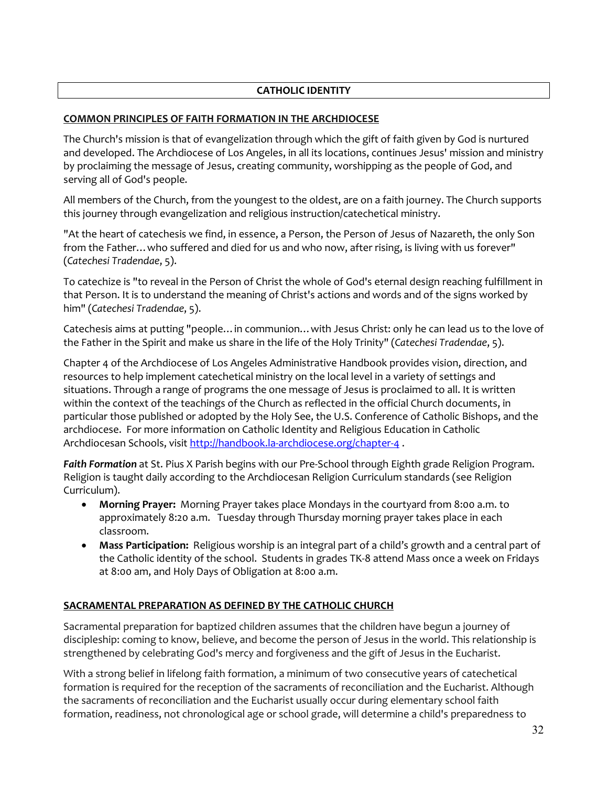# **CATHOLIC IDENTITY**

## **COMMON PRINCIPLES OF FAITH FORMATION IN THE ARCHDIOCESE**

The Church's mission is that of evangelization through which the gift of faith given by God is nurtured and developed. The [Archdiocese of Los Angeles,](http://handbook.la-archdiocese.org/chapter-1/section-1-1) in all its locations, continues Jesus' mission and ministry by proclaiming the message of Jesus, creating community, worshipping as the people of God, and serving all of God's people.

All members of the Church, from the youngest to the oldest, are on a faith journey. The Church supports this journey through evangelization and religious instruction/catechetical ministry.

"At the heart of catechesis we find, in essence, a Person, the Person of Jesus of Nazareth, the only Son from the Father…who suffered and died for us and who now, after rising, is living with us forever" (*[Catechesi Tradendae](http://www.vatican.va/holy_father/john_paul_ii/apost_exhortations/documents/hf_jp-ii_exh_16101979_catechesi-tradendae_en.html)*, 5).

To catechize is "to reveal in the Person of Christ the whole of God's eternal design reaching fulfillment in that Person. It is to understand the meaning of Christ's actions and words and of the signs worked by him" (*[Catechesi Tradendae](http://www.vatican.va/holy_father/john_paul_ii/apost_exhortations/documents/hf_jp-ii_exh_16101979_catechesi-tradendae_en.html)*, 5).

Catechesis aims at putting "people…in communion…with Jesus Christ: only he can lead us to the love of the Father in the Spirit and make us share in the life of the Holy Trinity" (*[Catechesi Tradendae](http://www.vatican.va/holy_father/john_paul_ii/apost_exhortations/documents/hf_jp-ii_exh_16101979_catechesi-tradendae_en.html)*, 5).

Chapter 4 of the Archdiocese of Los Angeles Administrative Handbook provides vision, direction, and resources to help implement catechetical ministry on the local level in a variety of settings and situations. Through a range of programs the one message of Jesus is proclaimed to all. It is written within the context of the teachings of the Church as reflected in the official Church documents, in particular those published or adopted by the Holy See, the [U.S. Conference of Catholic Bishops,](http://www.usccb.org/) and the archdiocese. For more information on Catholic Identity and Religious Education in Catholic Archdiocesan Schools, visit<http://handbook.la-archdiocese.org/chapter-4> .

*Faith Formation* at St. Pius X Parish begins with our Pre-School through Eighth grade Religion Program. Religion is taught daily according to the Archdiocesan Religion Curriculum standards (see Religion Curriculum).

- **Morning Prayer:** Morning Prayer takes place Mondays in the courtyard from 8:00 a.m. to approximately 8:20 a.m. Tuesday through Thursday morning prayer takes place in each classroom.
- **Mass Participation:** Religious worship is an integral part of a child's growth and a central part of the Catholic identity of the school. Students in grades TK-8 attend Mass once a week on Fridays at 8:00 am, and Holy Days of Obligation at 8:00 a.m.

### **SACRAMENTAL PREPARATION AS DEFINED BY THE CATHOLIC CHURCH**

Sacramental preparation for baptized children assumes that the children have begun a journey of discipleship: coming to know, believe, and become the person of Jesus in the world. This relationship is strengthened by celebrating God's mercy and forgiveness and the gift of Jesus in the Eucharist.

With a strong belief in lifelong faith formation, a minimum of two consecutive years of catechetical formation is required for the reception of the sacraments of reconciliation and the Eucharist. Although the sacraments of reconciliation and the Eucharist usually occur during elementary school faith formation, readiness, not chronological age or school grade, will determine a child's preparedness to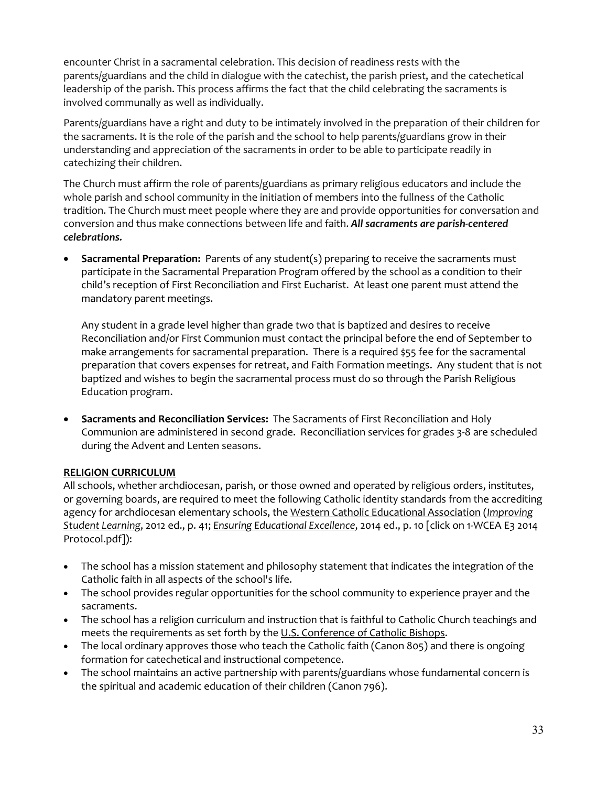encounter Christ in a sacramental celebration. This decision of readiness rests with the parents/guardians and the child in dialogue with the catechist, the parish priest, and the catechetical leadership of the parish. This process affirms the fact that the child celebrating the sacraments is involved communally as well as individually.

Parents/guardians have a right and duty to be intimately involved in the preparation of their children for the sacraments. It is the role of the parish and the school to help parents/guardians grow in their understanding and appreciation of the sacraments in order to be able to participate readily in catechizing their children.

The Church must affirm the role of parents/guardians as primary religious educators and include the whole parish and school community in the initiation of members into the fullness of the Catholic tradition. The Church must meet people where they are and provide opportunities for conversation and conversion and thus make connections between life and faith. *All sacraments are parish-centered celebrations.*

• **Sacramental Preparation:** Parents of any student(s) preparing to receive the sacraments must participate in the Sacramental Preparation Program offered by the school as a condition to their child's reception of First Reconciliation and First Eucharist. At least one parent must attend the mandatory parent meetings.

Any student in a grade level higher than grade two that is baptized and desires to receive Reconciliation and/or First Communion must contact the principal before the end of September to make arrangements for sacramental preparation. There is a required \$55 fee for the sacramental preparation that covers expenses for retreat, and Faith Formation meetings. Any student that is not baptized and wishes to begin the sacramental process must do so through the Parish Religious Education program.

• **Sacraments and Reconciliation Services:** The Sacraments of First Reconciliation and Holy Communion are administered in second grade. Reconciliation services for grades 3-8 are scheduled during the Advent and Lenten seasons.

### **RELIGION CURRICULUM**

All schools, whether archdiocesan, parish, or those owned and operated by religious orders, institutes, or governing boards, are required to meet the following Catholic identity standards from the accrediting agency for archdiocesan elementary schools, the [Western Catholic Educational Association](http://www.westwcea.org/) (*[Improving](http://www.acswasc.org/pdf_catholic/WCEA-ISL-2012ElemetarySchools.pdf)  [Student Learning](http://www.acswasc.org/pdf_catholic/WCEA-ISL-2012ElemetarySchools.pdf)*, 2012 ed., p. 41; *[Ensuring Educational Excellence](http://westwcea.squarespace.com/documents/secondary-documents/e3-2014-protocol-and-documents/)*, 2014 ed., p. 10 [click on 1-WCEA E3 2014 Protocol.pdf]):

- The school has a mission statement and philosophy statement that indicates the integration of the Catholic faith in all aspects of the school's life.
- The school provides regular opportunities for the school community to experience prayer and the sacraments.
- The school has a religion curriculum and instruction that is faithful to Catholic Church teachings and meets the requirements as set forth by the [U.S. Conference of Catholic Bishops.](http://www.usccb.org/)
- The local ordinary approves those who teach the Catholic faith (Canon 805) and there is ongoing formation for catechetical and instructional competence.
- The school maintains an active partnership with parents/guardians whose fundamental concern is the spiritual and academic education of their children (Canon 796).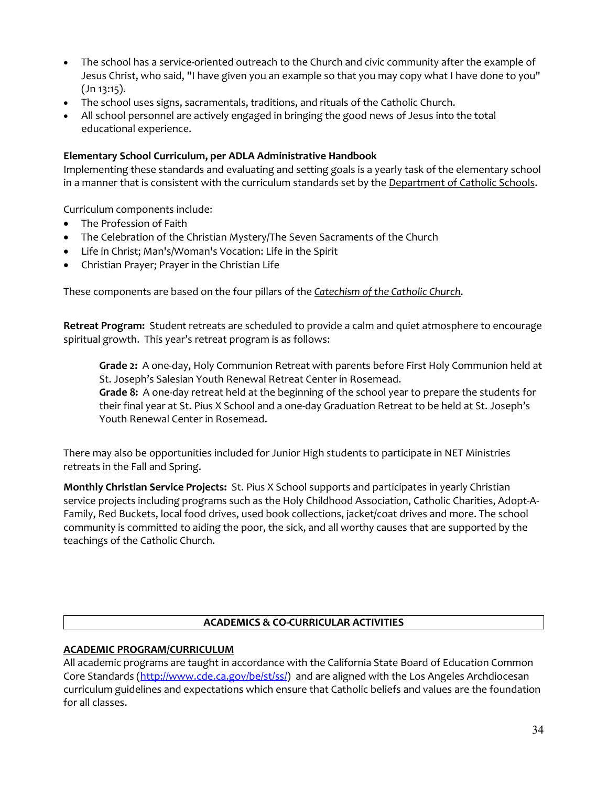- The school has a service-oriented outreach to the Church and civic community after the example of Jesus Christ, who said, "I have given you an example so that you may copy what I have done to you" (Jn 13:15).
- The school uses signs, sacramentals, traditions, and rituals of the Catholic Church.
- All school personnel are actively engaged in bringing the good news of Jesus into the total educational experience.

#### **Elementary School Curriculum, per ADLA Administrative Handbook**

Implementing these standards and evaluating and setting goals is a yearly task of the elementary school in a manner that is consistent with the curriculum standards set by the [Department of Catholic Schools.](http://www.lacatholicschools.org/)

Curriculum components include:

- The Profession of Faith
- The Celebration of the Christian Mystery/The Seven Sacraments of the Church
- Life in Christ; Man's/Woman's Vocation: Life in the Spirit
- Christian Prayer; Prayer in the Christian Life

These components are based on the four pillars of the *[Catechism of the Catholic Church](http://www.vatican.va/archive/ENG0015/_INDEX.HTM)*.

**Retreat Program:** Student retreats are scheduled to provide a calm and quiet atmosphere to encourage spiritual growth. This year's retreat program is as follows:

**Grade 2:** A one-day, Holy Communion Retreat with parents before First Holy Communion held at St. Joseph's Salesian Youth Renewal Retreat Center in Rosemead. **Grade 8:** A one-day retreat held at the beginning of the school year to prepare the students for

their final year at St. Pius X School and a one-day Graduation Retreat to be held at St. Joseph's Youth Renewal Center in Rosemead.

There may also be opportunities included for Junior High students to participate in NET Ministries retreats in the Fall and Spring.

**Monthly Christian Service Projects:** St. Pius X School supports and participates in yearly Christian service projects including programs such as the Holy Childhood Association, Catholic Charities, Adopt-A-Family, Red Buckets, local food drives, used book collections, jacket/coat drives and more. The school community is committed to aiding the poor, the sick, and all worthy causes that are supported by the teachings of the Catholic Church.

#### **ACADEMICS & CO-CURRICULAR ACTIVITIES**

#### **ACADEMIC PROGRAM/CURRICULUM**

All academic programs are taught in accordance with the California State Board of Education Common Core Standards [\(http://www.cde.ca.gov/be/st/ss/\)](http://www.cde.ca.gov/be/st/ss/) and are aligned with the Los Angeles Archdiocesan curriculum guidelines and expectations which ensure that Catholic beliefs and values are the foundation for all classes.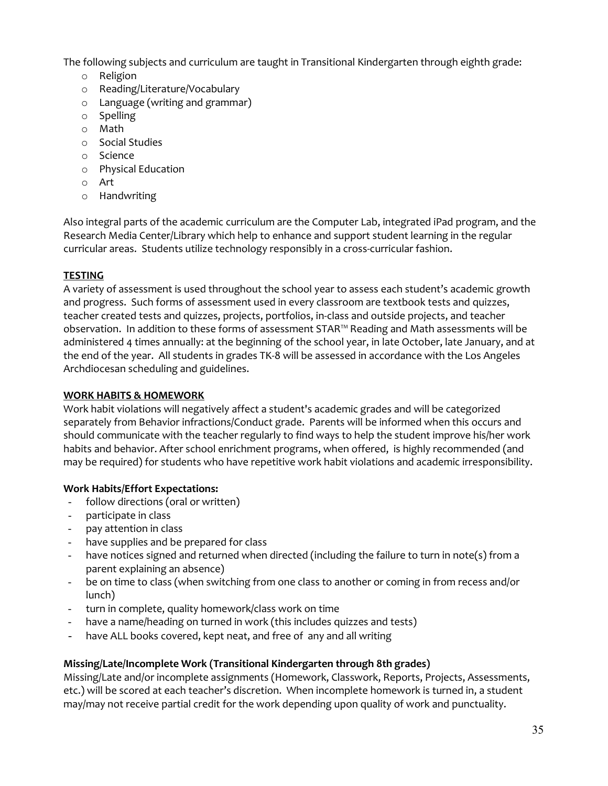The following subjects and curriculum are taught in Transitional Kindergarten through eighth grade:

- o Religion
- o Reading/Literature/Vocabulary
- o Language (writing and grammar)
- o Spelling
- o Math
- o Social Studies
- o Science
- o Physical Education
- o Art
- o Handwriting

Also integral parts of the academic curriculum are the Computer Lab, integrated iPad program, and the Research Media Center/Library which help to enhance and support student learning in the regular curricular areas. Students utilize technology responsibly in a cross-curricular fashion.

# **TESTING**

A variety of assessment is used throughout the school year to assess each student's academic growth and progress. Such forms of assessment used in every classroom are textbook tests and quizzes, teacher created tests and quizzes, projects, portfolios, in-class and outside projects, and teacher observation. In addition to these forms of assessment STAR™ Reading and Math assessments will be administered 4 times annually: at the beginning of the school year, in late October, late January, and at the end of the year. All students in grades TK-8 will be assessed in accordance with the Los Angeles Archdiocesan scheduling and guidelines.

### **WORK HABITS & HOMEWORK**

Work habit violations will negatively affect a student's academic grades and will be categorized separately from Behavior infractions/Conduct grade. Parents will be informed when this occurs and should communicate with the teacher regularly to find ways to help the student improve his/her work habits and behavior. After school enrichment programs, when offered, is highly recommended (and may be required) for students who have repetitive work habit violations and academic irresponsibility.

### **Work Habits/Effort Expectations:**

- follow directions (oral or written)
- participate in class
- pay attention in class
- have supplies and be prepared for class
- have notices signed and returned when directed (including the failure to turn in note(s) from a parent explaining an absence)
- be on time to class (when switching from one class to another or coming in from recess and/or lunch)
- turn in complete, quality homework/class work on time
- have a name/heading on turned in work (this includes quizzes and tests)
- have ALL books covered, kept neat, and free of any and all writing

# **Missing/Late/Incomplete Work (Transitional Kindergarten through 8th grades)**

Missing/Late and/or incomplete assignments (Homework, Classwork, Reports, Projects, Assessments, etc.) will be scored at each teacher's discretion. When incomplete homework is turned in, a student may/may not receive partial credit for the work depending upon quality of work and punctuality.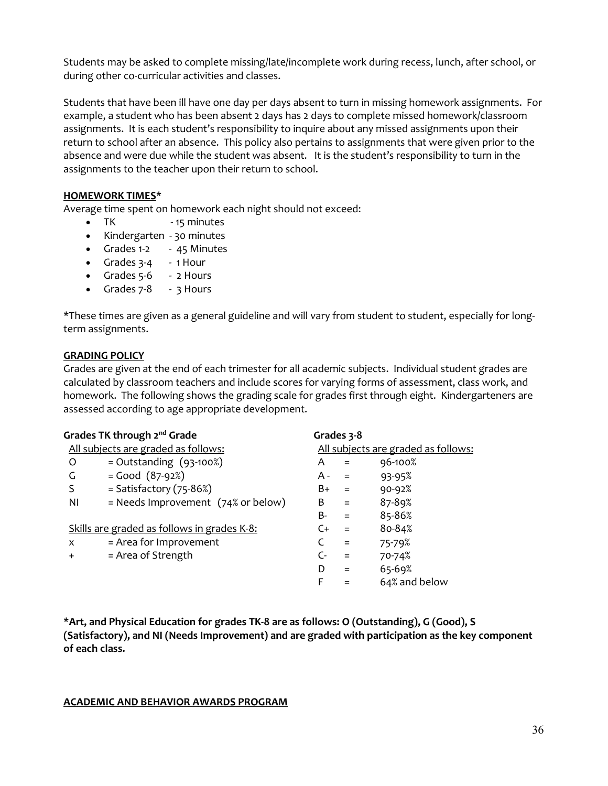Students may be asked to complete missing/late/incomplete work during recess, lunch, after school, or during other co-curricular activities and classes.

Students that have been ill have one day per days absent to turn in missing homework assignments. For example, a student who has been absent 2 days has 2 days to complete missed homework/classroom assignments. It is each student's responsibility to inquire about any missed assignments upon their return to school after an absence. This policy also pertains to assignments that were given prior to the absence and were due while the student was absent. It is the student's responsibility to turn in the assignments to the teacher upon their return to school.

#### **HOMEWORK TIMES\***

Average time spent on homework each night should not exceed:

- TK 15 minutes
- Kindergarten 30 minutes
- Grades 1-2 45 Minutes
- Grades 3-4 1 Hour
- Grades 5-6 2 Hours
- Grades 7-8 3 Hours

\*These times are given as a general guideline and will vary from student to student, especially for longterm assignments.

#### **GRADING POLICY**

Grades are given at the end of each trimester for all academic subjects. Individual student grades are calculated by classroom teachers and include scores for varying forms of assessment, class work, and homework. The following shows the grading scale for grades first through eight. Kindergarteners are assessed according to age appropriate development.

|     | Grades TK through 2 <sup>nd</sup> Grade       |      | Grades 3-8 |                                     |
|-----|-----------------------------------------------|------|------------|-------------------------------------|
|     | All subjects are graded as follows:           |      |            | All subjects are graded as follows: |
| O   | $=$ Outstanding $(93-100%)$                   | A    | $=$        | 96-100%                             |
| G   | $=$ Good $(87-92%)$                           | A -  | $=$        | 93-95%                              |
| S   | $=$ Satisfactory (75-86%)                     | B+   | $\equiv$   | $90 - 92%$                          |
| ΝI  | = Needs Improvement $(74\% \text{ or below})$ | B    | $\equiv$   | 87-89%                              |
|     |                                               | B-   | $=$        | 85-86%                              |
|     | Skills are graded as follows in grades K-8:   | C+   | $=$        | 80-84%                              |
| X   | = Area for Improvement                        |      | $=$        | 75-79%                              |
| $+$ | = Area of Strength                            | $C-$ | $=$        | 70-74%                              |
|     |                                               | D    | $=$        | 65-69%                              |
|     |                                               | F    |            | 64% and below                       |
|     |                                               |      |            |                                     |

**\*Art, and Physical Education for grades TK-8 are as follows: O (Outstanding), G (Good), S (Satisfactory), and NI (Needs Improvement) and are graded with participation as the key component of each class.** 

#### **ACADEMIC AND BEHAVIOR AWARDS PROGRAM**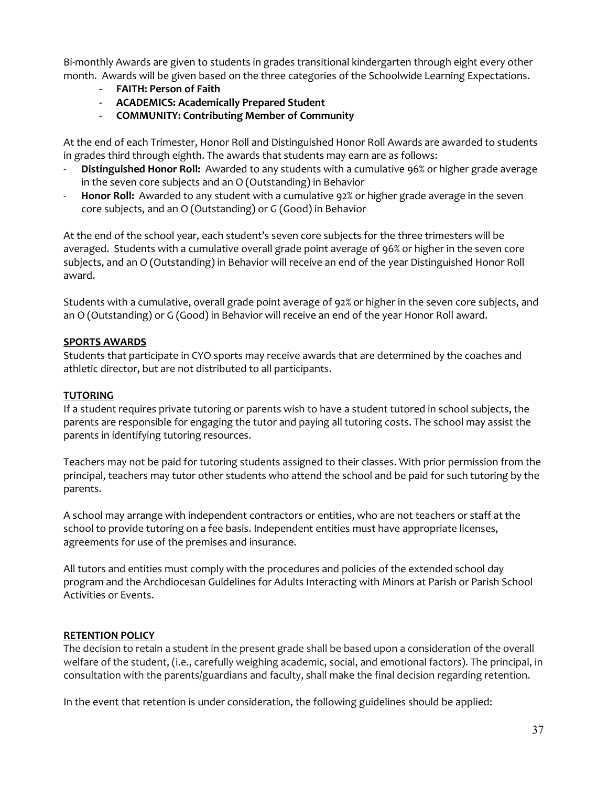Bi-monthly Awards are given to students in grades transitional kindergarten through eight every other month. Awards will be given based on the three categories of the Schoolwide Learning Expectations.

- **FAITH: Person of Faith**
- **ACADEMICS: Academically Prepared Student**
- **COMMUNITY: Contributing Member of Community**

At the end of each Trimester, Honor Roll and Distinguished Honor Roll Awards are awarded to students in grades third through eighth. The awards that students may earn are as follows:

- Distinguished Honor Roll: Awarded to any students with a cumulative 96% or higher grade average in the seven core subjects and an O (Outstanding) in Behavior
- **Honor Roll:** Awarded to any student with a cumulative 92% or higher grade average in the seven core subjects, and an O (Outstanding) or G (Good) in Behavior

At the end of the school year, each student's seven core subjects for the three trimesters will be averaged. Students with a cumulative overall grade point average of 96% or higher in the seven core subjects, and an O (Outstanding) in Behavior will receive an end of the year Distinguished Honor Roll award.

Students with a cumulative, overall grade point average of 92% or higher in the seven core subjects, and an O (Outstanding) or G (Good) in Behavior will receive an end of the year Honor Roll award.

### **SPORTS AWARDS**

Students that participate in CYO sports may receive awards that are determined by the coaches and athletic director, but are not distributed to all participants.

#### **TUTORING**

If a student requires private tutoring or parents wish to have a student tutored in school subjects, the parents are responsible for engaging the tutor and paying all tutoring costs. The school may assist the parents in identifying tutoring resources.

Teachers may not be paid for tutoring students assigned to their classes. With prior permission from the principal, teachers may tutor other students who attend the school and be paid for such tutoring by the parents.

A school may arrange with independent contractors or entities, who are not teachers or staff at the school to provide tutoring on a fee basis. Independent entities must have appropriate licenses, agreements for use of the premises and insurance.

All tutors and entities must comply with the procedures and policies of the extended school day program and the Archdiocesan Guidelines for Adults Interacting with Minors at Parish or Parish School Activities or Events.

### **RETENTION POLICY**

The decision to retain a student in the present grade shall be based upon a consideration of the overall welfare of the student, (i.e., carefully weighing academic, social, and emotional factors). The principal, in consultation with the parents/guardians and faculty, shall make the final decision regarding retention.

In the event that retention is under consideration, the following guidelines should be applied: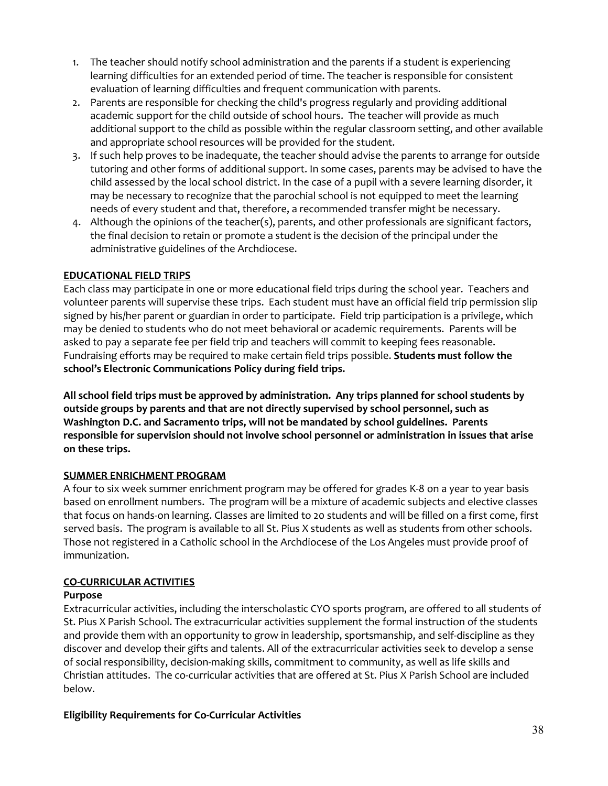- 1. The teacher should notify school administration and the parents if a student is experiencing learning difficulties for an extended period of time. The teacher is responsible for consistent evaluation of learning difficulties and frequent communication with parents.
- 2. Parents are responsible for checking the child's progress regularly and providing additional academic support for the child outside of school hours. The teacher will provide as much additional support to the child as possible within the regular classroom setting, and other available and appropriate school resources will be provided for the student.
- 3. If such help proves to be inadequate, the teacher should advise the parents to arrange for outside tutoring and other forms of additional support. In some cases, parents may be advised to have the child assessed by the local school district. In the case of a pupil with a severe learning disorder, it may be necessary to recognize that the parochial school is not equipped to meet the learning needs of every student and that, therefore, a recommended transfer might be necessary.
- 4. Although the opinions of the teacher(s), parents, and other professionals are significant factors, the final decision to retain or promote a student is the decision of the principal under the administrative guidelines of the Archdiocese.

### **EDUCATIONAL FIELD TRIPS**

Each class may participate in one or more educational field trips during the school year. Teachers and volunteer parents will supervise these trips. Each student must have an official field trip permission slip signed by his/her parent or guardian in order to participate. Field trip participation is a privilege, which may be denied to students who do not meet behavioral or academic requirements. Parents will be asked to pay a separate fee per field trip and teachers will commit to keeping fees reasonable. Fundraising efforts may be required to make certain field trips possible. **Students must follow the school's Electronic Communications Policy during field trips.** 

**All school field trips must be approved by administration. Any trips planned for school students by outside groups by parents and that are not directly supervised by school personnel, such as Washington D.C. and Sacramento trips, will not be mandated by school guidelines. Parents responsible for supervision should not involve school personnel or administration in issues that arise on these trips.** 

### **SUMMER ENRICHMENT PROGRAM**

A four to six week summer enrichment program may be offered for grades K-8 on a year to year basis based on enrollment numbers. The program will be a mixture of academic subjects and elective classes that focus on hands-on learning. Classes are limited to 20 students and will be filled on a first come, first served basis. The program is available to all St. Pius X students as well as students from other schools. Those not registered in a Catholic school in the Archdiocese of the Los Angeles must provide proof of immunization.

### **CO-CURRICULAR ACTIVITIES**

### **Purpose**

Extracurricular activities, including the interscholastic CYO sports program, are offered to all students of St. Pius X Parish School. The extracurricular activities supplement the formal instruction of the students and provide them with an opportunity to grow in leadership, sportsmanship, and self-discipline as they discover and develop their gifts and talents. All of the extracurricular activities seek to develop a sense of social responsibility, decision-making skills, commitment to community, as well as life skills and Christian attitudes. The co-curricular activities that are offered at St. Pius X Parish School are included below.

### **Eligibility Requirements for Co-Curricular Activities**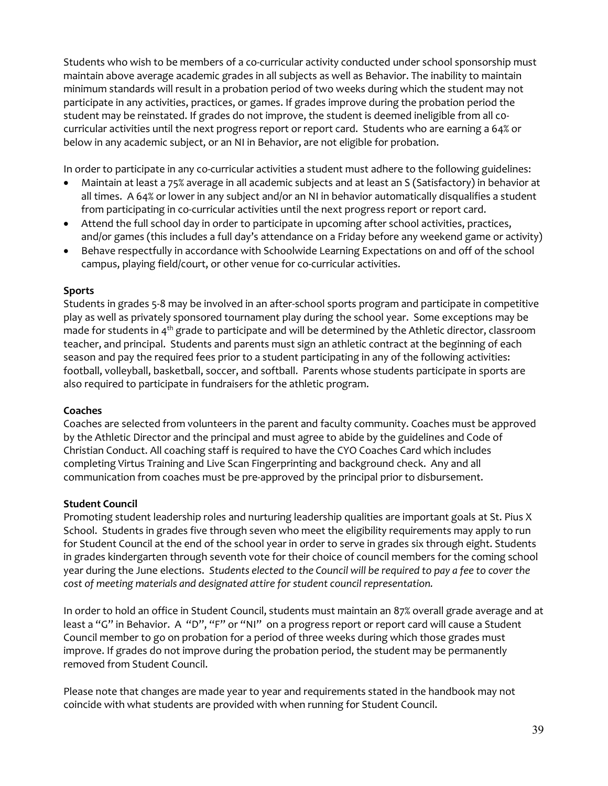Students who wish to be members of a co-curricular activity conducted under school sponsorship must maintain above average academic grades in all subjects as well as Behavior. The inability to maintain minimum standards will result in a probation period of two weeks during which the student may not participate in any activities, practices, or games. If grades improve during the probation period the student may be reinstated. If grades do not improve, the student is deemed ineligible from all c0 curricular activities until the next progress report or report card. Students who are earning a 64% or below in any academic subject, or an NI in Behavior, are not eligible for probation.

In order to participate in any co-curricular activities a student must adhere to the following guidelines:

- Maintain at least a 75% average in all academic subjects and at least an S (Satisfactory) in behavior at all times. A 64% or lower in any subject and/or an NI in behavior automatically disqualifies a student from participating in co-curricular activities until the next progress report or report card.
- Attend the full school day in order to participate in upcoming after school activities, practices, and/or games (this includes a full day's attendance on a Friday before any weekend game or activity)
- Behave respectfully in accordance with Schoolwide Learning Expectations on and off of the school campus, playing field/court, or other venue for co-curricular activities.

### **Sports**

Students in grades 5-8 may be involved in an after-school sports program and participate in competitive play as well as privately sponsored tournament play during the school year. Some exceptions may be made for students in 4<sup>th</sup> grade to participate and will be determined by the Athletic director, classroom teacher, and principal. Students and parents must sign an athletic contract at the beginning of each season and pay the required fees prior to a student participating in any of the following activities: football, volleyball, basketball, soccer, and softball. Parents whose students participate in sports are also required to participate in fundraisers for the athletic program.

## **Coaches**

Coaches are selected from volunteers in the parent and faculty community. Coaches must be approved by the Athletic Director and the principal and must agree to abide by the guidelines and Code of Christian Conduct. All coaching staff is required to have the CYO Coaches Card which includes completing Virtus Training and Live Scan Fingerprinting and background check. Any and all communication from coaches must be pre-approved by the principal prior to disbursement.

### **Student Council**

Promoting student leadership roles and nurturing leadership qualities are important goals at St. Pius X School. Students in grades five through seven who meet the eligibility requirements may apply to run for Student Council at the end of the school year in order to serve in grades six through eight. Students in grades kindergarten through seventh vote for their choice of council members for the coming school year during the June elections. *Students elected to the Council will be required to pay a fee to cover the cost of meeting materials and designated attire for student council representation.*

In order to hold an office in Student Council, students must maintain an 87% overall grade average and at least a "G" in Behavior. A "D", "F" or "NI" on a progress report or report card will cause a Student Council member to go on probation for a period of three weeks during which those grades must improve. If grades do not improve during the probation period, the student may be permanently removed from Student Council.

Please note that changes are made year to year and requirements stated in the handbook may not coincide with what students are provided with when running for Student Council.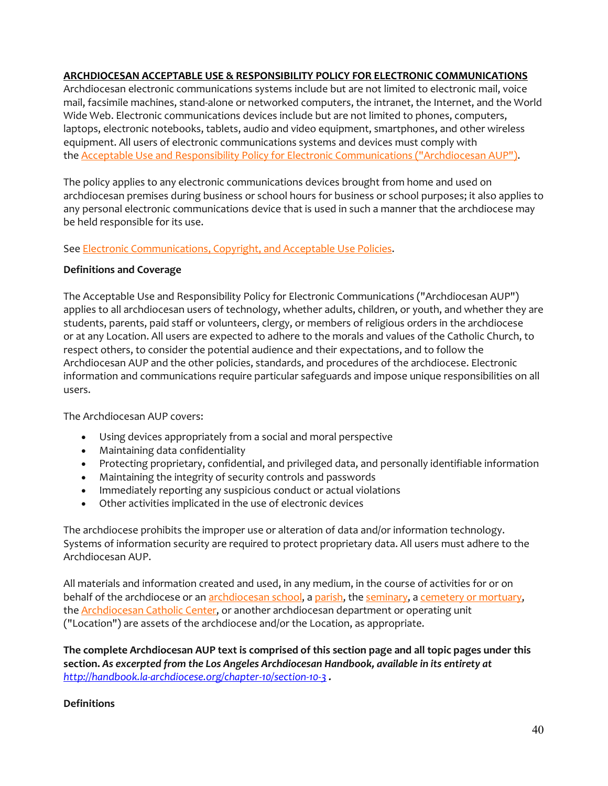### **ARCHDIOCESAN ACCEPTABLE USE & RESPONSIBILITY POLICY FOR ELECTRONIC COMMUNICATIONS**

Archdiocesan electronic communications systems include but are not limited to electronic mail, voice mail, facsimile machines, stand-alone or networked computers, the intranet, the Internet, and the World Wide Web. Electronic communications devices include but are not limited to phones, computers, laptops, electronic notebooks, tablets, audio and video equipment, smartphones, and other wireless equipment. All users of electronic communications systems and devices must comply with the [Acceptable Use and Responsibility Policy for Electronic Communications \("Archdiocesan AUP"\).](http://handbook.la-archdiocese.org/chapter-10/section-10-3)

The policy applies to any electronic communications devices brought from home and used on archdiocesan premises during business or school hours for business or school purposes; it also applies to any personal electronic communications device that is used in such a manner that the archdiocese may be held responsible for its use.

See [Electronic Communications, Copyright, and Acceptable Use](http://handbook.la-archdiocese.org/chapter-10) Policies.

### **Definitions and Coverage**

The Acceptable Use and Responsibility Policy for Electronic Communications ("Archdiocesan AUP") applies to all archdiocesan users of technology, whether adults, children, or youth, and whether they are students, parents, paid staff or volunteers, clergy, or members of religious orders in the archdiocese or at any Location. All users are expected to adhere to the morals and values of the Catholic Church, to respect others, to consider the potential audience and their expectations, and to follow the Archdiocesan AUP and the other policies, standards, and procedures of the archdiocese. Electronic information and communications require particular safeguards and impose unique responsibilities on all users.

The Archdiocesan AUP covers:

- Using devices appropriately from a social and moral perspective
- Maintaining data confidentiality
- Protecting proprietary, confidential, and privileged data, and personally identifiable information
- Maintaining the integrity of security controls and passwords
- Immediately reporting any suspicious conduct or actual violations
- Other activities implicated in the use of electronic devices

The archdiocese prohibits the improper use or alteration of data and/or information technology. Systems of information security are required to protect proprietary data. All users must adhere to the Archdiocesan AUP.

All materials and information created and used, in any medium, in the course of activities for or on behalf of the archdiocese or an [archdiocesan school,](http://www.lacatholicschools.org/) a [parish,](http://www.la-archdiocese.org/Pages/Parishes/default.aspx) the [seminary,](http://handbook.la-archdiocese.org/chapter-1/section-1-2/topic-1-2-5) a cemetery [or mortuary,](http://handbook.la-archdiocese.org/chapter-1/section-1-2/topic-1-2-5) the **[Archdiocesan Catholic Center,](http://handbook.la-archdiocese.org/chapter-1/section-1-2/topic-1-2-3) or another archdiocesan department or operating unit** ("Location") are assets of the archdiocese and/or the Location, as appropriate.

**The complete Archdiocesan AUP text is comprised of this section page and all topic pages under this section.** *As excerpted from the Los Angeles Archdiocesan Handbook, available in its entirety at <http://handbook.la-archdiocese.org/chapter-10/section-10-3> .*

### **Definitions**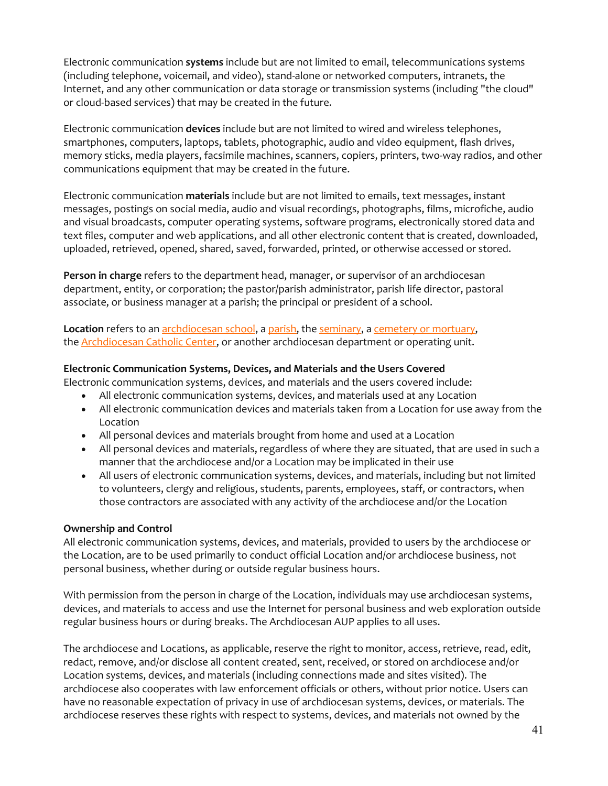Electronic communication **systems** include but are not limited to email, telecommunications systems (including telephone, voicemail, and video), stand-alone or networked computers, intranets, the Internet, and any other communication or data storage or transmission systems (including "the cloud" or cloud-based services) that may be created in the future.

Electronic communication **devices** include but are not limited to wired and wireless telephones, smartphones, computers, laptops, tablets, photographic, audio and video equipment, flash drives, memory sticks, media players, facsimile machines, scanners, copiers, printers, two-way radios, and other communications equipment that may be created in the future.

Electronic communication **materials** include but are not limited to emails, text messages, instant messages, postings on social media, audio and visual recordings, photographs, films, microfiche, audio and visual broadcasts, computer operating systems, software programs, electronically stored data and text files, computer and web applications, and all other electronic content that is created, downloaded, uploaded, retrieved, opened, shared, saved, forwarded, printed, or otherwise accessed or stored.

**Person in charge** refers to the department head, manager, or supervisor of an archdiocesan department, entity, or corporation; the pastor/parish administrator, parish life director, pastoral associate, or business manager at a parish; the principal or president of a school.

Location refers to an **archdiocesan school**, a [parish,](http://www.la-archdiocese.org/Pages/Parishes/default.aspx) the [seminary,](http://handbook.la-archdiocese.org/chapter-1/section-1-2/topic-1-2-5) a cemetery [or mortuary,](http://handbook.la-archdiocese.org/chapter-1/section-1-2/topic-1-2-5) the [Archdiocesan Catholic Center,](http://handbook.la-archdiocese.org/chapter-1/section-1-2/topic-1-2-3) or another archdiocesan department or operating unit.

#### **Electronic Communication Systems, Devices, and Materials and the Users Covered**

Electronic communication systems, devices, and materials and the users covered include:

- All electronic communication systems, devices, and materials used at any Location
- All electronic communication devices and materials taken from a Location for use away from the Location
- All personal devices and materials brought from home and used at a Location
- All personal devices and materials, regardless of where they are situated, that are used in such a manner that the archdiocese and/or a Location may be implicated in their use
- All users of electronic communication systems, devices, and materials, including but not limited to volunteers, clergy and religious, students, parents, employees, staff, or contractors, when those contractors are associated with any activity of the archdiocese and/or the Location

#### **Ownership and Control**

All electronic communication systems, devices, and materials, provided to users by the archdiocese or the Location, are to be used primarily to conduct official Location and/or archdiocese business, not personal business, whether during or outside regular business hours.

With permission from the person in charge of the Location, individuals may use archdiocesan systems, devices, and materials to access and use the Internet for personal business and web exploration outside regular business hours or during breaks. The Archdiocesan AUP applies to all uses.

The archdiocese and Locations, as applicable, reserve the right to monitor, access, retrieve, read, edit, redact, remove, and/or disclose all content created, sent, received, or stored on archdiocese and/or Location systems, devices, and materials (including connections made and sites visited). The archdiocese also cooperates with law enforcement officials or others, without prior notice. Users can have no reasonable expectation of privacy in use of archdiocesan systems, devices, or materials. The archdiocese reserves these rights with respect to systems, devices, and materials not owned by the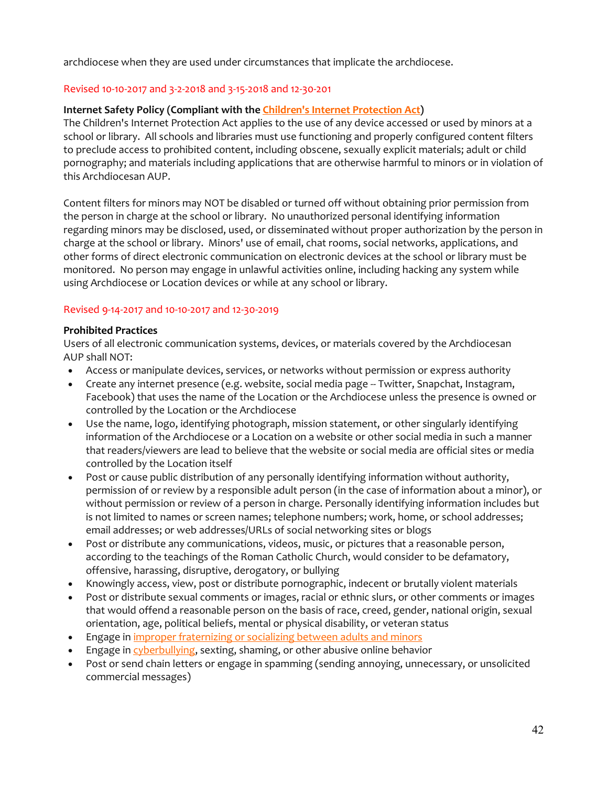archdiocese when they are used under circumstances that implicate the archdiocese.

#### Revised 10-10-2017 and 3-2-2018 and 3-15-2018 and 12-30-201

### **Internet Safety Policy (Compliant with the [Children's Internet Protection Act\)](https://www.fcc.gov/consumers/guides/childrens-internet-protection-act)**

The Children's Internet Protection Act applies to the use of any device accessed or used by minors at a school or library. All schools and libraries must use functioning and properly configured content filters to preclude access to prohibited content, including obscene, sexually explicit materials; adult or child pornography; and materials including applications that are otherwise harmful to minors or in violation of this Archdiocesan AUP.

Content filters for minors may NOT be disabled or turned off without obtaining prior permission from the person in charge at the school or library. No unauthorized personal identifying information regarding minors may be disclosed, used, or disseminated without proper authorization by the person in charge at the school or library. Minors' use of email, chat rooms, social networks, applications, and other forms of direct electronic communication on electronic devices at the school or library must be monitored. No person may engage in unlawful activities online, including hacking any system while using Archdiocese or Location devices or while at any school or library.

#### Revised 9-14-2017 and 10-10-2017 and 12-30-2019

#### **Prohibited Practices**

Users of all electronic communication systems, devices, or materials covered by the Archdiocesan AUP shall NOT:

- Access or manipulate devices, services, or networks without permission or express authority
- Create any internet presence (e.g. website, social media page -- Twitter, Snapchat, Instagram, Facebook) that uses the name of the Location or the Archdiocese unless the presence is owned or controlled by the Location or the Archdiocese
- Use the name, logo, identifying photograph, mission statement, or other singularly identifying information of the Archdiocese or a Location on a website or other social media in such a manner that readers/viewers are lead to believe that the website or social media are official sites or media controlled by the Location itself
- Post or cause public distribution of any personally identifying information without authority, permission of or review by a responsible adult person (in the case of information about a minor), or without permission or review of a person in charge. Personally identifying information includes but is not limited to names or screen names; telephone numbers; work, home, or school addresses; email addresses; or web addresses/URLs of social networking sites or blogs
- Post or distribute any communications, videos, music, or pictures that a reasonable person, according to the teachings of the Roman Catholic Church, would consider to be defamatory, offensive, harassing, disruptive, derogatory, or bullying
- Knowingly access, view, post or distribute pornographic, indecent or brutally violent materials
- Post or distribute sexual comments or images, racial or ethnic slurs, or other comments or images that would offend a reasonable person on the basis of race, creed, gender, national origin, sexual orientation, age, political beliefs, mental or physical disability, or veteran status
- Engage in [improper fraternizing or socializing between adults and minors](http://handbook.la-archdiocese.org/chapter-9)
- Engage in [cyberbullying,](http://handbook.la-archdiocese.org/chapter-13/section-13-10) sexting, shaming, or other abusive online behavior
- Post or send chain letters or engage in spamming (sending annoying, unnecessary, or unsolicited commercial messages)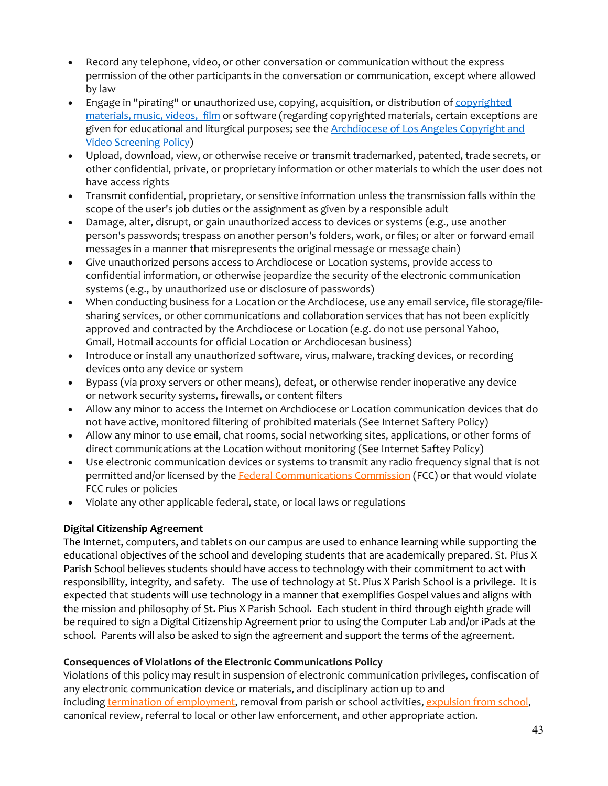- Record any telephone, video, or other conversation or communication without the express permission of the other participants in the conversation or communication, except where allowed by law
- Engage in "pirating" or unauthorized use, copying, acquisition, or distribution of copyrighted [materials, music, videos,](http://handbook.la-archdiocese.org/chapter-10/section-10-4) film or software (regarding copyrighted materials, certain exceptions are given for educational and liturgical purposes; see the [Archdiocese of Los Angeles Copyright and](http://handbook.la-archdiocese.org/chapter-10/section-10-4)  [Video Screening Policy\)](http://handbook.la-archdiocese.org/chapter-10/section-10-4)
- Upload, download, view, or otherwise receive or transmit trademarked, patented, trade secrets, or other confidential, private, or proprietary information or other materials to which the user does not have access rights
- Transmit confidential, proprietary, or sensitive information unless the transmission falls within the scope of the user's job duties or the assignment as given by a responsible adult
- Damage, alter, disrupt, or gain unauthorized access to devices or systems (e.g., use another person's passwords; trespass on another person's folders, work, or files; or alter or forward email messages in a manner that misrepresents the original message or message chain)
- Give unauthorized persons access to Archdiocese or Location systems, provide access to confidential information, or otherwise jeopardize the security of the electronic communication systems (e.g., by unauthorized use or disclosure of passwords)
- When conducting business for a Location or the Archdiocese, use any email service, file storage/filesharing services, or other communications and collaboration services that has not been explicitly approved and contracted by the Archdiocese or Location (e.g. do not use personal Yahoo, Gmail, Hotmail accounts for official Location or Archdiocesan business)
- Introduce or install any unauthorized software, virus, malware, tracking devices, or recording devices onto any device or system
- Bypass (via proxy servers or other means), defeat, or otherwise render inoperative any device or network security systems, firewalls, or content filters
- Allow any minor to access the Internet on Archdiocese or Location communication devices that do not have active, monitored filtering of prohibited materials (See Internet Saftery Policy)
- Allow any minor to use email, chat rooms, social networking sites, applications, or other forms of direct communications at the Location without monitoring (See Internet Saftey Policy)
- Use electronic communication devices or systems to transmit any radio frequency signal that is not permitted and/or licensed by the [Federal Communications Commission](http://www.fcc.gov/) (FCC) or that would violate FCC rules or policies
- Violate any other applicable federal, state, or local laws or regulations

# **Digital Citizenship Agreement**

The Internet, computers, and tablets on our campus are used to enhance learning while supporting the educational objectives of the school and developing students that are academically prepared. St. Pius X Parish School believes students should have access to technology with their commitment to act with responsibility, integrity, and safety. The use of technology at St. Pius X Parish School is a privilege. It is expected that students will use technology in a manner that exemplifies Gospel values and aligns with the mission and philosophy of St. Pius X Parish School. Each student in third through eighth grade will be required to sign a Digital Citizenship Agreement prior to using the Computer Lab and/or iPads at the school. Parents will also be asked to sign the agreement and support the terms of the agreement.

# **Consequences of Violations of the Electronic Communications Policy**

Violations of this policy may result in suspension of electronic communication privileges, confiscation of any electronic communication device or materials, and disciplinary action up to and including [termination of employment,](http://handbook.la-archdiocese.org/chapter-5/section-5-9/topic-5-9-6) removal from parish or school activities, expulsion from school, canonical review, referral to local or other law enforcement, and other appropriate action.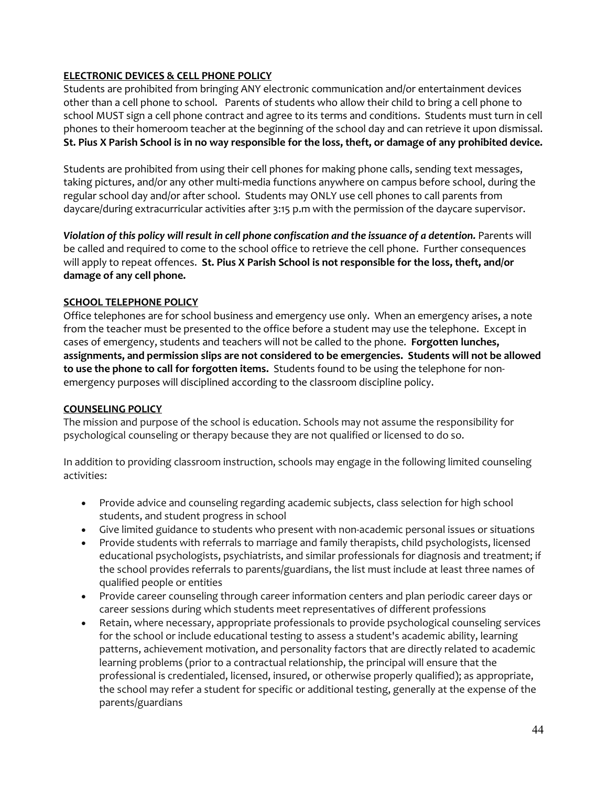## **ELECTRONIC DEVICES & CELL PHONE POLICY**

Students are prohibited from bringing ANY electronic communication and/or entertainment devices other than a cell phone to school. Parents of students who allow their child to bring a cell phone to school MUST sign a cell phone contract and agree to its terms and conditions. Students must turn in cell phones to their homeroom teacher at the beginning of the school day and can retrieve it upon dismissal. **St. Pius X Parish School is in no way responsible for the loss, theft, or damage of any prohibited device.**

Students are prohibited from using their cell phones for making phone calls, sending text messages, taking pictures, and/or any other multi-media functions anywhere on campus before school, during the regular school day and/or after school. Students may ONLY use cell phones to call parents from daycare/during extracurricular activities after 3:15 p.m with the permission of the daycare supervisor.

*Violation of this policy will result in cell phone confiscation and the issuance of a detention. Parents will* be called and required to come to the school office to retrieve the cell phone. Further consequences will apply to repeat offences. **St. Pius X Parish School is not responsible for the loss, theft, and/or damage of any cell phone.** 

### **SCHOOL TELEPHONE POLICY**

Office telephones are for school business and emergency use only. When an emergency arises, a note from the teacher must be presented to the office before a student may use the telephone. Except in cases of emergency, students and teachers will not be called to the phone. **Forgotten lunches, assignments, and permission slips are not considered to be emergencies. Students will not be allowed to use the phone to call for forgotten items.** Students found to be using the telephone for nonemergency purposes will disciplined according to the classroom discipline policy.

### **COUNSELING POLICY**

The mission and purpose of the school is education. Schools may not assume the responsibility for psychological counseling or therapy because they are not qualified or licensed to do so.

In addition to providing classroom instruction, schools may engage in the following limited counseling activities:

- Provide advice and counseling regarding academic subjects, class selection for high school students, and student progress in school
- Give limited guidance to students who present with non-academic personal issues or situations
- Provide students with referrals to marriage and family therapists, child psychologists, licensed educational psychologists, psychiatrists, and similar professionals for diagnosis and treatment; if the school provides referrals to parents/guardians, the list must include at least three names of qualified people or entities
- Provide career counseling through career information centers and plan periodic career days or career sessions during which students meet representatives of different professions
- Retain, where necessary, appropriate professionals to provide psychological counseling services for the school or include educational testing to assess a student's academic ability, learning patterns, achievement motivation, and personality factors that are directly related to academic learning problems (prior to a contractual relationship, the principal will ensure that the professional is credentialed, licensed, insured, or otherwise properly qualified); as appropriate, the school may refer a student for specific or additional testing, generally at the expense of the parents/guardians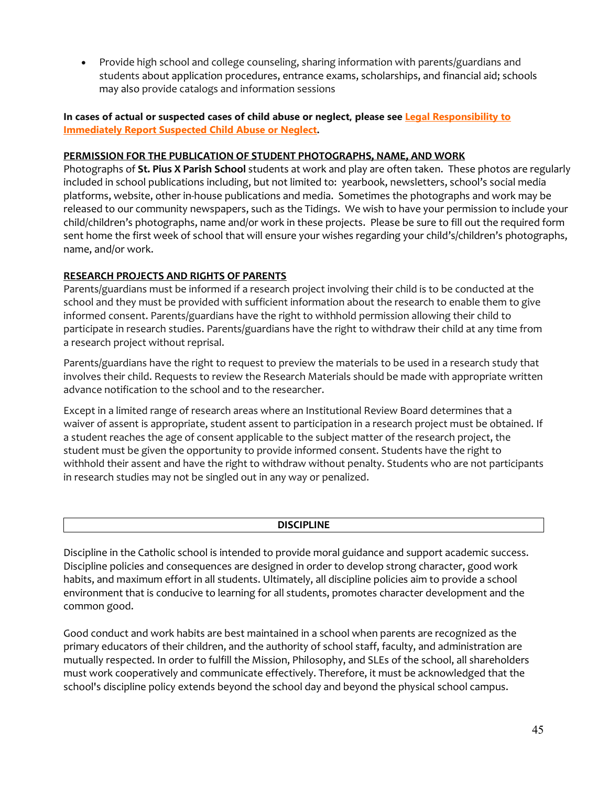• Provide high school and college counseling, sharing information with parents/guardians and students about application procedures, entrance exams, scholarships, and [financial aid;](http://www.lacatholicschools.org/financial-aid) schools may also provide catalogs and information sessions

#### **In cases of actual or suspected cases of child abuse or neglect, please see [Legal Responsibility to](http://handbook.la-archdiocese.org/chapter-9/section-9-8/topic-9-8-2)  [Immediately Report Suspected Child Abuse or Neglect.](http://handbook.la-archdiocese.org/chapter-9/section-9-8/topic-9-8-2)**

#### **PERMISSION FOR THE PUBLICATION OF STUDENT PHOTOGRAPHS, NAME, AND WORK**

Photographs of **St. Pius X Parish School** students at work and play are often taken. These photos are regularly included in school publications including, but not limited to: yearbook, newsletters, school's social media platforms, website, other in-house publications and media. Sometimes the photographs and work may be released to our community newspapers, such as the Tidings. We wish to have your permission to include your child/children's photographs, name and/or work in these projects. Please be sure to fill out the required form sent home the first week of school that will ensure your wishes regarding your child's/children's photographs, name, and/or work.

### **RESEARCH PROJECTS AND RIGHTS OF PARENTS**

Parents/guardians must be informed if a research project involving their child is to be conducted at the school and they must be provided with sufficient information about the research to enable them to give informed consent. Parents/guardians have the right to withhold permission allowing their child to participate in research studies. Parents/guardians have the right to withdraw their child at any time from a research project without reprisal.

Parents/guardians have the right to request to preview the materials to be used in a research study that involves their child. Requests to review the Research Materials should be made with appropriate written advance notification to the school and to the researcher.

Except in a limited range of research areas where an Institutional Review Board determines that a waiver of assent is appropriate, student assent to participation in a research project must be obtained. If a student reaches the age of consent applicable to the subject matter of the research project, the student must be given the opportunity to provide informed consent. Students have the right to withhold their assent and have the right to withdraw without penalty. Students who are not participants in research studies may not be singled out in any way or penalized.

#### **DISCIPLINE**

Discipline in the Catholic school is intended to provide moral guidance and support academic success. Discipline policies and consequences are designed in order to develop strong character, good work habits, and maximum effort in all students. Ultimately, all discipline policies aim to provide a school environment that is conducive to learning for all students, promotes character development and the common good.

Good conduct and work habits are best maintained in a school when parents are recognized as the primary educators of their children, and the authority of school staff, faculty, and administration are mutually respected. In order to fulfill the Mission, Philosophy, and SLEs of the school, all shareholders must work cooperatively and communicate effectively. Therefore, it must be acknowledged that the school's discipline policy extends beyond the school day and beyond the physical school campus.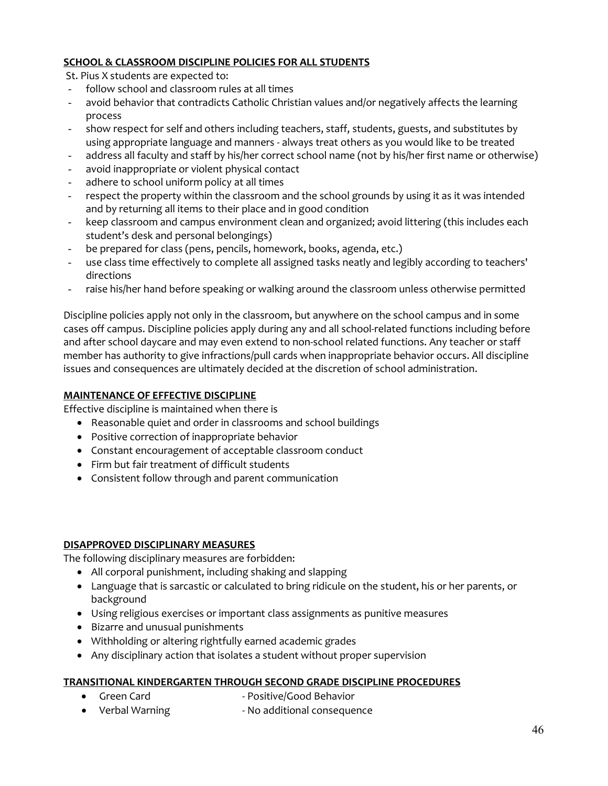# **SCHOOL & CLASSROOM DISCIPLINE POLICIES FOR ALL STUDENTS**

St. Pius X students are expected to:

- follow school and classroom rules at all times
- avoid behavior that contradicts Catholic Christian values and/or negatively affects the learning process
- show respect for self and others including teachers, staff, students, guests, and substitutes by using appropriate language and manners - always treat others as you would like to be treated
- address all faculty and staff by his/her correct school name (not by his/her first name or otherwise)
- avoid inappropriate or violent physical contact
- adhere to school uniform policy at all times
- respect the property within the classroom and the school grounds by using it as it was intended and by returning all items to their place and in good condition
- keep classroom and campus environment clean and organized; avoid littering (this includes each student's desk and personal belongings)
- be prepared for class (pens, pencils, homework, books, agenda, etc.)
- use class time effectively to complete all assigned tasks neatly and legibly according to teachers' directions
- raise his/her hand before speaking or walking around the classroom unless otherwise permitted

Discipline policies apply not only in the classroom, but anywhere on the school campus and in some cases off campus. Discipline policies apply during any and all school-related functions including before and after school daycare and may even extend to non-school related functions. Any teacher or staff member has authority to give infractions/pull cards when inappropriate behavior occurs. All discipline issues and consequences are ultimately decided at the discretion of school administration.

### **MAINTENANCE OF EFFECTIVE DISCIPLINE**

Effective discipline is maintained when there is

- Reasonable quiet and order in classrooms and school buildings
- Positive correction of inappropriate behavior
- Constant encouragement of acceptable classroom conduct
- Firm but fair treatment of difficult students
- Consistent follow through and parent communication

### **DISAPPROVED DISCIPLINARY MEASURES**

The following disciplinary measures are forbidden:

- All corporal punishment, including shaking and slapping
- Language that is sarcastic or calculated to bring ridicule on the student, his or her parents, or background
- Using religious exercises or important class assignments as punitive measures
- Bizarre and unusual punishments
- Withholding or altering rightfully earned academic grades
- Any disciplinary action that isolates a student without proper supervision

### **TRANSITIONAL KINDERGARTEN THROUGH SECOND GRADE DISCIPLINE PROCEDURES**

- 
- Green Card Positive/Good Behavior
- Verbal Warning The Real Photoshop No additional consequence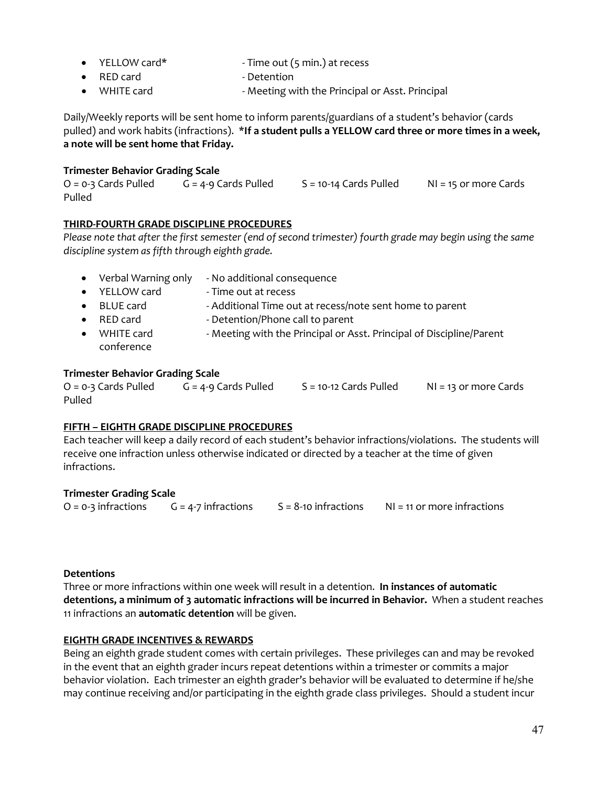- YELLOW card\* Time out (5 min.) at recess
- **RED card Detention**
- WHITE card **MELA CONFERGATE:** Meeting with the Principal or Asst. Principal

Daily/Weekly reports will be sent home to inform parents/guardians of a student's behavior (cards pulled) and work habits (infractions). \***If a student pulls a YELLOW card three or more times in a week, a note will be sent home that Friday.**

## **Trimester Behavior Grading Scale**

 $O = 0-3$  Cards Pulled  $G = 4-9$  Cards Pulled  $S = 10-14$  Cards Pulled NI = 15 or more Cards Pulled

### **THIRD-FOURTH GRADE DISCIPLINE PROCEDURES**

*Please note that after the first semester (end of second trimester) fourth grade may begin using the same discipline system as fifth through eighth grade.*

| $\bullet$ | Verbal Warning only      | - No additional consequence                                          |
|-----------|--------------------------|----------------------------------------------------------------------|
|           | YELLOW card              | - Time out at recess                                                 |
| $\bullet$ | <b>BLUE</b> card         | - Additional Time out at recess/note sent home to parent             |
| $\bullet$ | RED card                 | - Detention/Phone call to parent                                     |
| $\bullet$ | WHITE card<br>conference | - Meeting with the Principal or Asst. Principal of Discipline/Parent |

#### **Trimester Behavior Grading Scale**

O = 0-3 Cards Pulled G = 4-9 Cards Pulled S = 10-12 Cards Pulled NI = 13 or more Cards Pulled

### **FIFTH – EIGHTH GRADE DISCIPLINE PROCEDURES**

Each teacher will keep a daily record of each student's behavior infractions/violations. The students will receive one infraction unless otherwise indicated or directed by a teacher at the time of given infractions.

### **Trimester Grading Scale**

 $O = 0-3$  infractions  $G = 4-7$  infractions  $S = 8-10$  infractions  $N1 = 11$  or more infractions

### **Detentions**

Three or more infractions within one week will result in a detention. **In instances of automatic detentions, a minimum of 3 automatic infractions will be incurred in Behavior.** When a student reaches 11 infractions an **automatic detention** will be given.

### **EIGHTH GRADE INCENTIVES & REWARDS**

Being an eighth grade student comes with certain privileges. These privileges can and may be revoked in the event that an eighth grader incurs repeat detentions within a trimester or commits a major behavior violation. Each trimester an eighth grader's behavior will be evaluated to determine if he/she may continue receiving and/or participating in the eighth grade class privileges. Should a student incur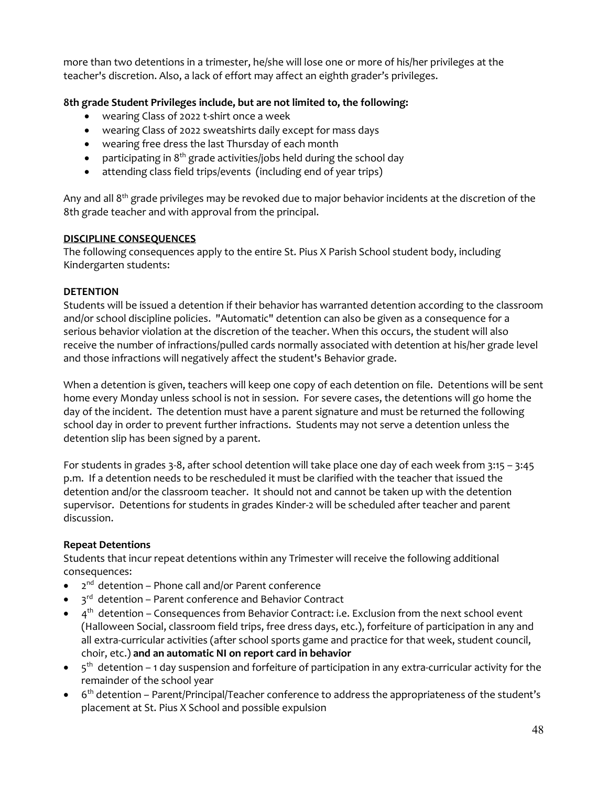more than two detentions in a trimester, he/she will lose one or more of his/her privileges at the teacher's discretion. Also, a lack of effort may affect an eighth grader's privileges.

## **8th grade Student Privileges include, but are not limited to, the following:**

- wearing Class of 2022 t-shirt once a week
- wearing Class of 2022 sweatshirts daily except for mass days
- wearing free dress the last Thursday of each month
- participating in  $8<sup>th</sup>$  grade activities/jobs held during the school day
- attending class field trips/events (including end of year trips)

Any and all 8<sup>th</sup> grade privileges may be revoked due to major behavior incidents at the discretion of the 8th grade teacher and with approval from the principal.

### **DISCIPLINE CONSEQUENCES**

The following consequences apply to the entire St. Pius X Parish School student body, including Kindergarten students:

#### **DETENTION**

Students will be issued a detention if their behavior has warranted detention according to the classroom and/or school discipline policies. "Automatic" detention can also be given as a consequence for a serious behavior violation at the discretion of the teacher. When this occurs, the student will also receive the number of infractions/pulled cards normally associated with detention at his/her grade level and those infractions will negatively affect the student's Behavior grade.

When a detention is given, teachers will keep one copy of each detention on file. Detentions will be sent home every Monday unless school is not in session. For severe cases, the detentions will go home the day of the incident. The detention must have a parent signature and must be returned the following school day in order to prevent further infractions. Students may not serve a detention unless the detention slip has been signed by a parent.

For students in grades 3-8, after school detention will take place one day of each week from 3:15 – 3:45 p.m. If a detention needs to be rescheduled it must be clarified with the teacher that issued the detention and/or the classroom teacher. It should not and cannot be taken up with the detention supervisor. Detentions for students in grades Kinder-2 will be scheduled after teacher and parent discussion.

### **Repeat Detentions**

Students that incur repeat detentions within any Trimester will receive the following additional consequences:

- $\bullet$   $2^{nd}$  detention Phone call and/or Parent conference
- $\bullet$   $\bullet$   $\circ$ <sup>rd</sup> detention Parent conference and Behavior Contract
- $\bullet$  4<sup>th</sup> detention Consequences from Behavior Contract: i.e. Exclusion from the next school event (Halloween Social, classroom field trips, free dress days, etc.), forfeiture of participation in any and all extra-curricular activities (after school sports game and practice for that week, student council, choir, etc.) **and an automatic NI on report card in behavior**
- $\bullet$   $\sigma$ <sup>th</sup> detention 1 day suspension and forfeiture of participation in any extra-curricular activity for the remainder of the school year
- $\bullet$  6<sup>th</sup> detention Parent/Principal/Teacher conference to address the appropriateness of the student's placement at St. Pius X School and possible expulsion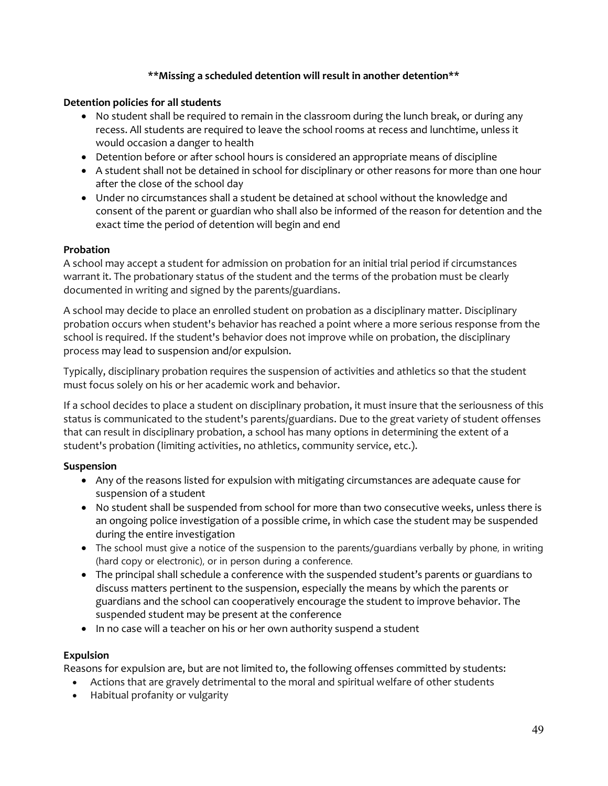### **\*\*Missing a scheduled detention will result in another detention\*\***

#### **Detention policies for all students**

- No student shall be required to remain in the classroom during the lunch break, or during any recess. All students are required to leave the school rooms at recess and lunchtime, unless it would occasion a danger to health
- Detention before or after school hours is considered an appropriate means of discipline
- A student shall not be detained in school for disciplinary or other reasons for more than one hour after the close of the school day
- Under no circumstances shall a student be detained at school without the knowledge and consent of the parent or guardian who shall also be informed of the reason for detention and the exact time the period of detention will begin and end

#### **Probation**

A school may accept a student for admission on probation for an initial trial period if circumstances warrant it. The probationary status of the student and the terms of the probation must be clearly documented in writing and signed by the parents/guardians.

A school may decide to place an enrolled student on probation as a disciplinary matter. Disciplinary probation occurs when student's behavior has reached a point where a more serious response from the school is required. If the student's behavior does not improve while on probation, the disciplinary process may lead to [suspension](http://handbook.la-archdiocese.org/chapter-13/section-13-9/topic-13-9-4) and/or [expulsion.](http://handbook.la-archdiocese.org/chapter-13/section-13-9/topic-13-9-6)

Typically, disciplinary probation requires the suspension of activities and athletics so that the student must focus solely on his or her academic work and behavior.

If a school decides to place a student on disciplinary probation, it must insure that the seriousness of this status is communicated to the student's parents/guardians. Due to the great variety of student offenses that can result in disciplinary probation, a school has many options in determining the extent of a student's probation (limiting activities, no athletics, community service, etc.).

### **Suspension**

- Any of the reasons listed for expulsion with mitigating circumstances are adequate cause for suspension of a student
- No student shall be suspended from school for more than two consecutive weeks, unless there is an ongoing police investigation of a possible crime, in which case the student may be suspended during the entire investigation
- The school must give a notice of the suspension to the parents/guardians verbally by phone, in writing (hard copy or electronic), or in person during a conference.
- The principal shall schedule a conference with the suspended student's parents or guardians to discuss matters pertinent to the suspension, especially the means by which the parents or guardians and the school can cooperatively encourage the student to improve behavior. The suspended student may be present at the conference
- In no case will a teacher on his or her own authority suspend a student

### **Expulsion**

Reasons for expulsion are, but are not limited to, the following offenses committed by students:

- Actions that are gravely detrimental to the moral and spiritual welfare of other students
- Habitual profanity or vulgarity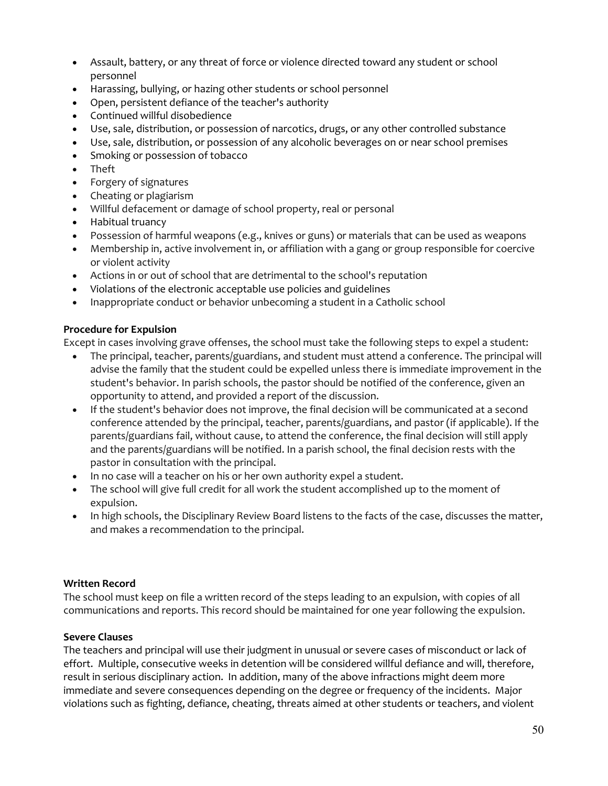- Assault, battery, or any [threat of force or violence](http://handbook.la-archdiocese.org/chapter-13/section-13-10/topic-13-10-2) directed toward any student or school personnel
- [Harassing, bullying, or hazing](http://handbook.la-archdiocese.org/chapter-13/section-13-10) other students or school personnel
- Open, persistent defiance of the teacher's authority
- Continued willful disobedience
- Use, sale, distribution, or possession of [narcotics, drugs, or any other controlled substance](http://handbook.la-archdiocese.org/chapter-13/section-13-8/topic-13-8-4)
- Use, sale, distribution, or possession of any [alcoholic beverages](http://handbook.la-archdiocese.org/chapter-13/section-13-8/topic-13-8-4) on or near school premises
- Smoking or possession of [tobacco](http://handbook.la-archdiocese.org/chapter-13/section-13-8/topic-13-8-4)
- Theft
- Forgery of signatures
- Cheating or plagiarism
- Willful defacement or damage of school property, real or personal
- [Habitual truancy](http://handbook.la-archdiocese.org/chapter-13/section-13-2/topic-13-2-7)
- Possession of harmful weapons (e.g., knives or guns) or materials that can be used as weapons
- Membership in, active involvement in, or affiliation with a gang or group responsible for coercive or violent activity
- Actions in or out of school that are detrimental to the school's reputation
- Violations of the [electronic acceptable use policies and guidelines](http://handbook.la-archdiocese.org/chapter-10)
- Inappropriate conduct or behavior unbecoming a student in a Catholic school

#### **Procedure for Expulsion**

Except in cases involving grave offenses, the school must take the following steps to expel a student:

- The principal, teacher, parents/guardians, and student must attend a conference. The principal will advise the family that the student could be expelled unless there is immediate improvement in the student's behavior. In parish schools, the pastor should be notified of the conference, given an opportunity to attend, and provided a report of the discussion.
- If the student's behavior does not improve, the final decision will be communicated at a second conference attended by the principal, teacher, parents/guardians, and pastor (if applicable). If the parents/guardians fail, without cause, to attend the conference, the final decision will still apply and the parents/guardians will be notified. In a parish school, the final decision rests with the pastor in consultation with the principal.
- In no case will a teacher on his or her own authority expel a student.
- The school will give full credit for all work the student accomplished up to the moment of expulsion.
- In high schools, the Disciplinary Review Board listens to the facts of the case, discusses the matter, and makes a recommendation to the principal.

### **Written Record**

The school must keep on file a written record of the steps leading to an expulsion, with copies of all communications and reports. This record should be maintained for one year following the expulsion.

#### **Severe Clauses**

The teachers and principal will use their judgment in unusual or severe cases of misconduct or lack of effort. Multiple, consecutive weeks in detention will be considered willful defiance and will, therefore, result in serious disciplinary action. In addition, many of the above infractions might deem more immediate and severe consequences depending on the degree or frequency of the incidents. Major violations such as fighting, defiance, cheating, threats aimed at other students or teachers, and violent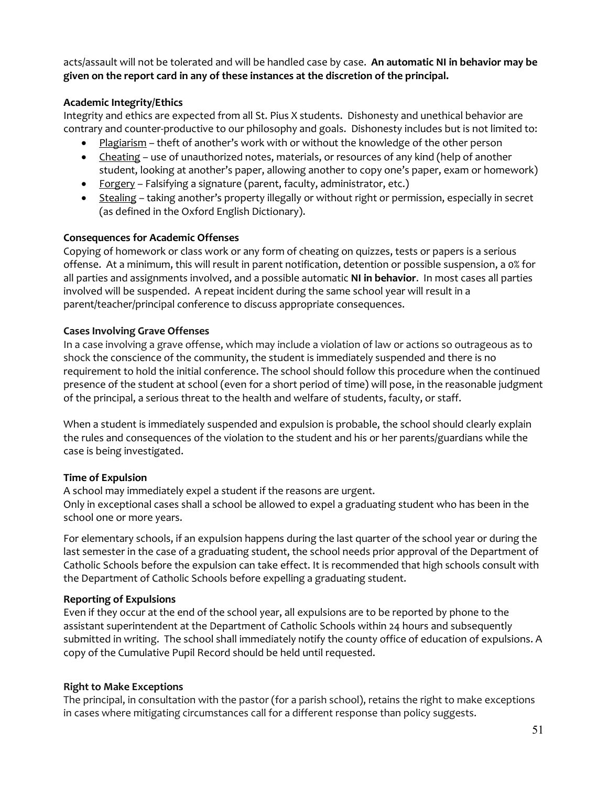acts/assault will not be tolerated and will be handled case by case. **An automatic NI in behavior may be given on the report card in any of these instances at the discretion of the principal.**

## **Academic Integrity/Ethics**

Integrity and ethics are expected from all St. Pius X students. Dishonesty and unethical behavior are contrary and counter-productive to our philosophy and goals. Dishonesty includes but is not limited to:

- Plagiarism theft of another's work with or without the knowledge of the other person
- Cheating use of unauthorized notes, materials, or resources of any kind (help of another student, looking at another's paper, allowing another to copy one's paper, exam or homework)
- Forgery Falsifying a signature (parent, faculty, administrator, etc.)
- Stealing taking another's property illegally or without right or permission, especially in secret (as defined in the Oxford English Dictionary).

## **Consequences for Academic Offenses**

Copying of homework or class work or any form of cheating on quizzes, tests or papers is a serious offense. At a minimum, this will result in parent notification, detention or possible suspension, a 0% for all parties and assignments involved, and a possible automatic **NI in behavior**. In most cases all parties involved will be suspended. A repeat incident during the same school year will result in a parent/teacher/principal conference to discuss appropriate consequences.

### **Cases Involving Grave Offenses**

In a case involving a grave offense, which may include a violation of law or actions so outrageous as to shock the conscience of the community, the student is immediately [suspended](http://handbook.la-archdiocese.org/chapter-13/section-13-9/topic-13-9-4) and there is no requirement to hold the initial conference. The school should follow this procedure when the continued presence of the student at school (even for a short period of time) will pose, in the reasonable judgment of the principal, a serious threat to the health and welfare of students, faculty, or staff.

When a student is immediately suspended and expulsion is probable, the school should clearly explain the rules and consequences of the violation to the student and his or her parents/guardians while the case is being investigated.

# **Time of Expulsion**

A school may immediately expel a student if the reasons are urgent.

Only in exceptional cases shall a school be allowed to expel a graduating student who has been in the school one or more years.

For elementary schools, if an expulsion happens during the last quarter of the school year or during the last semester in the case of a graduating student, the school needs prior approval of the Department of Catholic Schools before the expulsion can take effect. It is recommended that high schools consult with the [Department of Catholic Schools](http://www.lacatholicschools.org/) before expelling a graduating student.

### **Reporting of Expulsions**

Even if they occur at the end of the school year, all expulsions are to be reported by phone to the assistant superintendent at the Department of Catholic Schools within 24 hours and subsequently submitted in writing. The school shall immediately notify the county office of education of expulsions. A copy of the [Cumulative Pupil Record](http://handbook.la-archdiocese.org/chapter-13/section-13-3/topic-13-3-5) should be held until requested.

### **Right to Make Exceptions**

The principal, in consultation with the pastor (for a parish school), retains the right to make exceptions in cases where mitigating circumstances call for a different response than policy suggests.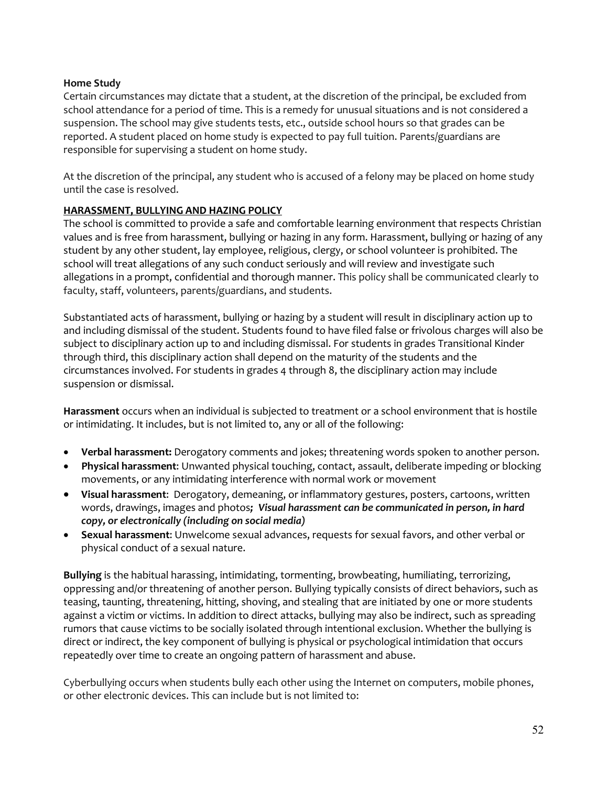### **Home Study**

Certain circumstances may dictate that a student, at the discretion of the principal, be excluded from school attendance for a period of time. This is a remedy for unusual situations and is not considered a suspension. The school may give students tests, etc., outside school hours so that grades can be reported. A student placed on home study is expected to pay full tuition. Parents/guardians are responsible for supervising a student on home study.

At the discretion of the principal, any student who is accused of a felony may be placed on home study until the case is resolved.

## **HARASSMENT, BULLYING AND HAZING POLICY**

The school is committed to provide a safe and comfortable learning environment that respects Christian values and is free from harassment, bullying or hazing in any form. Harassment, bullying or hazing of any student by any other student, lay employee, religious, clergy, or school volunteer is prohibited. The school will treat allegations of any such conduct seriously and will review and investigate such allegations in a prompt, confidential and thorough manner. This policy shall be communicated clearly to faculty, staff, volunteers, parents/guardians, and students.

Substantiated acts of harassment, bullying or hazing by a student will result in disciplinary action up to and including dismissal of the student. Students found to have filed false or frivolous charges will also be subject to disciplinary action up to and including dismissal. For students in grades Transitional Kinder through third, this disciplinary action shall depend on the maturity of the students and the circumstances involved. For students in grades 4 through 8, the disciplinary action may include suspension or dismissal.

**Harassment** occurs when an individual is subjected to treatment or a school environment that is hostile or intimidating. It includes, but is not limited to, any or all of the following:

- **Verbal harassment:** Derogatory comments and jokes; threatening words spoken to another person.
- **Physical harassment**: Unwanted physical touching, contact, assault, deliberate impeding or blocking movements, or any intimidating interference with normal work or movement
- **Visual harassment**: Derogatory, demeaning, or inflammatory gestures, posters, cartoons, written words, drawings, images and photos*; Visual harassment can be communicated in person, in hard copy, or electronically (including on social media)*
- **Sexual harassment**: Unwelcome sexual advances, requests for sexual favors, and other verbal or physical conduct of a sexual nature.

**Bullying** is the habitual harassing, intimidating, tormenting, browbeating, humiliating, terrorizing, oppressing and/or threatening of another person. Bullying typically consists of direct behaviors, such as teasing, taunting, threatening, hitting, shoving, and stealing that are initiated by one or more students against a victim or victims. In addition to direct attacks, bullying may also be indirect, such as spreading rumors that cause victims to be socially isolated through intentional exclusion. Whether the bullying is direct or indirect, the key component of bullying is physical or psychological intimidation that occurs repeatedly over time to create an ongoing pattern of harassment and abuse.

Cyberbullying occurs when students bully each other using the Internet on computers, mobile phones, or other electronic devices. This can include but is not limited to: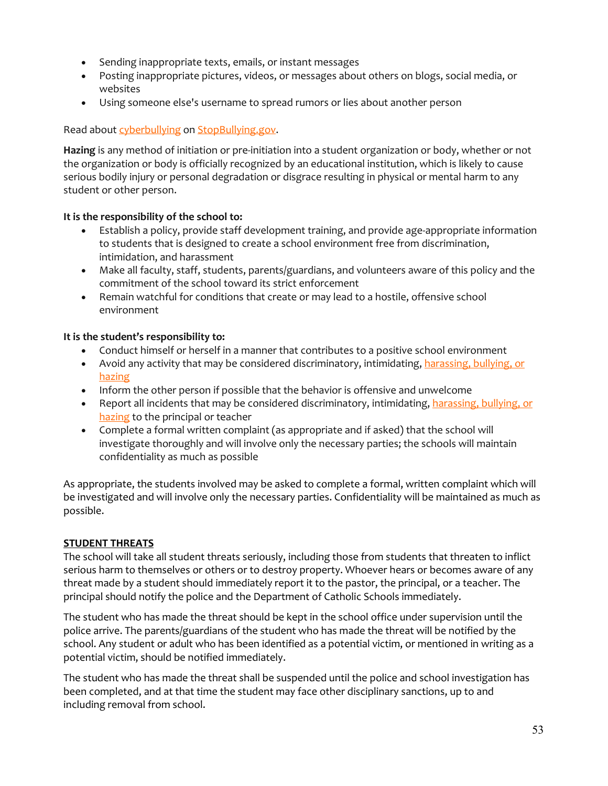- Sending inappropriate texts, emails, or instant messages
- Posting inappropriate pictures, videos, or messages about others on blogs, social media, or websites
- Using someone else's username to spread rumors or lies about another person

## Read about [cyberbullying](http://www.stopbullying.gov/cyberbullying/index.html) on [StopBullying.gov.](http://www.stopbullying.gov/)

**Hazing** is any method of initiation or pre-initiation into a student organization or body, whether or not the organization or body is officially recognized by an educational institution, which is likely to cause serious bodily injury or personal degradation or disgrace resulting in physical or mental harm to any student or other person.

## **It is the responsibility of the school to:**

- Establish a policy, provide staff development training, and provide age-appropriate information to students that is designed to create a school environment free from discrimination, intimidation, and harassment
- Make all faculty, staff, students, parents/guardians, and volunteers aware of this policy and the commitment of the school toward its strict enforcement
- Remain watchful for conditions that create or may lead to a hostile, offensive school environment

## **It is the student's responsibility to:**

- Conduct himself or herself in a manner that contributes to a positive school environment
- Avoid any activity that may be considered discriminatory, intimidating, harassing, bullying, or [hazing](http://handbook.la-archdiocese.org/chapter-13/section-13-10)
- Inform the other person if possible that the behavior is offensive and unwelcome
- Report all incidents that may be considered discriminatory, intimidating, harassing, bullying, or [hazing](http://handbook.la-archdiocese.org/chapter-13/section-13-10) to the principal or teacher
- Complete a formal written complaint (as appropriate and if asked) that the school will investigate thoroughly and will involve only the necessary parties; the schools will maintain confidentiality as much as possible

As appropriate, the students involved may be asked to complete a formal, written complaint which will be investigated and will involve only the necessary parties. Confidentiality will be maintained as much as possible.

# **STUDENT THREATS**

The school will take all student threats seriously, including those from students that threaten to inflict serious harm to themselves or others or to destroy property. Whoever hears or becomes aware of any threat made by a student should immediately report it to the pastor, the principal, or a teacher. The principal should notify the police and the Department of Catholic Schools immediately.

The student who has made the threat should be kept in the school office under supervision until the police arrive. The parents/guardians of the student who has made the threat will be notified by the school. Any student or adult who has been identified as a potential victim, or mentioned in writing as a potential victim, should be notified immediately.

The student who has made the threat shall be [suspended](http://handbook.la-archdiocese.org/chapter-13/section-13-9/topic-13-9-4) until the police and school investigation has been completed, and at that time the student may face other disciplinary sanctions, up to and including [removal from school.](http://handbook.la-archdiocese.org/chapter-13/section-13-9/topic-13-9-6)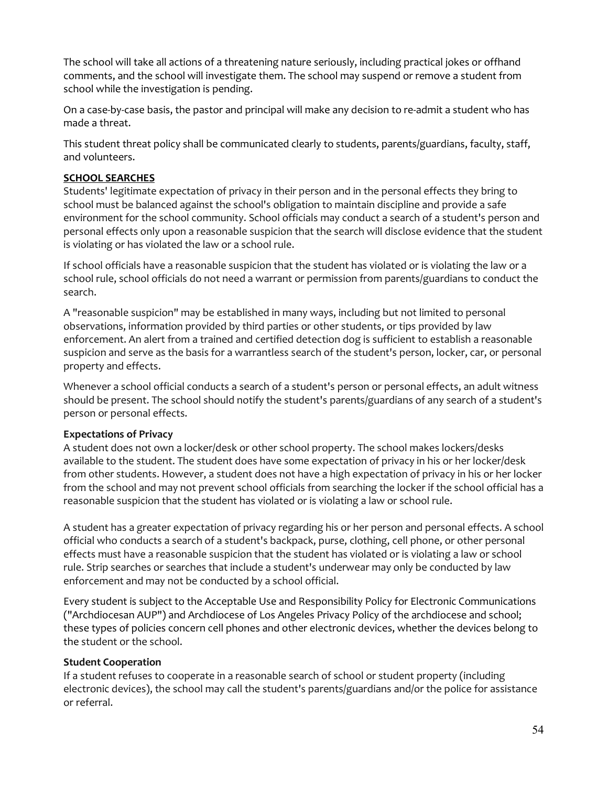The school will take all actions of a threatening nature seriously, including practical jokes or offhand comments, and the school will investigate them. The school may [suspend](http://handbook.la-archdiocese.org/chapter-13/section-13-9/topic-13-9-4) or remove a [student from](http://handbook.la-archdiocese.org/chapter-13/section-13-9/topic-13-9-6)  [school](http://handbook.la-archdiocese.org/chapter-13/section-13-9/topic-13-9-6) while the investigation is pending.

On a case-by-case basis, the pastor and principal will make any decision to re-admit a student who has made a threat.

This student threat policy shall be communicated clearly to students, parents/guardians, faculty, staff, and volunteers.

#### **SCHOOL SEARCHES**

Students' legitimate expectation of privacy in their person and in the personal effects they bring to school must be balanced against the school's obligation to maintain discipline and provide a safe environment for the school community. School officials may conduct a search of a student's person and personal effects only upon a reasonable suspicion that the search will disclose evidence that the student is violating or has violated the law or a school rule.

If school officials have a reasonable suspicion that the student has violated or is violating the law or a school rule, school officials do not need a warrant or permission from parents/guardians to conduct the search.

A "reasonable suspicion" may be established in many ways, including but not limited to personal observations, information provided by third parties or other students, or tips provided by law enforcement. An alert from a trained and certified detection dog is sufficient to establish a reasonable suspicion and serve as the basis for a warrantless search of the student's person, locker, car, or personal property and effects.

Whenever a school official conducts a search of a student's person or personal effects, an adult witness should be present. The school should notify the student's parents/guardians of any search of a student's person or personal effects.

#### **Expectations of Privacy**

A student does not own a locker/desk or other school property. The school makes lockers/desks available to the student. The student does have some expectation of privacy in his or her locker/desk from other students. However, a student does not have a high expectation of privacy in his or her locker from the school and may not prevent school officials from searching the locker if the school official has a reasonable suspicion that the student has violated or is violating a law or school rule.

A student has a greater expectation of privacy regarding his or her person and personal effects. A school official who conducts a search of a student's backpack, purse, clothing, cell phone, or other personal effects must have a reasonable suspicion that the student has violated or is violating a law or school rule. Strip searches or searches that include a student's underwear may only be conducted by law enforcement and may not be conducted by a school official.

Every student is subject to the Acceptable Use and [Responsibility Policy for Electronic Communications](http://handbook.la-archdiocese.org/chapter-10/section-10-3)  [\("Archdiocesan AUP"\)](http://handbook.la-archdiocese.org/chapter-10/section-10-3) and [Archdiocese of Los Angeles Privacy Policy](http://handbook.la-archdiocese.org/chapter-10/section-10-5) of the archdiocese and school; these types of policies concern cell phones and other electronic devices, whether the devices belong to the student or the school.

#### **Student Cooperation**

If a student refuses to cooperate in a reasonable search of school or student property (including electronic devices), the school may call the student's parents/guardians and/or the police for assistance or referral.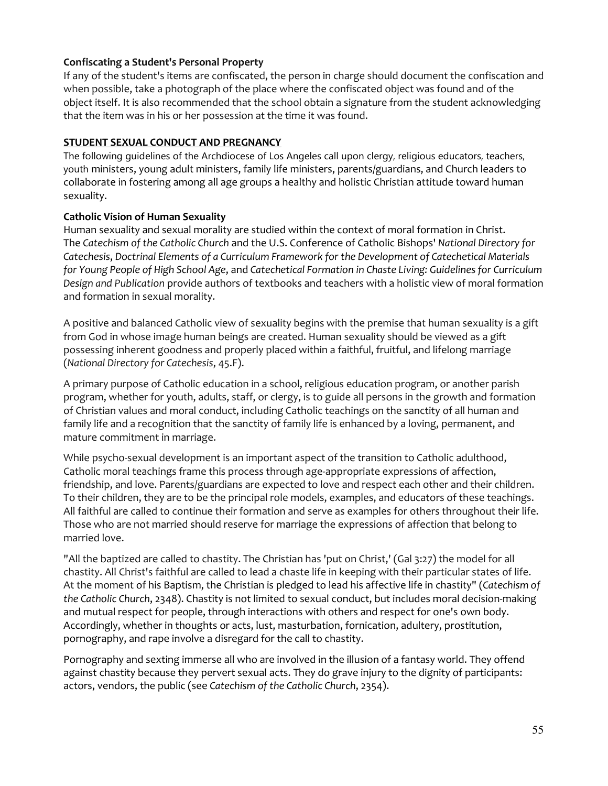## **Confiscating a Student's Personal Property**

If any of the student's items are confiscated, the person in charge should document the confiscation and when possible, take a photograph of the place where the confiscated object was found and of the object itself. It is also recommended that the school obtain a signature from the student acknowledging that the item was in his or her possession at the time it was found.

## **STUDENT SEXUAL CONDUCT AND PREGNANCY**

The following guidelines of the [Archdiocese of Los Angeles](http://handbook.la-archdiocese.org/chapter-1/section-1-1) call upon clergy, religious educators, teachers, youth ministers, young adult ministers, family life ministers, parents/guardians, and Church leaders to collaborate in fostering among all age groups a healthy and holistic Christian attitude toward human sexuality.

## **Catholic Vision of Human Sexuality**

Human sexuality and sexual morality are studied within the context of moral formation in Christ. The *[Catechism of the Catholic Church](http://www.vatican.va/archive/ENG0015/_INDEX.HTM)* and the [U.S. Conference of Catholic Bishops'](http://www.usccb.org/) *National Directory for Catechesis*, *[Doctrinal Elements of a Curriculum Framework for the Development of Catechetical Materials](http://www.usccb.org/beliefs-and-teachings/how-we-teach/catechesis/upload/high-school-curriculum-framework.pdf)  [for Young People of High School Age](http://www.usccb.org/beliefs-and-teachings/how-we-teach/catechesis/upload/high-school-curriculum-framework.pdf)*, and *Catechetical Formation in Chaste Living: Guidelines for Curriculum Design and Publication* provide authors of textbooks and teachers with a holistic view of moral formation and formation in sexual morality.

A positive and balanced Catholic view of sexuality begins with the premise that human sexuality is a gift from God in whose image human beings are created. Human sexuality should be viewed as a gift possessing inherent goodness and properly placed within a faithful, fruitful, and lifelong marriage (*National Directory for Catechesis*, 45.F).

A primary purpose of Catholic education in a school, religious education program, or another parish program, whether for youth, adults, staff, or clergy, is to guide all persons in the growth and formation of Christian values and moral conduct, including Catholic teachings on the sanctity of all human and family life and a recognition that the sanctity of family life is enhanced by a loving, permanent, and mature commitment in marriage.

While psycho-sexual development is an important aspect of the transition to Catholic adulthood, Catholic moral teachings frame this process through age-appropriate expressions of affection, friendship, and love. Parents/guardians are expected to love and respect each other and their children. To their children, they are to be the principal role models, examples, and educators of these teachings. All faithful are called to continue their formation and serve as examples for others throughout their life. Those who are not married should reserve for marriage the expressions of affection that belong to married love.

"All the baptized are called to chastity. The Christian has 'put on Christ,' (Gal 3:27) the model for all chastity. All Christ's faithful are called to lead a chaste life in keeping with their particular states of life. At the moment of his Baptism, the Christian is pledged to lead his affective life in chastity" (*[Catechism of](http://www.vatican.va/archive/ENG0015/__P85.HTM)  [the Catholic Church](http://www.vatican.va/archive/ENG0015/__P85.HTM)*, 2348). Chastity is not limited to sexual conduct, but includes moral decision-making and mutual respect for people, through interactions with others and respect for one's own body. Accordingly, whether in thoughts or acts, lust, masturbation, fornication, adultery, prostitution, pornography, and rape involve a disregard for the call to chastity.

Pornography and sexting immerse all who are involved in the illusion of a fantasy world. They offend against chastity because they pervert sexual acts. They do grave injury to the dignity of participants: actors, vendors, the public (see *[Catechism of the Catholic Church](http://www.vatican.va/archive/ENG0015/__P85.HTM)*, 2354).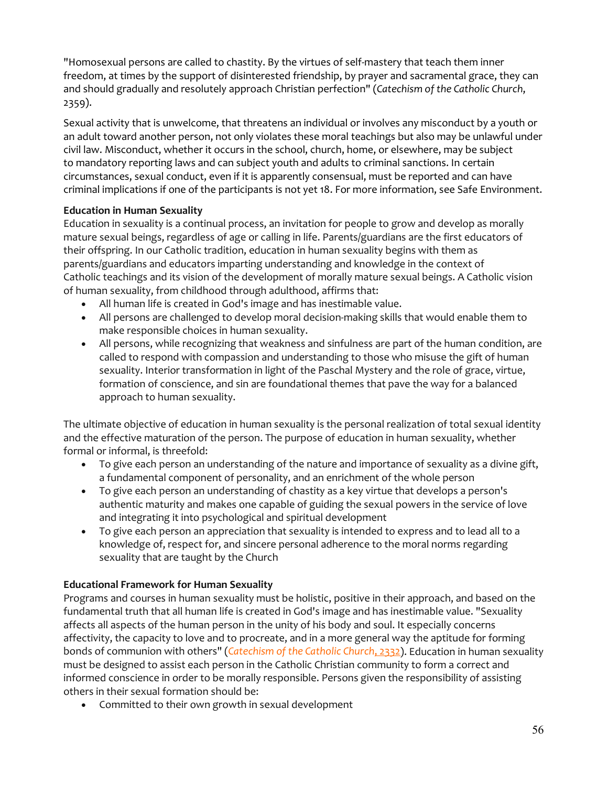"Homosexual persons are called to chastity. By the virtues of self-mastery that teach them inner freedom, at times by the support of disinterested friendship, by prayer and sacramental grace, they can and should gradually and resolutely approach Christian perfection" (*[Catechism of the Catholic Church](http://www.vatican.va/archive/ENG0015/__P85.HTM)*, [2359\)](http://www.vatican.va/archive/ENG0015/__P85.HTM).

Sexual activity that is unwelcome, that threatens an individual or involves any misconduct by a youth or an adult toward another person, not only violates these moral teachings but also may be unlawful under civil law. Misconduct, whether it occurs in the school, church, home, or elsewhere, may be subject to [mandatory reporting laws](http://handbook.la-archdiocese.org/chapter-9/section-9-8/topic-9-8-1) and can subject youth and adults to criminal sanctions. In certain circumstances, sexual conduct, even if it is apparently consensual, must be reported and can have criminal implications if one of the participants is not yet 18. For more information, see [Safe Environment.](http://handbook.la-archdiocese.org/chapter-9)

## **Education in Human Sexuality**

Education in sexuality is a continual process, an invitation for people to grow and develop as morally mature sexual beings, regardless of age or calling in life. Parents/guardians are the first educators of their offspring. In our Catholic tradition, education in human sexuality begins with them as parents/guardians and educators imparting understanding and knowledge in the context of Catholic teachings and its vision of the development of morally mature sexual beings. A Catholic vision of human sexuality, from childhood through adulthood, affirms that:

- All human life is created in God's image and has inestimable value.
- All persons are challenged to develop moral decision-making skills that would enable them to make responsible choices in human sexuality.
- All persons, while recognizing that weakness and sinfulness are part of the human condition, are called to respond with compassion and understanding to those who misuse the gift of human sexuality. Interior transformation in light of the Paschal Mystery and the role of grace, virtue, formation of conscience, and sin are foundational themes that pave the way for a balanced approach to human sexuality.

The ultimate objective of education in human sexuality is the personal realization of total sexual identity and the effective maturation of the person. The purpose of education in human sexuality, whether formal or informal, is threefold:

- To give each person an understanding of the nature and importance of sexuality as a divine gift, a fundamental component of personality, and an enrichment of the whole person
- To give each person an understanding of chastity as a key virtue that develops a person's authentic maturity and makes one capable of guiding the sexual powers in the service of love and integrating it into psychological and spiritual development
- To give each person an appreciation that sexuality is intended to express and to lead all to a knowledge of, respect for, and sincere personal adherence to the moral norms regarding sexuality that are taught by the Church

### **Educational Framework for Human Sexuality**

Programs and courses in human sexuality must be holistic, positive in their approach, and based on the fundamental truth that all human life is created in God's image and has inestimable value. "Sexuality affects all aspects of the human person in the unity of his body and soul. It especially concerns affectivity, the capacity to love and to procreate, and in a more general way the aptitude for forming bonds of communion with others" (*[Catechism of the Catholic Church](http://www.vatican.va/archive/ENG0015/__P84.HTM)*, 2332). Education in human sexuality must be designed to assist each person in the Catholic Christian community to form a correct and informed conscience in order to be morally responsible. Persons given the responsibility of assisting others in their sexual formation should be:

• Committed to their own growth in sexual development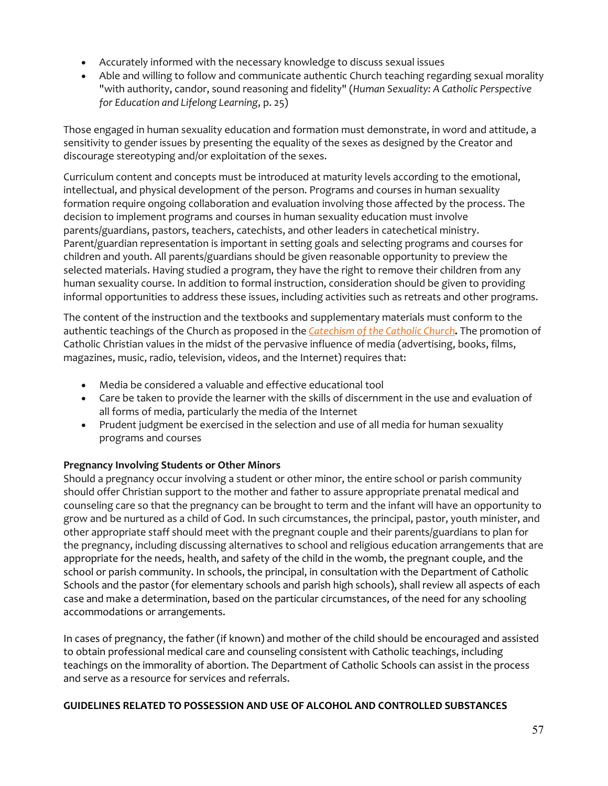- Accurately informed with the necessary knowledge to discuss sexual issues
- Able and willing to follow and communicate authentic Church teaching regarding sexual morality "with authority, candor, sound reasoning and fidelity" (*Human Sexuality: A Catholic Perspective for Education and Lifelong Learning*, p. 25)

Those engaged in human sexuality education and formation must demonstrate, in word and attitude, a sensitivity to gender issues by presenting the equality of the sexes as designed by the Creator and discourage stereotyping and/or exploitation of the sexes.

Curriculum content and concepts must be introduced at maturity levels according to the emotional, intellectual, and physical development of the person. Programs and courses in human sexuality formation require ongoing collaboration and evaluation involving those affected by the process. The decision to implement programs and courses in human sexuality education must involve parents/guardians, pastors, teachers, catechists, and other leaders in catechetical ministry. Parent/guardian representation is important in setting goals and selecting programs and courses for children and youth. All parents/guardians should be given reasonable opportunity to preview the selected materials. Having studied a program, they have the right to remove their children from any human sexuality course. In addition to formal instruction, consideration should be given to providing informal opportunities to address these issues, including activities such as retreats and other programs.

The content of the instruction and the textbooks and supplementary materials must conform to the authentic teachings of the Church as proposed in the *[Catechism of the Catholic Church](http://www.vatican.va/archive/ENG0015/_INDEX.HTM)[.](http://www.vatican.va/archive/ENG0015/_INDEX.HTM)* The promotion of Catholic Christian values in the midst of the pervasive influence of media (advertising, books, films, magazines, music, radio, television, videos, and the Internet) requires that:

- Media be considered a valuable and effective educational tool
- Care be taken to provide the learner with the skills of discernment in the use and evaluation of all forms of media, particularly the media of the Internet
- Prudent judgment be exercised in the selection and use of all media for human sexuality programs and courses

### **Pregnancy Involving Students or Other Minors**

Should a pregnancy occur involving a student or other minor, the entire school or parish community should offer Christian support to the mother and father to assure appropriate prenatal medical and counseling care so that the pregnancy can be brought to term and the infant will have an opportunity to grow and be nurtured as a child of God. In such circumstances, the principal, pastor, youth minister, and other appropriate staff should meet with the pregnant couple and their parents/guardians to plan for the pregnancy, including discussing alternatives to school and religious education arrangements that are appropriate for the needs, health, and safety of the child in the womb, the pregnant couple, and the school or parish community. In schools, the principal, in consultation with the [Department of Catholic](http://www.lacatholicschools.org/)  [Schools](http://www.lacatholicschools.org/) and the pastor (for elementary schools and parish high schools), shall review all aspects of each case and make a determination, based on the particular circumstances, of the need for any schooling accommodations or arrangements.

In cases of pregnancy, the father (if known) and mother of the child should be encouraged and assisted to obtain professional medical care and counseling consistent with Catholic teachings, including teachings on the immorality of abortion. The Department of Catholic Schools can assist in the process and serve as a resource for services and referrals.

### **GUIDELINES RELATED TO POSSESSION AND USE OF ALCOHOL AND CONTROLLED SUBSTANCES**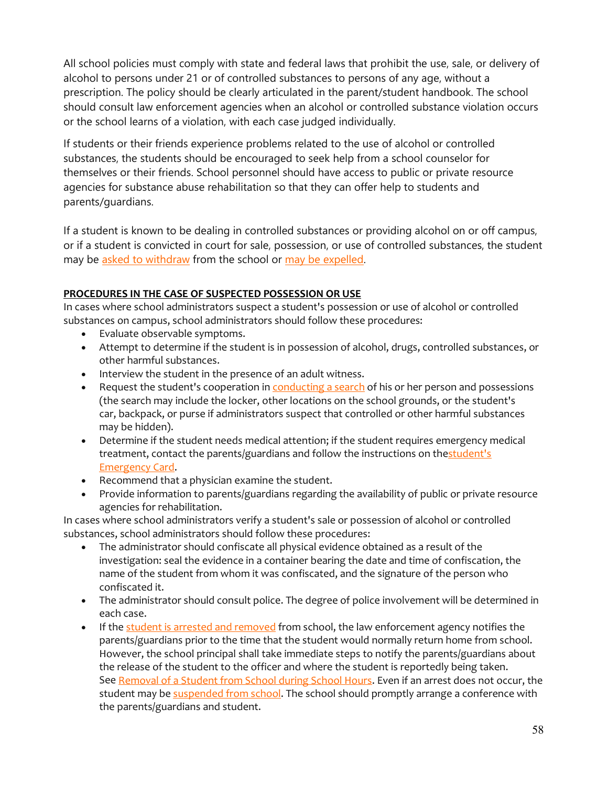All school policies must comply with state and federal laws that prohibit the use, sale, or delivery of alcohol to persons under 21 or of controlled substances to persons of any age, without a prescription. The policy should be clearly articulated in the parent/student handbook. The school should consult law enforcement agencies when an alcohol or controlled substance violation occurs or the school learns of a violation, with each case judged individually.

If students or their friends experience problems related to the use of alcohol or controlled substances, the students should be encouraged to seek help from a school counselor for themselves or their friends. School personnel should have access to public or private resource agencies for substance abuse rehabilitation so that they can offer help to students and parents/guardians.

If a student is known to be dealing in controlled substances or providing alcohol on or off campus, or if a student is convicted in court for sale, possession, or use of controlled substances, the student may be [asked to withdraw](http://handbook.la-archdiocese.org/chapter-13/section-13-4/topic-13-4-1) from the school or [may be expelled.](http://handbook.la-archdiocese.org/chapter-13/section-13-9/topic-13-9-6)

## **PROCEDURES IN THE CASE OF SUSPECTED POSSESSION OR USE**

In cases where school administrators suspect a student's possession or use of alcohol or controlled substances on campus, school administrators should follow these procedures:

- Evaluate observable symptoms.
- Attempt to determine if the student is in possession of alcohol, drugs, controlled substances, or other harmful substances.
- Interview the student in the presence of an adult witness.
- Request the student's cooperation in **[conducting a search](http://handbook.la-archdiocese.org/chapter-13/section-13-7/topic-13-7-4)** of his or her person and possessions (the search may include the locker, other locations on the school grounds, or the student's car, backpack, or purse if administrators suspect that controlled or other harmful substances may be hidden).
- Determine if the student needs medical attention; if the student requires emergency medical treatment, contact the parents/guardians and follow the instructions on thestudent's [Emergency Card.](http://handbook.la-archdiocese.org/chapter-8/section-8-14/topic-8-14-1)
- Recommend that a physician examine the student.
- Provide information to parents/guardians regarding the availability of public or private resource agencies for rehabilitation.

In cases where school administrators verify a student's sale or possession of alcohol or controlled substances, school administrators should follow these procedures:

- The administrator should confiscate all physical evidence obtained as a result of the investigation: seal the evidence in a container bearing the date and time of confiscation, the name of the student from whom it was confiscated, and the signature of the person who confiscated it.
- The administrator should consult police. The degree of police involvement will be determined in each case.
- If the [student is arrested and removed](http://handbook.la-archdiocese.org/chapter-13/section-13-7/topic-13-7-3) from school, the law enforcement agency notifies the parents/guardians prior to the time that the student would normally return home from school. However, the school principal shall take immediate steps to notify the parents/guardians about the release of the student to the officer and where the student is reportedly being taken. See [Removal of a Student from School during School Hours.](http://handbook.la-archdiocese.org/Handbook%20Resources/removal_of_a_student_from_school_during_school_hours.pdf) Even if an arrest does not occur, the student may be [suspended from school.](http://handbook.la-archdiocese.org/chapter-13/section-13-9/topic-13-9-4) The school should promptly arrange a conference with the parents/guardians and student.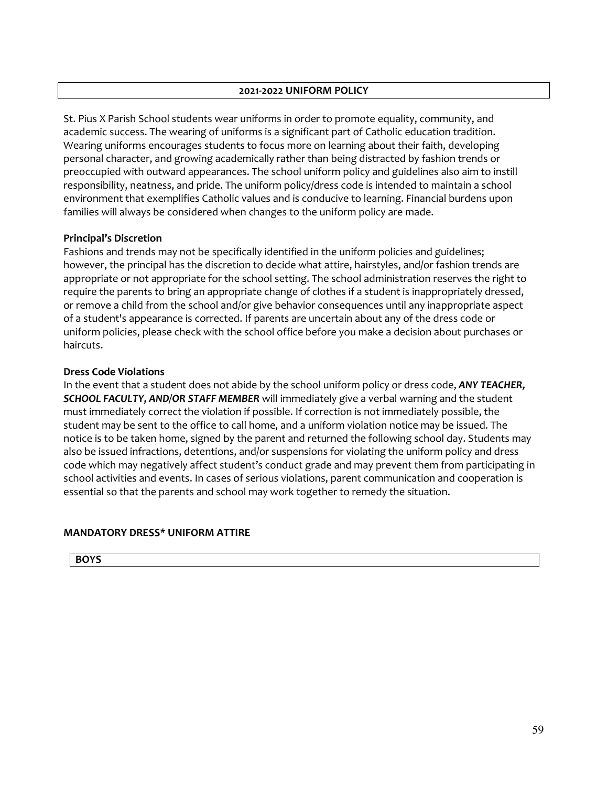#### **2021-2022 UNIFORM POLICY**

St. Pius X Parish School students wear uniforms in order to promote equality, community, and academic success. The wearing of uniforms is a significant part of Catholic education tradition. Wearing uniforms encourages students to focus more on learning about their faith, developing personal character, and growing academically rather than being distracted by fashion trends or preoccupied with outward appearances. The school uniform policy and guidelines also aim to instill responsibility, neatness, and pride. The uniform policy/dress code is intended to maintain a school environment that exemplifies Catholic values and is conducive to learning. Financial burdens upon families will always be considered when changes to the uniform policy are made.

### **Principal's Discretion**

Fashions and trends may not be specifically identified in the uniform policies and guidelines; however, the principal has the discretion to decide what attire, hairstyles, and/or fashion trends are appropriate or not appropriate for the school setting. The school administration reserves the right to require the parents to bring an appropriate change of clothes if a student is inappropriately dressed, or remove a child from the school and/or give behavior consequences until any inappropriate aspect of a student's appearance is corrected. If parents are uncertain about any of the dress code or uniform policies, please check with the school office before you make a decision about purchases or haircuts.

#### **Dress Code Violations**

In the event that a student does not abide by the school uniform policy or dress code, *ANY TEACHER, SCHOOL FACULTY, AND/OR STAFF MEMBER* will immediately give a verbal warning and the student must immediately correct the violation if possible. If correction is not immediately possible, the student may be sent to the office to call home, and a uniform violation notice may be issued. The notice is to be taken home, signed by the parent and returned the following school day. Students may also be issued infractions, detentions, and/or suspensions for violating the uniform policy and dress code which may negatively affect student's conduct grade and may prevent them from participating in school activities and events. In cases of serious violations, parent communication and cooperation is essential so that the parents and school may work together to remedy the situation.

### **MANDATORY DRESS\* UNIFORM ATTIRE**

**BOYS**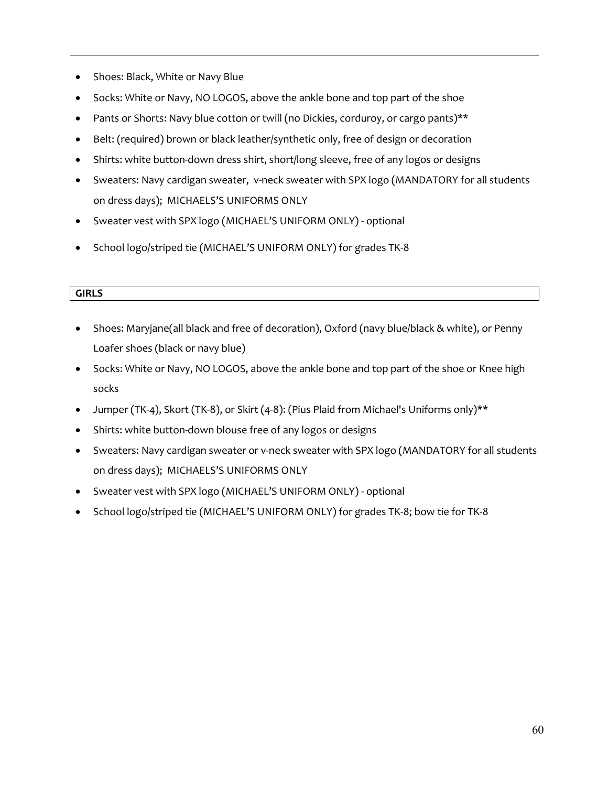- Shoes: Black, White or Navy Blue
- Socks: White or Navy, NO LOGOS, above the ankle bone and top part of the shoe
- Pants or Shorts: Navy blue cotton or twill (no Dickies, corduroy, or cargo pants)<sup>\*\*</sup>
- Belt: (required) brown or black leather/synthetic only, free of design or decoration
- Shirts: white button-down dress shirt, short/long sleeve, free of any logos or designs
- Sweaters: Navy cardigan sweater, v-neck sweater with SPX logo (MANDATORY for all students on dress days); MICHAELS'S UNIFORMS ONLY
- Sweater vest with SPX logo (MICHAEL'S UNIFORM ONLY) optional
- School logo/striped tie (MICHAEL'S UNIFORM ONLY) for grades TK-8

### **GIRLS**

- Shoes: Maryjane(all black and free of decoration), Oxford (navy blue/black & white), or Penny Loafer shoes (black or navy blue)
- Socks: White or Navy, NO LOGOS, above the ankle bone and top part of the shoe or Knee high socks
- Jumper (TK-4), Skort (TK-8), or Skirt (4-8): (Pius Plaid from Michael's Uniforms only)\*\*
- Shirts: white button-down blouse free of any logos or designs
- Sweaters: Navy cardigan sweater or v-neck sweater with SPX logo (MANDATORY for all students on dress days); MICHAELS'S UNIFORMS ONLY
- Sweater vest with SPX logo (MICHAEL'S UNIFORM ONLY) optional
- School logo/striped tie (MICHAEL'S UNIFORM ONLY) for grades TK-8; bow tie for TK-8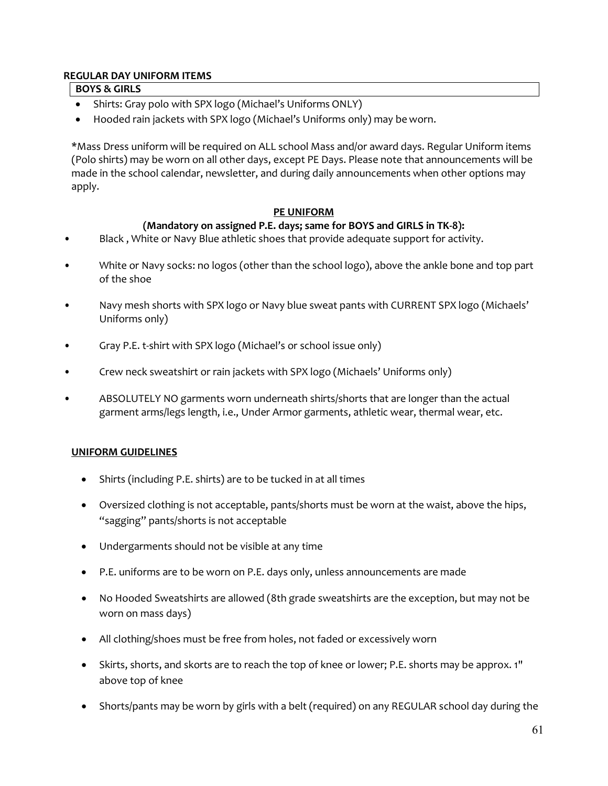### **REGULAR DAY UNIFORM ITEMS**

#### **BOYS & GIRLS**

- Shirts: Gray polo with SPX logo (Michael's Uniforms ONLY)
- Hooded rain jackets with SPX logo (Michael's Uniforms only) may be worn.

\*Mass Dress uniform will be required on ALL school Mass and/or award days. Regular Uniform items (Polo shirts) may be worn on all other days, except PE Days. Please note that announcements will be made in the school calendar, newsletter, and during daily announcements when other options may apply.

### **PE UNIFORM**

## **(Mandatory on assigned P.E. days; same for BOYS and GIRLS in TK-8):**

- Black, White or Navy Blue athletic shoes that provide adequate support for activity.
- White or Navy socks: no logos (other than the school logo), above the ankle bone and top part of the shoe
- Navy mesh shorts with SPX logo or Navy blue sweat pants with CURRENT SPX logo (Michaels' Uniforms only)
- Gray P.E. t-shirt with SPX logo (Michael's or school issue only)
- Crew neck sweatshirt or rain jackets with SPX logo (Michaels' Uniforms only)
- ABSOLUTELY NO garments worn underneath shirts/shorts that are longer than the actual garment arms/legs length, i.e., Under Armor garments, athletic wear, thermal wear, etc.

#### **UNIFORM GUIDELINES**

- Shirts (including P.E. shirts) are to be tucked in at all times
- Oversized clothing is not acceptable, pants/shorts must be worn at the waist, above the hips, "sagging" pants/shorts is not acceptable
- Undergarments should not be visible at any time
- P.E. uniforms are to be worn on P.E. days only, unless announcements are made
- No Hooded Sweatshirts are allowed (8th grade sweatshirts are the exception, but may not be worn on mass days)
- All clothing/shoes must be free from holes, not faded or excessively worn
- Skirts, shorts, and skorts are to reach the top of knee or lower; P.E. shorts may be approx. 1" above top of knee
- Shorts/pants may be worn by girls with a belt (required) on any REGULAR school day during the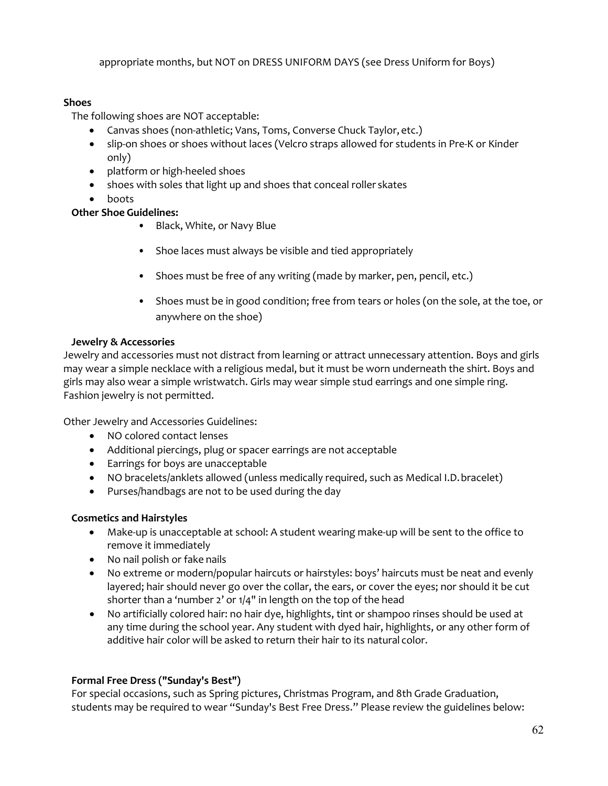appropriate months, but NOT on DRESS UNIFORM DAYS (see Dress Uniform for Boys)

## **Shoes**

The following shoes are NOT acceptable:

- Canvas shoes (non-athletic; Vans, Toms, Converse Chuck Taylor, etc.)
- slip-on shoes or shoes without laces (Velcro straps allowed for students in Pre-K or Kinder only)
- platform or high-heeled shoes
- shoes with soles that light up and shoes that conceal roller skates
- boots

## **Other Shoe Guidelines:**

- Black, White, or Navy Blue
- Shoe laces must always be visible and tied appropriately
- Shoes must be free of any writing (made by marker, pen, pencil, etc.)
- Shoes must be in good condition; free from tears or holes (on the sole, at the toe, or anywhere on the shoe)

## **Jewelry & Accessories**

Jewelry and accessories must not distract from learning or attract unnecessary attention. Boys and girls may wear a simple necklace with a religious medal, but it must be worn underneath the shirt. Boys and girls may also wear a simple wristwatch. Girls may wear simple stud earrings and one simple ring. Fashion jewelry is not permitted.

Other Jewelry and Accessories Guidelines:

- NO colored contact lenses
- Additional piercings, plug or spacer earrings are not acceptable
- Earrings for boys are unacceptable
- NO bracelets/anklets allowed (unless medically required, such as Medical I.D.bracelet)
- Purses/handbags are not to be used during the day

# **Cosmetics and Hairstyles**

- Make-up is unacceptable at school: A student wearing make-up will be sent to the office to remove it immediately
- No nail polish or fake nails
- No extreme or modern/popular haircuts or hairstyles: boys' haircuts must be neat and evenly layered; hair should never go over the collar, the ears, or cover the eyes; nor should it be cut shorter than a 'number 2' or 1/4" in length on the top of the head
- No artificially colored hair: no hair dye, highlights, tint or shampoo rinses should be used at any time during the school year. Any student with dyed hair, highlights, or any other form of additive hair color will be asked to return their hair to its natural color.

# **Formal Free Dress ("Sunday's Best")**

For special occasions, such as Spring pictures, Christmas Program, and 8th Grade Graduation, students may be required to wear "Sunday's Best Free Dress." Please review the guidelines below: